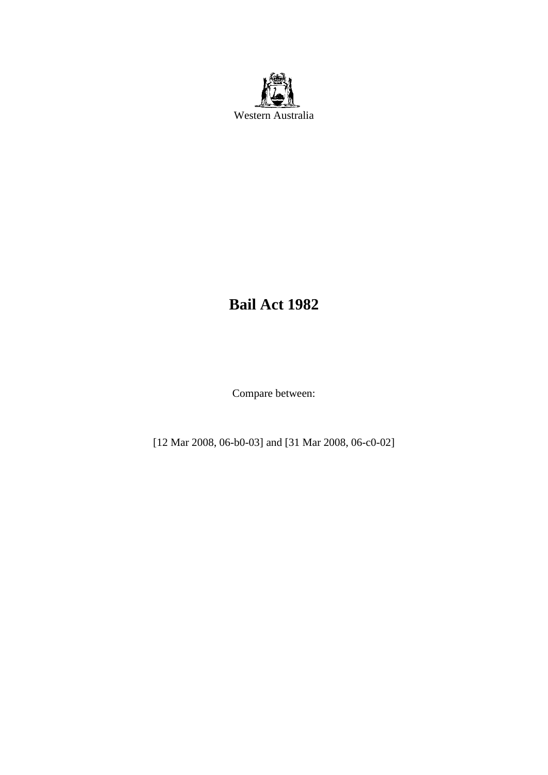

# **Bail Act 1982**

Compare between:

[12 Mar 2008, 06-b0-03] and [31 Mar 2008, 06-c0-02]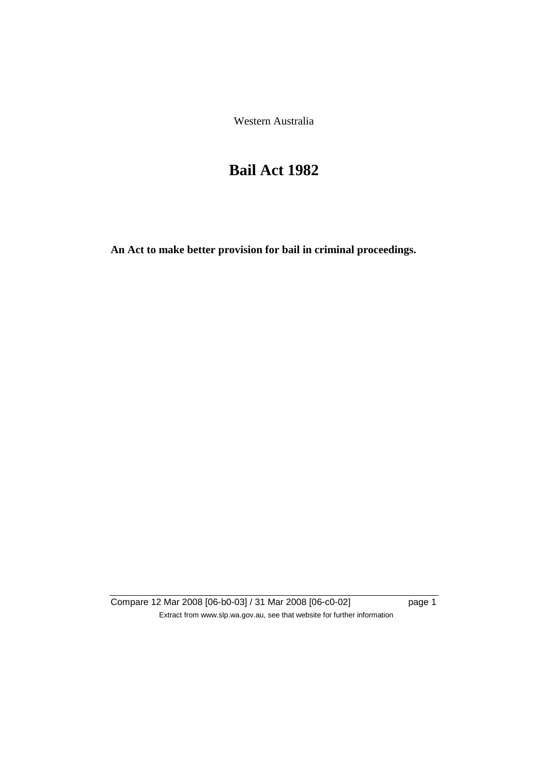Western Australia

# **Bail Act 1982**

**An Act to make better provision for bail in criminal proceedings.** 

Compare 12 Mar 2008 [06-b0-03] / 31 Mar 2008 [06-c0-02] page 1 Extract from www.slp.wa.gov.au, see that website for further information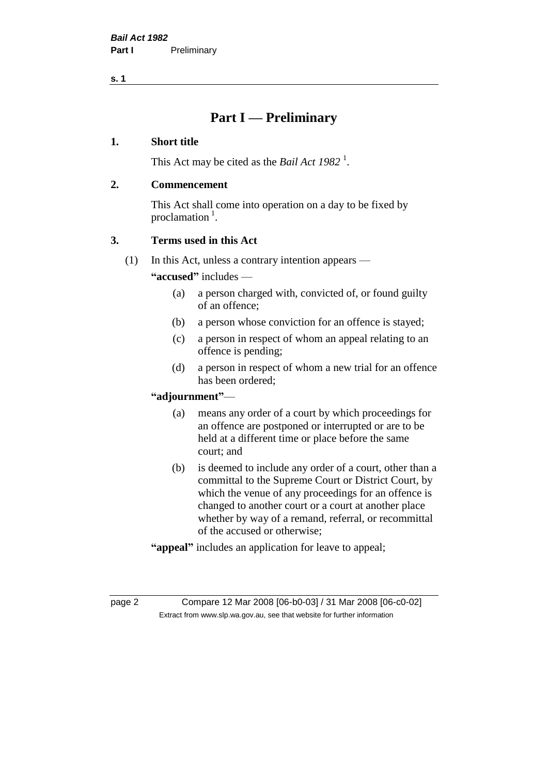# **Part I — Preliminary**

#### **1. Short title**

This Act may be cited as the *Bail Act* 1982<sup>1</sup>.

#### **2. Commencement**

This Act shall come into operation on a day to be fixed by proclamation  $<sup>1</sup>$ .</sup>

# **3. Terms used in this Act**

(1) In this Act, unless a contrary intention appears —

**"accused"** includes —

- (a) a person charged with, convicted of, or found guilty of an offence;
- (b) a person whose conviction for an offence is stayed;
- (c) a person in respect of whom an appeal relating to an offence is pending;
- (d) a person in respect of whom a new trial for an offence has been ordered;

#### **"adjournment"**—

- (a) means any order of a court by which proceedings for an offence are postponed or interrupted or are to be held at a different time or place before the same court; and
- (b) is deemed to include any order of a court, other than a committal to the Supreme Court or District Court, by which the venue of any proceedings for an offence is changed to another court or a court at another place whether by way of a remand, referral, or recommittal of the accused or otherwise;
- **"appeal"** includes an application for leave to appeal;

page 2 Compare 12 Mar 2008 [06-b0-03] / 31 Mar 2008 [06-c0-02] Extract from www.slp.wa.gov.au, see that website for further information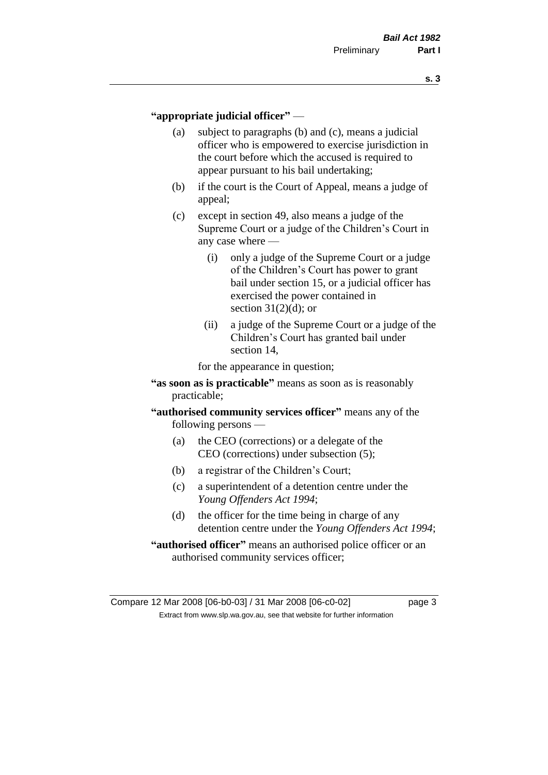#### **"appropriate judicial officer"** —

- (a) subject to paragraphs (b) and (c), means a judicial officer who is empowered to exercise jurisdiction in the court before which the accused is required to appear pursuant to his bail undertaking;
- (b) if the court is the Court of Appeal, means a judge of appeal;
- (c) except in section 49, also means a judge of the Supreme Court or a judge of the Children's Court in any case where —
	- (i) only a judge of the Supreme Court or a judge of the Children's Court has power to grant bail under section 15, or a judicial officer has exercised the power contained in section  $31(2)(d)$ ; or
	- (ii) a judge of the Supreme Court or a judge of the Children's Court has granted bail under section 14,

for the appearance in question;

- **"as soon as is practicable"** means as soon as is reasonably practicable;
- **"authorised community services officer"** means any of the following persons —
	- (a) the CEO (corrections) or a delegate of the CEO (corrections) under subsection (5);
	- (b) a registrar of the Children's Court;
	- (c) a superintendent of a detention centre under the *Young Offenders Act 1994*;
	- (d) the officer for the time being in charge of any detention centre under the *Young Offenders Act 1994*;
- **"authorised officer"** means an authorised police officer or an authorised community services officer;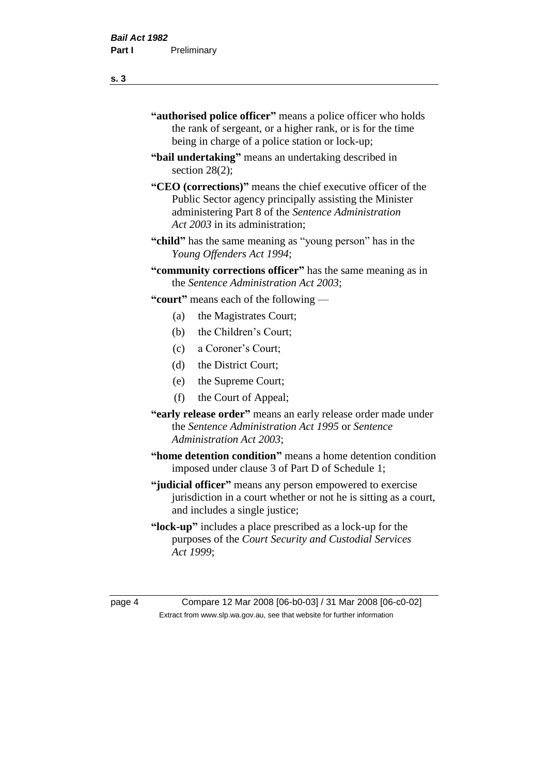- **"authorised police officer"** means a police officer who holds the rank of sergeant, or a higher rank, or is for the time being in charge of a police station or lock-up;
- **"bail undertaking"** means an undertaking described in section 28(2);
- **"CEO (corrections)"** means the chief executive officer of the Public Sector agency principally assisting the Minister administering Part 8 of the *Sentence Administration Act 2003* in its administration;
- **"child"** has the same meaning as "young person" has in the *Young Offenders Act 1994*;
- **"community corrections officer"** has the same meaning as in the *Sentence Administration Act 2003*;

**"court"** means each of the following —

- (a) the Magistrates Court;
- (b) the Children's Court;
- (c) a Coroner's Court;
- (d) the District Court;
- (e) the Supreme Court;
- (f) the Court of Appeal;
- **"early release order"** means an early release order made under the *Sentence Administration Act 1995* or *Sentence Administration Act 2003*;
- **"home detention condition"** means a home detention condition imposed under clause 3 of Part D of Schedule 1;
- **"judicial officer"** means any person empowered to exercise jurisdiction in a court whether or not he is sitting as a court, and includes a single justice;
- **"lock-up"** includes a place prescribed as a lock-up for the purposes of the *Court Security and Custodial Services Act 1999*;

page 4 Compare 12 Mar 2008 [06-b0-03] / 31 Mar 2008 [06-c0-02] Extract from www.slp.wa.gov.au, see that website for further information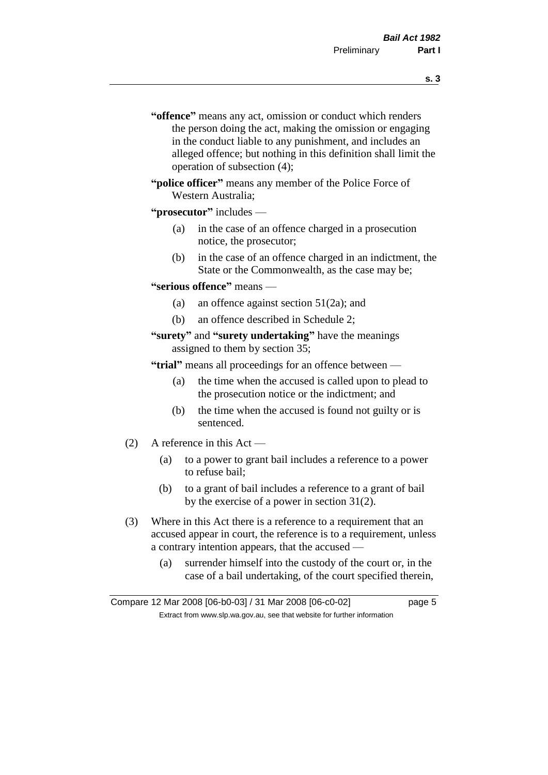- **s. 3**
- **"offence"** means any act, omission or conduct which renders the person doing the act, making the omission or engaging in the conduct liable to any punishment, and includes an alleged offence; but nothing in this definition shall limit the operation of subsection (4);
- **"police officer"** means any member of the Police Force of Western Australia;
- **"prosecutor"** includes
	- (a) in the case of an offence charged in a prosecution notice, the prosecutor;
	- (b) in the case of an offence charged in an indictment, the State or the Commonwealth, as the case may be;
- **"serious offence"** means
	- (a) an offence against section 51(2a); and
	- (b) an offence described in Schedule 2;
- **"surety"** and **"surety undertaking"** have the meanings assigned to them by section 35;

**"trial"** means all proceedings for an offence between —

- (a) the time when the accused is called upon to plead to the prosecution notice or the indictment; and
- (b) the time when the accused is found not guilty or is sentenced.
- (2) A reference in this Act
	- (a) to a power to grant bail includes a reference to a power to refuse bail;
	- (b) to a grant of bail includes a reference to a grant of bail by the exercise of a power in section 31(2).
- (3) Where in this Act there is a reference to a requirement that an accused appear in court, the reference is to a requirement, unless a contrary intention appears, that the accused —
	- (a) surrender himself into the custody of the court or, in the case of a bail undertaking, of the court specified therein,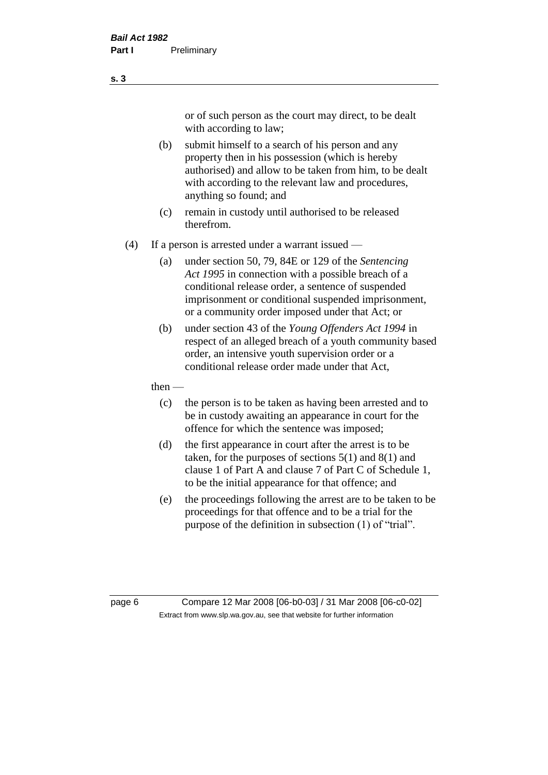or of such person as the court may direct, to be dealt with according to law;

(b) submit himself to a search of his person and any property then in his possession (which is hereby authorised) and allow to be taken from him, to be dealt with according to the relevant law and procedures, anything so found; and

- (c) remain in custody until authorised to be released therefrom.
- (4) If a person is arrested under a warrant issued
	- (a) under section 50, 79, 84E or 129 of the *Sentencing Act 1995* in connection with a possible breach of a conditional release order, a sentence of suspended imprisonment or conditional suspended imprisonment, or a community order imposed under that Act; or
	- (b) under section 43 of the *Young Offenders Act 1994* in respect of an alleged breach of a youth community based order, an intensive youth supervision order or a conditional release order made under that Act,
	- then
		- (c) the person is to be taken as having been arrested and to be in custody awaiting an appearance in court for the offence for which the sentence was imposed;
		- (d) the first appearance in court after the arrest is to be taken, for the purposes of sections  $5(1)$  and  $8(1)$  and clause 1 of Part A and clause 7 of Part C of Schedule 1, to be the initial appearance for that offence; and
		- (e) the proceedings following the arrest are to be taken to be proceedings for that offence and to be a trial for the purpose of the definition in subsection (1) of "trial".

page 6 Compare 12 Mar 2008 [06-b0-03] / 31 Mar 2008 [06-c0-02] Extract from www.slp.wa.gov.au, see that website for further information

**s. 3**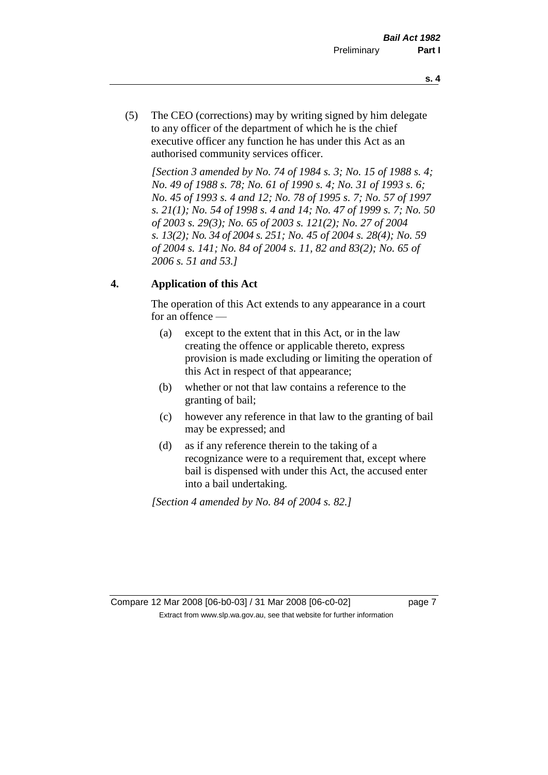- **s. 4**
- (5) The CEO (corrections) may by writing signed by him delegate to any officer of the department of which he is the chief executive officer any function he has under this Act as an authorised community services officer.

*[Section 3 amended by No. 74 of 1984 s. 3; No. 15 of 1988 s. 4; No. 49 of 1988 s. 78; No. 61 of 1990 s. 4; No. 31 of 1993 s. 6; No. 45 of 1993 s. 4 and 12; No. 78 of 1995 s. 7; No. 57 of 1997 s. 21(1); No. 54 of 1998 s. 4 and 14; No. 47 of 1999 s. 7; No. 50 of 2003 s. 29(3); No. 65 of 2003 s. 121(2); No. 27 of 2004 s. 13(2); No. 34 of 2004 s. 251; No. 45 of 2004 s. 28(4); No. 59 of 2004 s. 141; No. 84 of 2004 s. 11, 82 and 83(2); No. 65 of 2006 s. 51 and 53.]* 

# **4. Application of this Act**

The operation of this Act extends to any appearance in a court for an offence —

- (a) except to the extent that in this Act, or in the law creating the offence or applicable thereto, express provision is made excluding or limiting the operation of this Act in respect of that appearance;
- (b) whether or not that law contains a reference to the granting of bail;
- (c) however any reference in that law to the granting of bail may be expressed; and
- (d) as if any reference therein to the taking of a recognizance were to a requirement that, except where bail is dispensed with under this Act, the accused enter into a bail undertaking.

*[Section 4 amended by No. 84 of 2004 s. 82.]*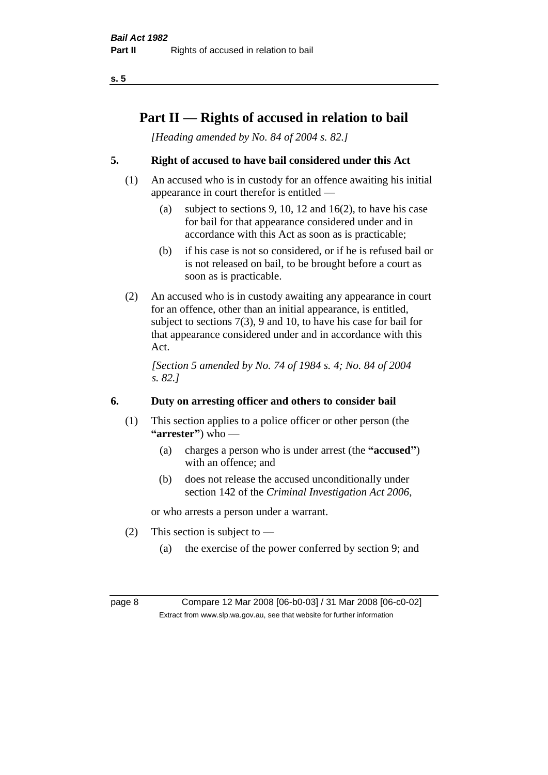# **Part II — Rights of accused in relation to bail**

*[Heading amended by No. 84 of 2004 s. 82.]* 

# **5. Right of accused to have bail considered under this Act**

- (1) An accused who is in custody for an offence awaiting his initial appearance in court therefor is entitled —
	- (a) subject to sections 9, 10, 12 and 16(2), to have his case for bail for that appearance considered under and in accordance with this Act as soon as is practicable;
	- (b) if his case is not so considered, or if he is refused bail or is not released on bail, to be brought before a court as soon as is practicable.
- (2) An accused who is in custody awaiting any appearance in court for an offence, other than an initial appearance, is entitled, subject to sections 7(3), 9 and 10, to have his case for bail for that appearance considered under and in accordance with this Act.

*[Section 5 amended by No. 74 of 1984 s. 4; No. 84 of 2004 s. 82.]* 

# **6. Duty on arresting officer and others to consider bail**

- (1) This section applies to a police officer or other person (the **"arrester"**) who —
	- (a) charges a person who is under arrest (the **"accused"**) with an offence; and
	- (b) does not release the accused unconditionally under section 142 of the *Criminal Investigation Act 2006*,

or who arrests a person under a warrant.

- (2) This section is subject to  $-$ 
	- (a) the exercise of the power conferred by section 9; and

page 8 Compare 12 Mar 2008 [06-b0-03] / 31 Mar 2008 [06-c0-02] Extract from www.slp.wa.gov.au, see that website for further information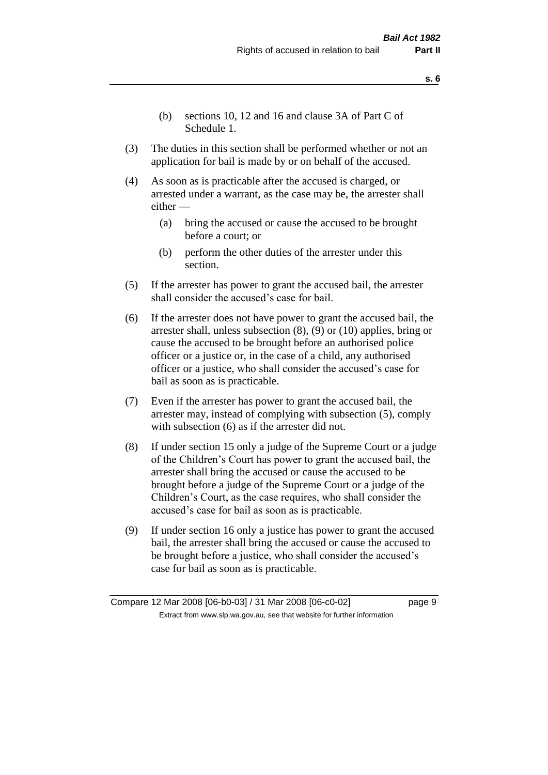- **s. 6**
- (b) sections 10, 12 and 16 and clause 3A of Part C of Schedule 1.
- (3) The duties in this section shall be performed whether or not an application for bail is made by or on behalf of the accused.
- (4) As soon as is practicable after the accused is charged, or arrested under a warrant, as the case may be, the arrester shall either —
	- (a) bring the accused or cause the accused to be brought before a court; or
	- (b) perform the other duties of the arrester under this section.
- (5) If the arrester has power to grant the accused bail, the arrester shall consider the accused's case for bail.
- (6) If the arrester does not have power to grant the accused bail, the arrester shall, unless subsection (8), (9) or (10) applies, bring or cause the accused to be brought before an authorised police officer or a justice or, in the case of a child, any authorised officer or a justice, who shall consider the accused's case for bail as soon as is practicable.
- (7) Even if the arrester has power to grant the accused bail, the arrester may, instead of complying with subsection (5), comply with subsection  $(6)$  as if the arrester did not.
- (8) If under section 15 only a judge of the Supreme Court or a judge of the Children's Court has power to grant the accused bail, the arrester shall bring the accused or cause the accused to be brought before a judge of the Supreme Court or a judge of the Children's Court, as the case requires, who shall consider the accused's case for bail as soon as is practicable.
- (9) If under section 16 only a justice has power to grant the accused bail, the arrester shall bring the accused or cause the accused to be brought before a justice, who shall consider the accused's case for bail as soon as is practicable.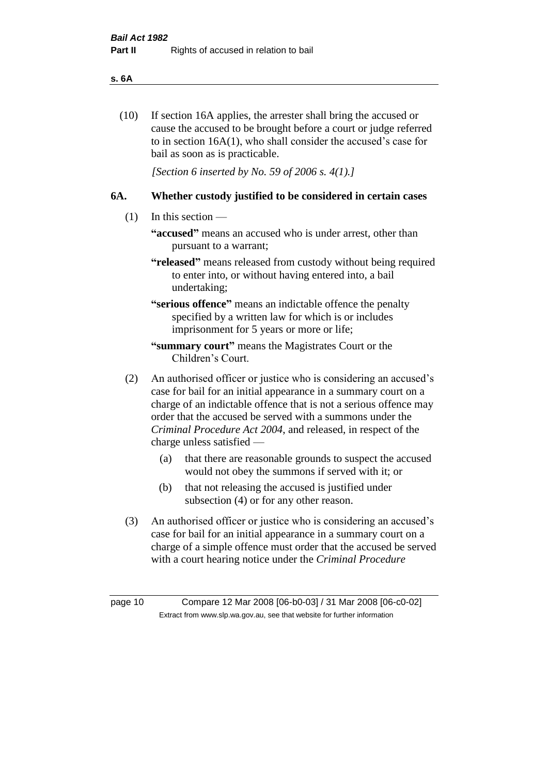#### **s. 6A**

(10) If section 16A applies, the arrester shall bring the accused or cause the accused to be brought before a court or judge referred to in section 16A(1), who shall consider the accused's case for bail as soon as is practicable.

*[Section 6 inserted by No. 59 of 2006 s. 4(1).]* 

#### **6A. Whether custody justified to be considered in certain cases**

- (1) In this section
	- **"accused"** means an accused who is under arrest, other than pursuant to a warrant;
	- **"released"** means released from custody without being required to enter into, or without having entered into, a bail undertaking;

**"serious offence"** means an indictable offence the penalty specified by a written law for which is or includes imprisonment for 5 years or more or life;

- **"summary court"** means the Magistrates Court or the Children's Court.
- (2) An authorised officer or justice who is considering an accused's case for bail for an initial appearance in a summary court on a charge of an indictable offence that is not a serious offence may order that the accused be served with a summons under the *Criminal Procedure Act 2004*, and released, in respect of the charge unless satisfied —
	- (a) that there are reasonable grounds to suspect the accused would not obey the summons if served with it; or
	- (b) that not releasing the accused is justified under subsection (4) or for any other reason.
- (3) An authorised officer or justice who is considering an accused's case for bail for an initial appearance in a summary court on a charge of a simple offence must order that the accused be served with a court hearing notice under the *Criminal Procedure*

page 10 Compare 12 Mar 2008 [06-b0-03] / 31 Mar 2008 [06-c0-02] Extract from www.slp.wa.gov.au, see that website for further information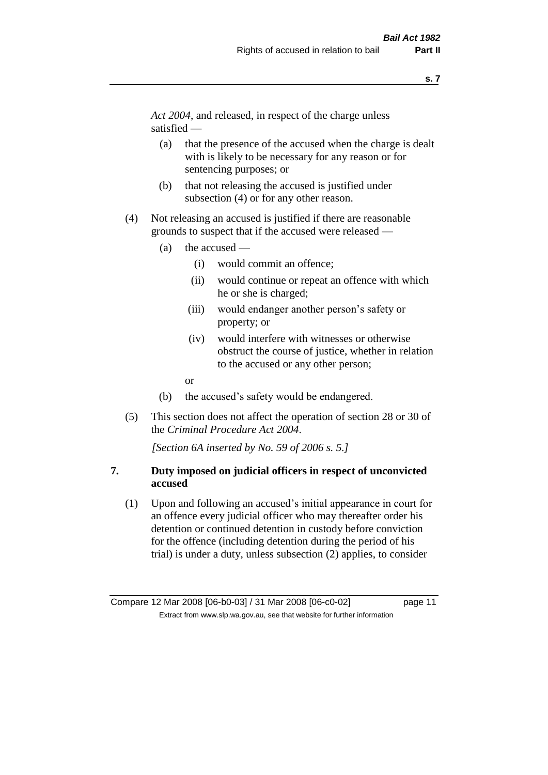*Act 2004*, and released, in respect of the charge unless satisfied —

- (a) that the presence of the accused when the charge is dealt with is likely to be necessary for any reason or for sentencing purposes; or
- (b) that not releasing the accused is justified under subsection (4) or for any other reason.
- (4) Not releasing an accused is justified if there are reasonable grounds to suspect that if the accused were released —
	- (a) the accused
		- (i) would commit an offence;
		- (ii) would continue or repeat an offence with which he or she is charged;
		- (iii) would endanger another person's safety or property; or
		- (iv) would interfere with witnesses or otherwise obstruct the course of justice, whether in relation to the accused or any other person;
		- or
	- (b) the accused's safety would be endangered.
- (5) This section does not affect the operation of section 28 or 30 of the *Criminal Procedure Act 2004*.

*[Section 6A inserted by No. 59 of 2006 s. 5.]* 

#### **7. Duty imposed on judicial officers in respect of unconvicted accused**

(1) Upon and following an accused's initial appearance in court for an offence every judicial officer who may thereafter order his detention or continued detention in custody before conviction for the offence (including detention during the period of his trial) is under a duty, unless subsection (2) applies, to consider

Compare 12 Mar 2008 [06-b0-03] / 31 Mar 2008 [06-c0-02] page 11 Extract from www.slp.wa.gov.au, see that website for further information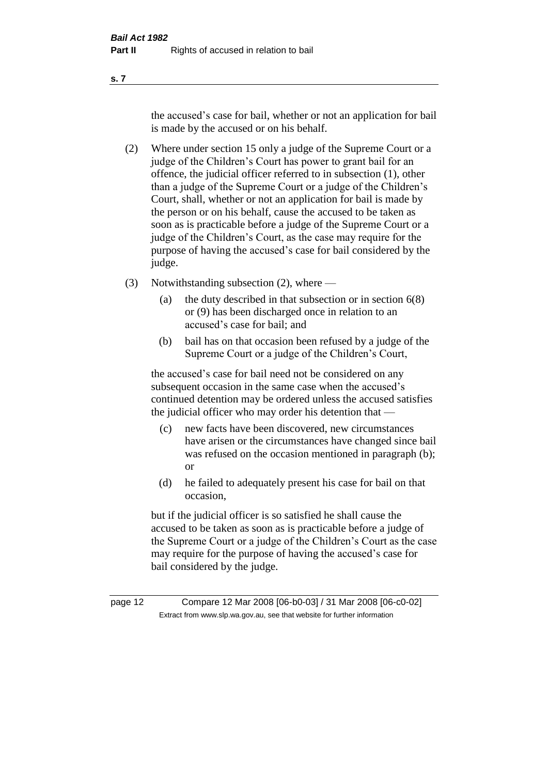the accused's case for bail, whether or not an application for bail is made by the accused or on his behalf.

- (2) Where under section 15 only a judge of the Supreme Court or a judge of the Children's Court has power to grant bail for an offence, the judicial officer referred to in subsection (1), other than a judge of the Supreme Court or a judge of the Children's Court, shall, whether or not an application for bail is made by the person or on his behalf, cause the accused to be taken as soon as is practicable before a judge of the Supreme Court or a judge of the Children's Court, as the case may require for the purpose of having the accused's case for bail considered by the judge.
- (3) Notwithstanding subsection (2), where
	- (a) the duty described in that subsection or in section 6(8) or (9) has been discharged once in relation to an accused's case for bail; and
	- (b) bail has on that occasion been refused by a judge of the Supreme Court or a judge of the Children's Court,

the accused's case for bail need not be considered on any subsequent occasion in the same case when the accused's continued detention may be ordered unless the accused satisfies the judicial officer who may order his detention that —

- (c) new facts have been discovered, new circumstances have arisen or the circumstances have changed since bail was refused on the occasion mentioned in paragraph (b); or
- (d) he failed to adequately present his case for bail on that occasion,

but if the judicial officer is so satisfied he shall cause the accused to be taken as soon as is practicable before a judge of the Supreme Court or a judge of the Children's Court as the case may require for the purpose of having the accused's case for bail considered by the judge.

page 12 Compare 12 Mar 2008 [06-b0-03] / 31 Mar 2008 [06-c0-02] Extract from www.slp.wa.gov.au, see that website for further information

**s. 7**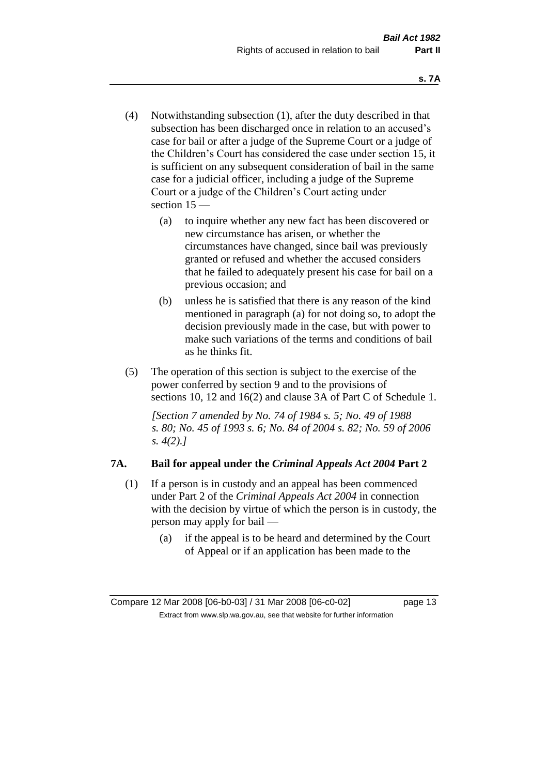- (4) Notwithstanding subsection (1), after the duty described in that subsection has been discharged once in relation to an accused's case for bail or after a judge of the Supreme Court or a judge of the Children's Court has considered the case under section 15, it is sufficient on any subsequent consideration of bail in the same case for a judicial officer, including a judge of the Supreme Court or a judge of the Children's Court acting under section 15 —
	- (a) to inquire whether any new fact has been discovered or new circumstance has arisen, or whether the circumstances have changed, since bail was previously granted or refused and whether the accused considers that he failed to adequately present his case for bail on a previous occasion; and
	- (b) unless he is satisfied that there is any reason of the kind mentioned in paragraph (a) for not doing so, to adopt the decision previously made in the case, but with power to make such variations of the terms and conditions of bail as he thinks fit.
- (5) The operation of this section is subject to the exercise of the power conferred by section 9 and to the provisions of sections 10, 12 and 16(2) and clause 3A of Part C of Schedule 1.

*[Section 7 amended by No. 74 of 1984 s. 5; No. 49 of 1988 s. 80; No. 45 of 1993 s. 6; No. 84 of 2004 s. 82; No. 59 of 2006 s. 4(2).]* 

# **7A. Bail for appeal under the** *Criminal Appeals Act 2004* **Part 2**

- (1) If a person is in custody and an appeal has been commenced under Part 2 of the *Criminal Appeals Act 2004* in connection with the decision by virtue of which the person is in custody, the person may apply for bail —
	- (a) if the appeal is to be heard and determined by the Court of Appeal or if an application has been made to the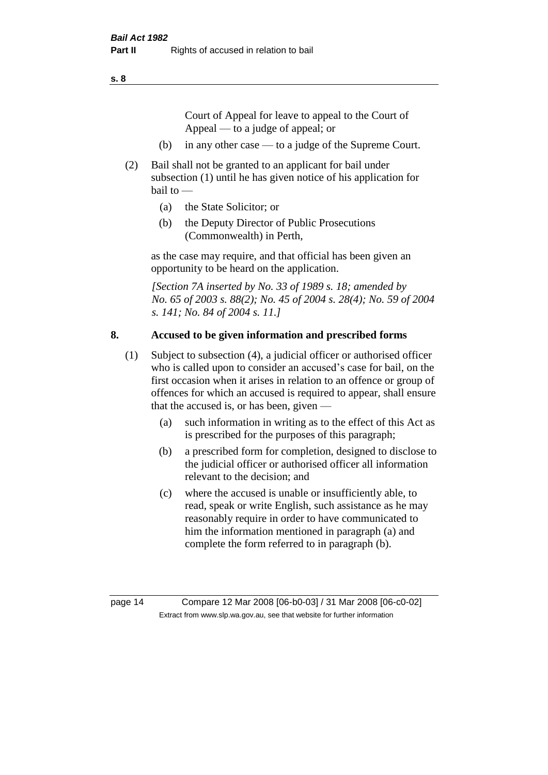Court of Appeal for leave to appeal to the Court of Appeal — to a judge of appeal; or

- (b) in any other case to a judge of the Supreme Court.
- (2) Bail shall not be granted to an applicant for bail under subsection (1) until he has given notice of his application for bail to —
	- (a) the State Solicitor; or
	- (b) the Deputy Director of Public Prosecutions (Commonwealth) in Perth,

as the case may require, and that official has been given an opportunity to be heard on the application.

*[Section 7A inserted by No. 33 of 1989 s. 18; amended by No. 65 of 2003 s. 88(2); No. 45 of 2004 s. 28(4); No. 59 of 2004 s. 141; No. 84 of 2004 s. 11.]* 

#### **8. Accused to be given information and prescribed forms**

- (1) Subject to subsection (4), a judicial officer or authorised officer who is called upon to consider an accused's case for bail, on the first occasion when it arises in relation to an offence or group of offences for which an accused is required to appear, shall ensure that the accused is, or has been, given —
	- (a) such information in writing as to the effect of this Act as is prescribed for the purposes of this paragraph;
	- (b) a prescribed form for completion, designed to disclose to the judicial officer or authorised officer all information relevant to the decision; and
	- (c) where the accused is unable or insufficiently able, to read, speak or write English, such assistance as he may reasonably require in order to have communicated to him the information mentioned in paragraph (a) and complete the form referred to in paragraph (b).

page 14 Compare 12 Mar 2008 [06-b0-03] / 31 Mar 2008 [06-c0-02] Extract from www.slp.wa.gov.au, see that website for further information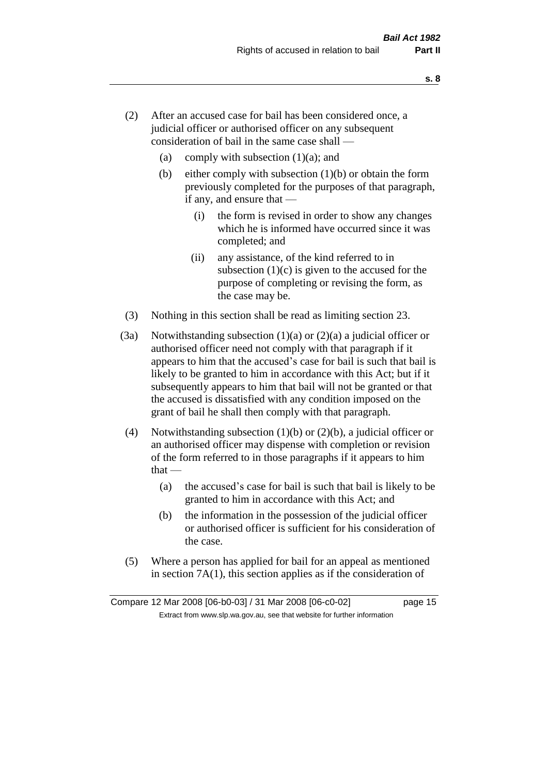- (2) After an accused case for bail has been considered once, a judicial officer or authorised officer on any subsequent consideration of bail in the same case shall —
	- (a) comply with subsection  $(1)(a)$ ; and
	- (b) either comply with subsection  $(1)(b)$  or obtain the form previously completed for the purposes of that paragraph, if any, and ensure that —
		- (i) the form is revised in order to show any changes which he is informed have occurred since it was completed; and
		- (ii) any assistance, of the kind referred to in subsection  $(1)(c)$  is given to the accused for the purpose of completing or revising the form, as the case may be.
- (3) Nothing in this section shall be read as limiting section 23.
- (3a) Notwithstanding subsection  $(1)(a)$  or  $(2)(a)$  a judicial officer or authorised officer need not comply with that paragraph if it appears to him that the accused's case for bail is such that bail is likely to be granted to him in accordance with this Act; but if it subsequently appears to him that bail will not be granted or that the accused is dissatisfied with any condition imposed on the grant of bail he shall then comply with that paragraph.
- (4) Notwithstanding subsection (1)(b) or (2)(b), a judicial officer or an authorised officer may dispense with completion or revision of the form referred to in those paragraphs if it appears to him  $that -$ 
	- (a) the accused's case for bail is such that bail is likely to be granted to him in accordance with this Act; and
	- (b) the information in the possession of the judicial officer or authorised officer is sufficient for his consideration of the case.
- (5) Where a person has applied for bail for an appeal as mentioned in section 7A(1), this section applies as if the consideration of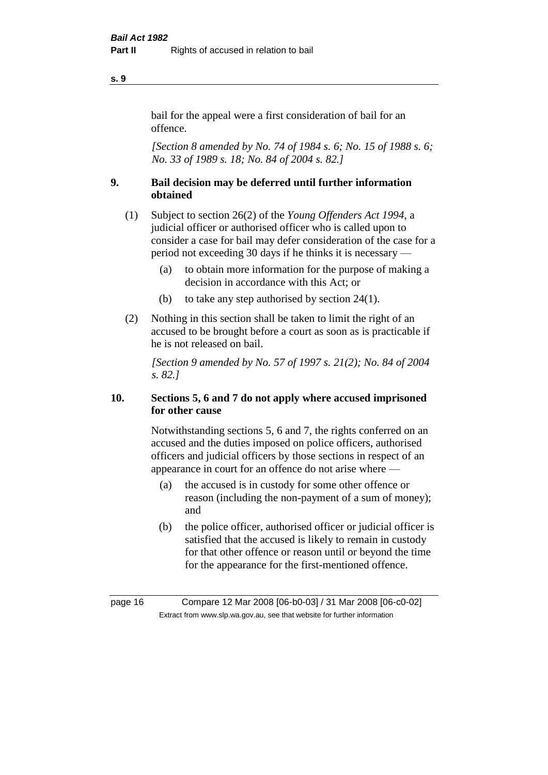#### bail for the appeal were a first consideration of bail for an offence.

*[Section 8 amended by No. 74 of 1984 s. 6; No. 15 of 1988 s. 6; No. 33 of 1989 s. 18; No. 84 of 2004 s. 82.]* 

# **9. Bail decision may be deferred until further information obtained**

- (1) Subject to section 26(2) of the *Young Offenders Act 1994*, a judicial officer or authorised officer who is called upon to consider a case for bail may defer consideration of the case for a period not exceeding 30 days if he thinks it is necessary —
	- (a) to obtain more information for the purpose of making a decision in accordance with this Act; or
	- (b) to take any step authorised by section 24(1).
- (2) Nothing in this section shall be taken to limit the right of an accused to be brought before a court as soon as is practicable if he is not released on bail.

*[Section 9 amended by No. 57 of 1997 s. 21(2); No. 84 of 2004 s. 82.]*

# **10. Sections 5, 6 and 7 do not apply where accused imprisoned for other cause**

Notwithstanding sections 5, 6 and 7, the rights conferred on an accused and the duties imposed on police officers, authorised officers and judicial officers by those sections in respect of an appearance in court for an offence do not arise where —

- (a) the accused is in custody for some other offence or reason (including the non-payment of a sum of money); and
- (b) the police officer, authorised officer or judicial officer is satisfied that the accused is likely to remain in custody for that other offence or reason until or beyond the time for the appearance for the first-mentioned offence.

**s. 9**

page 16 Compare 12 Mar 2008 [06-b0-03] / 31 Mar 2008 [06-c0-02] Extract from www.slp.wa.gov.au, see that website for further information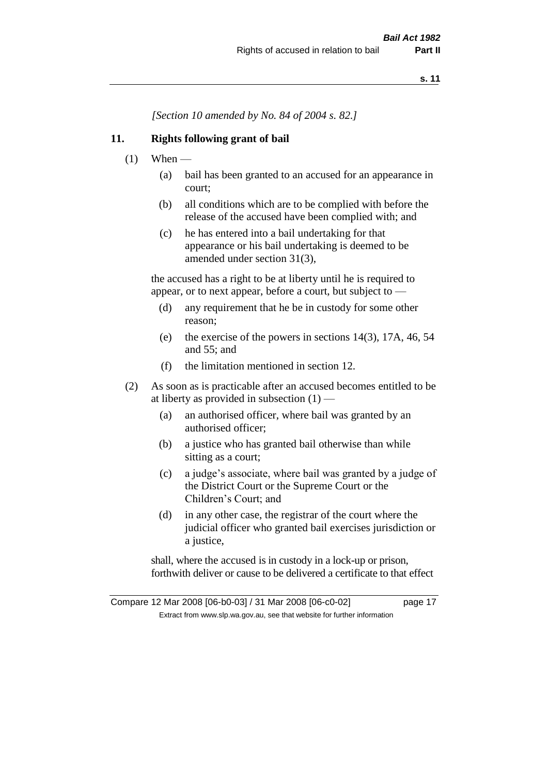*[Section 10 amended by No. 84 of 2004 s. 82.]*

#### **11. Rights following grant of bail**

- $(1)$  When
	- (a) bail has been granted to an accused for an appearance in court;
	- (b) all conditions which are to be complied with before the release of the accused have been complied with; and
	- (c) he has entered into a bail undertaking for that appearance or his bail undertaking is deemed to be amended under section 31(3),

the accused has a right to be at liberty until he is required to appear, or to next appear, before a court, but subject to —

- (d) any requirement that he be in custody for some other reason;
- (e) the exercise of the powers in sections 14(3), 17A, 46, 54 and 55; and
- (f) the limitation mentioned in section 12.
- (2) As soon as is practicable after an accused becomes entitled to be at liberty as provided in subsection  $(1)$  —
	- (a) an authorised officer, where bail was granted by an authorised officer;
	- (b) a justice who has granted bail otherwise than while sitting as a court;
	- (c) a judge's associate, where bail was granted by a judge of the District Court or the Supreme Court or the Children's Court; and
	- (d) in any other case, the registrar of the court where the judicial officer who granted bail exercises jurisdiction or a justice,

shall, where the accused is in custody in a lock-up or prison, forthwith deliver or cause to be delivered a certificate to that effect

Compare 12 Mar 2008 [06-b0-03] / 31 Mar 2008 [06-c0-02] page 17 Extract from www.slp.wa.gov.au, see that website for further information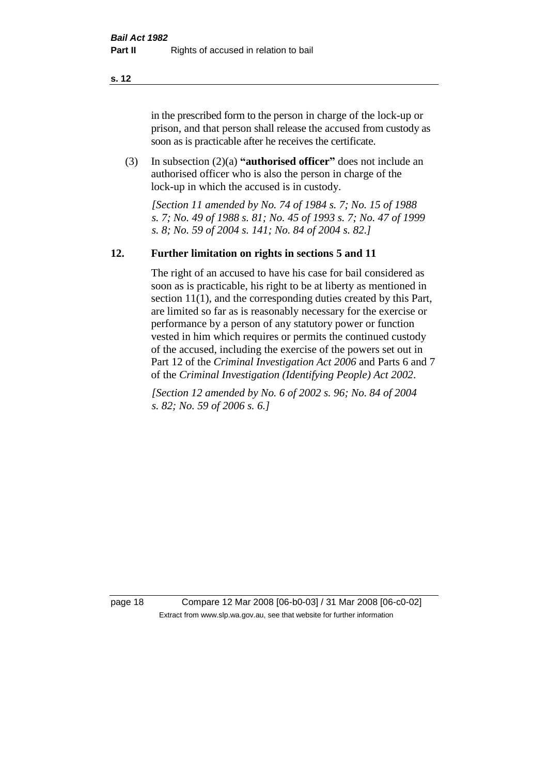in the prescribed form to the person in charge of the lock-up or prison, and that person shall release the accused from custody as soon as is practicable after he receives the certificate.

(3) In subsection (2)(a) **"authorised officer"** does not include an authorised officer who is also the person in charge of the lock-up in which the accused is in custody.

*[Section 11 amended by No. 74 of 1984 s. 7; No. 15 of 1988 s. 7; No. 49 of 1988 s. 81; No. 45 of 1993 s. 7; No. 47 of 1999 s. 8; No. 59 of 2004 s. 141; No. 84 of 2004 s. 82.]* 

#### **12. Further limitation on rights in sections 5 and 11**

The right of an accused to have his case for bail considered as soon as is practicable, his right to be at liberty as mentioned in section 11(1), and the corresponding duties created by this Part, are limited so far as is reasonably necessary for the exercise or performance by a person of any statutory power or function vested in him which requires or permits the continued custody of the accused, including the exercise of the powers set out in Part 12 of the *Criminal Investigation Act 2006* and Parts 6 and 7 of the *Criminal Investigation (Identifying People) Act 2002*.

*[Section 12 amended by No. 6 of 2002 s. 96; No. 84 of 2004 s. 82; No. 59 of 2006 s. 6.]*

page 18 Compare 12 Mar 2008 [06-b0-03] / 31 Mar 2008 [06-c0-02] Extract from www.slp.wa.gov.au, see that website for further information

**s. 12**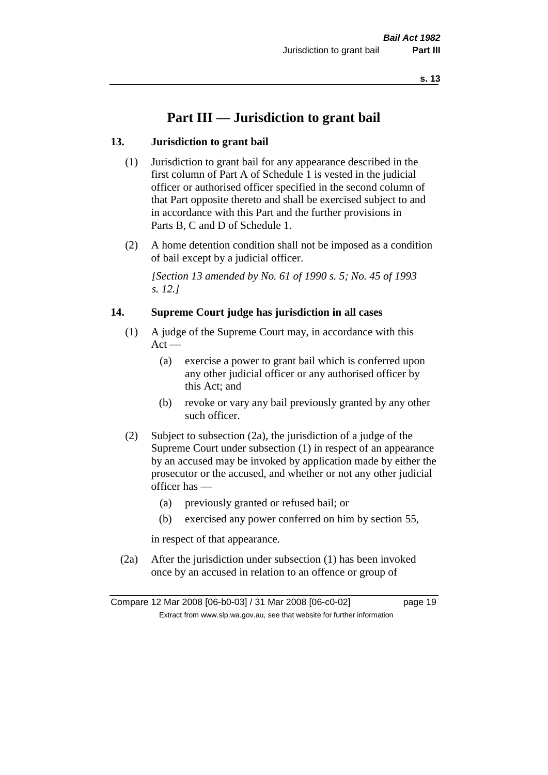# **Part III — Jurisdiction to grant bail**

#### **13. Jurisdiction to grant bail**

- (1) Jurisdiction to grant bail for any appearance described in the first column of Part A of Schedule 1 is vested in the judicial officer or authorised officer specified in the second column of that Part opposite thereto and shall be exercised subject to and in accordance with this Part and the further provisions in Parts B, C and D of Schedule 1.
- (2) A home detention condition shall not be imposed as a condition of bail except by a judicial officer.

*[Section 13 amended by No. 61 of 1990 s. 5; No. 45 of 1993 s. 12.]* 

#### **14. Supreme Court judge has jurisdiction in all cases**

- (1) A judge of the Supreme Court may, in accordance with this  $Act -$ 
	- (a) exercise a power to grant bail which is conferred upon any other judicial officer or any authorised officer by this Act; and
	- (b) revoke or vary any bail previously granted by any other such officer.
- (2) Subject to subsection (2a), the jurisdiction of a judge of the Supreme Court under subsection (1) in respect of an appearance by an accused may be invoked by application made by either the prosecutor or the accused, and whether or not any other judicial officer has —
	- (a) previously granted or refused bail; or
	- (b) exercised any power conferred on him by section 55,

in respect of that appearance.

(2a) After the jurisdiction under subsection (1) has been invoked once by an accused in relation to an offence or group of

Compare 12 Mar 2008 [06-b0-03] / 31 Mar 2008 [06-c0-02] page 19 Extract from www.slp.wa.gov.au, see that website for further information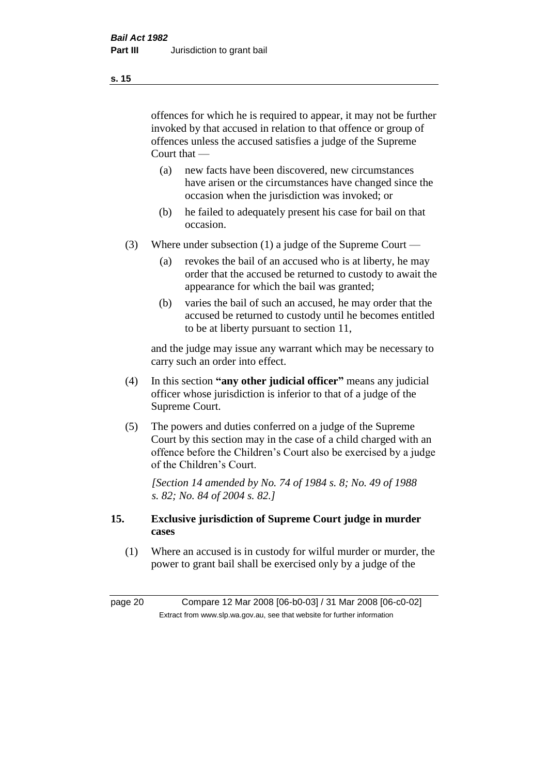offences for which he is required to appear, it may not be further invoked by that accused in relation to that offence or group of offences unless the accused satisfies a judge of the Supreme Court that —

- (a) new facts have been discovered, new circumstances have arisen or the circumstances have changed since the occasion when the jurisdiction was invoked; or
- (b) he failed to adequately present his case for bail on that occasion.
- (3) Where under subsection (1) a judge of the Supreme Court
	- (a) revokes the bail of an accused who is at liberty, he may order that the accused be returned to custody to await the appearance for which the bail was granted;
	- (b) varies the bail of such an accused, he may order that the accused be returned to custody until he becomes entitled to be at liberty pursuant to section 11,

and the judge may issue any warrant which may be necessary to carry such an order into effect.

- (4) In this section **"any other judicial officer"** means any judicial officer whose jurisdiction is inferior to that of a judge of the Supreme Court.
- (5) The powers and duties conferred on a judge of the Supreme Court by this section may in the case of a child charged with an offence before the Children's Court also be exercised by a judge of the Children's Court.

*[Section 14 amended by No. 74 of 1984 s. 8; No. 49 of 1988 s. 82; No. 84 of 2004 s. 82.]* 

#### **15. Exclusive jurisdiction of Supreme Court judge in murder cases**

(1) Where an accused is in custody for wilful murder or murder, the power to grant bail shall be exercised only by a judge of the

page 20 Compare 12 Mar 2008 [06-b0-03] / 31 Mar 2008 [06-c0-02] Extract from www.slp.wa.gov.au, see that website for further information

**s. 15**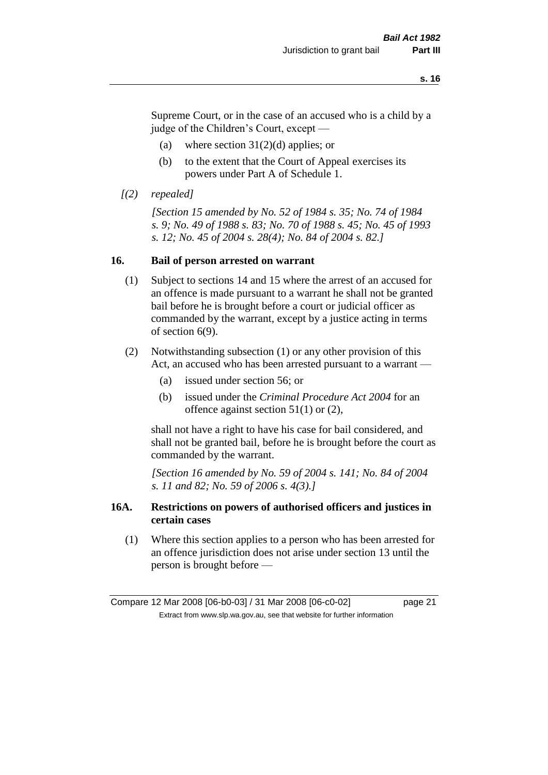Supreme Court, or in the case of an accused who is a child by a judge of the Children's Court, except —

- (a) where section  $31(2)(d)$  applies; or
- (b) to the extent that the Court of Appeal exercises its powers under Part A of Schedule 1.
- *[(2) repealed]*

*[Section 15 amended by No. 52 of 1984 s. 35; No. 74 of 1984 s. 9; No. 49 of 1988 s. 83; No. 70 of 1988 s. 45; No. 45 of 1993 s. 12; No. 45 of 2004 s. 28(4); No. 84 of 2004 s. 82.]* 

#### **16. Bail of person arrested on warrant**

- (1) Subject to sections 14 and 15 where the arrest of an accused for an offence is made pursuant to a warrant he shall not be granted bail before he is brought before a court or judicial officer as commanded by the warrant, except by a justice acting in terms of section 6(9).
- (2) Notwithstanding subsection (1) or any other provision of this Act, an accused who has been arrested pursuant to a warrant —
	- (a) issued under section 56; or
	- (b) issued under the *Criminal Procedure Act 2004* for an offence against section 51(1) or (2),

shall not have a right to have his case for bail considered, and shall not be granted bail, before he is brought before the court as commanded by the warrant.

*[Section 16 amended by No. 59 of 2004 s. 141; No. 84 of 2004 s. 11 and 82; No. 59 of 2006 s. 4(3).]*

#### **16A. Restrictions on powers of authorised officers and justices in certain cases**

(1) Where this section applies to a person who has been arrested for an offence jurisdiction does not arise under section 13 until the person is brought before —

Compare 12 Mar 2008 [06-b0-03] / 31 Mar 2008 [06-c0-02] page 21 Extract from www.slp.wa.gov.au, see that website for further information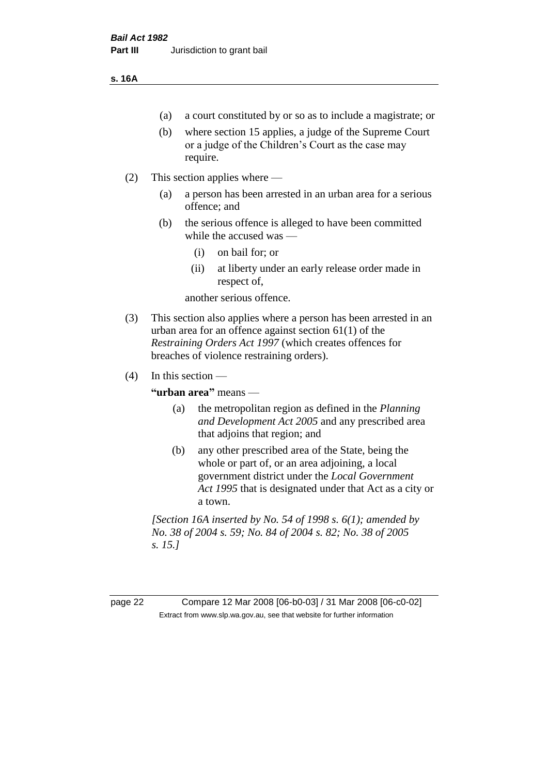#### **s. 16A**

- (a) a court constituted by or so as to include a magistrate; or
- (b) where section 15 applies, a judge of the Supreme Court or a judge of the Children's Court as the case may require.
- (2) This section applies where
	- (a) a person has been arrested in an urban area for a serious offence; and
	- (b) the serious offence is alleged to have been committed while the accused was —
		- (i) on bail for; or
		- (ii) at liberty under an early release order made in respect of,

another serious offence.

- (3) This section also applies where a person has been arrested in an urban area for an offence against section 61(1) of the *Restraining Orders Act 1997* (which creates offences for breaches of violence restraining orders).
- $(4)$  In this section —

**"urban area"** means —

- (a) the metropolitan region as defined in the *Planning and Development Act 2005* and any prescribed area that adjoins that region; and
- (b) any other prescribed area of the State, being the whole or part of, or an area adjoining, a local government district under the *Local Government Act 1995* that is designated under that Act as a city or a town.

*[Section 16A inserted by No. 54 of 1998 s. 6(1); amended by No. 38 of 2004 s. 59; No. 84 of 2004 s. 82; No. 38 of 2005 s. 15.]*

page 22 Compare 12 Mar 2008 [06-b0-03] / 31 Mar 2008 [06-c0-02] Extract from www.slp.wa.gov.au, see that website for further information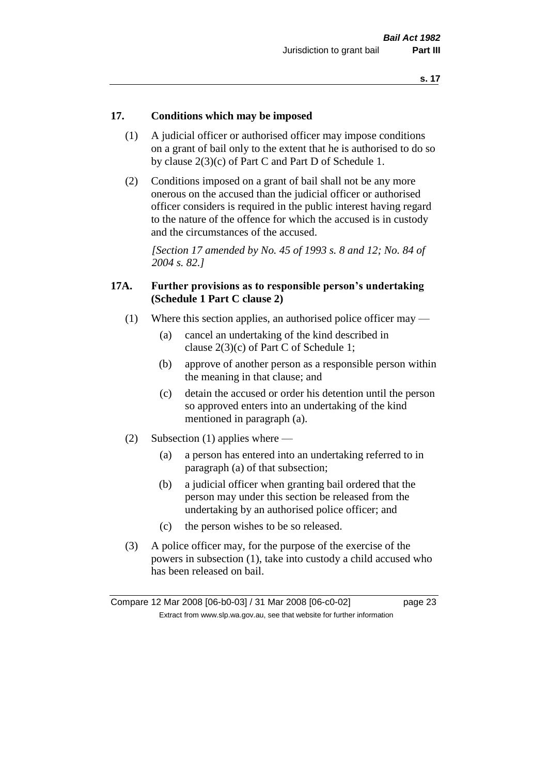#### **17. Conditions which may be imposed**

- (1) A judicial officer or authorised officer may impose conditions on a grant of bail only to the extent that he is authorised to do so by clause 2(3)(c) of Part C and Part D of Schedule 1.
- (2) Conditions imposed on a grant of bail shall not be any more onerous on the accused than the judicial officer or authorised officer considers is required in the public interest having regard to the nature of the offence for which the accused is in custody and the circumstances of the accused.

*[Section 17 amended by No. 45 of 1993 s. 8 and 12; No. 84 of 2004 s. 82.]* 

#### **17A. Further provisions as to responsible person's undertaking (Schedule 1 Part C clause 2)**

- (1) Where this section applies, an authorised police officer may
	- (a) cancel an undertaking of the kind described in clause 2(3)(c) of Part C of Schedule 1;
	- (b) approve of another person as a responsible person within the meaning in that clause; and
	- (c) detain the accused or order his detention until the person so approved enters into an undertaking of the kind mentioned in paragraph (a).
- (2) Subsection (1) applies where
	- (a) a person has entered into an undertaking referred to in paragraph (a) of that subsection;
	- (b) a judicial officer when granting bail ordered that the person may under this section be released from the undertaking by an authorised police officer; and
	- (c) the person wishes to be so released.
- (3) A police officer may, for the purpose of the exercise of the powers in subsection (1), take into custody a child accused who has been released on bail.

Compare 12 Mar 2008 [06-b0-03] / 31 Mar 2008 [06-c0-02] page 23 Extract from www.slp.wa.gov.au, see that website for further information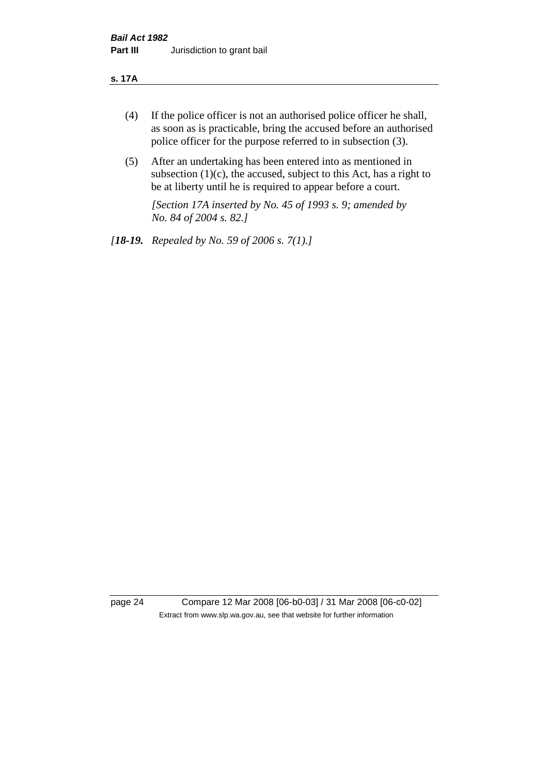#### **s. 17A**

- (4) If the police officer is not an authorised police officer he shall, as soon as is practicable, bring the accused before an authorised police officer for the purpose referred to in subsection (3).
- (5) After an undertaking has been entered into as mentioned in subsection  $(1)(c)$ , the accused, subject to this Act, has a right to be at liberty until he is required to appear before a court.

*[Section 17A inserted by No. 45 of 1993 s. 9; amended by No. 84 of 2004 s. 82.]* 

*[18-19. Repealed by No. 59 of 2006 s. 7(1).]*

page 24 Compare 12 Mar 2008 [06-b0-03] / 31 Mar 2008 [06-c0-02] Extract from www.slp.wa.gov.au, see that website for further information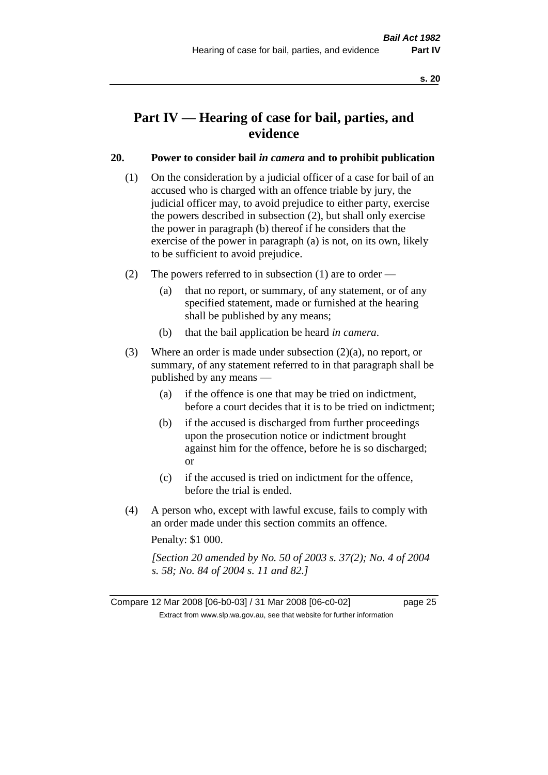# **Part IV — Hearing of case for bail, parties, and evidence**

#### **20. Power to consider bail** *in camera* **and to prohibit publication**

- (1) On the consideration by a judicial officer of a case for bail of an accused who is charged with an offence triable by jury, the judicial officer may, to avoid prejudice to either party, exercise the powers described in subsection (2), but shall only exercise the power in paragraph (b) thereof if he considers that the exercise of the power in paragraph (a) is not, on its own, likely to be sufficient to avoid prejudice.
- (2) The powers referred to in subsection (1) are to order
	- (a) that no report, or summary, of any statement, or of any specified statement, made or furnished at the hearing shall be published by any means;
	- (b) that the bail application be heard *in camera*.
- (3) Where an order is made under subsection (2)(a), no report, or summary, of any statement referred to in that paragraph shall be published by any means —
	- (a) if the offence is one that may be tried on indictment, before a court decides that it is to be tried on indictment;
	- (b) if the accused is discharged from further proceedings upon the prosecution notice or indictment brought against him for the offence, before he is so discharged; or
	- (c) if the accused is tried on indictment for the offence, before the trial is ended.
- (4) A person who, except with lawful excuse, fails to comply with an order made under this section commits an offence.

Penalty: \$1 000.

*[Section 20 amended by No. 50 of 2003 s. 37(2); No. 4 of 2004 s. 58; No. 84 of 2004 s. 11 and 82.]*

Compare 12 Mar 2008 [06-b0-03] / 31 Mar 2008 [06-c0-02] page 25 Extract from www.slp.wa.gov.au, see that website for further information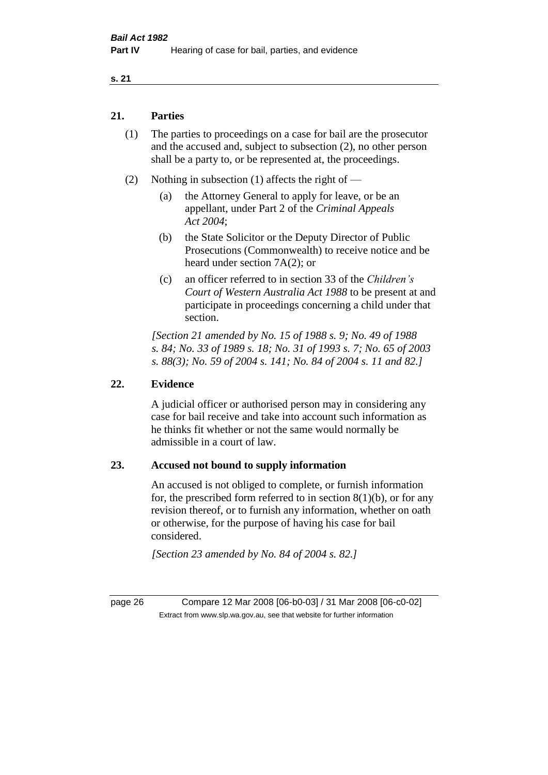#### **21. Parties**

- (1) The parties to proceedings on a case for bail are the prosecutor and the accused and, subject to subsection (2), no other person shall be a party to, or be represented at, the proceedings.
- (2) Nothing in subsection (1) affects the right of
	- (a) the Attorney General to apply for leave, or be an appellant, under Part 2 of the *Criminal Appeals Act 2004*;
	- (b) the State Solicitor or the Deputy Director of Public Prosecutions (Commonwealth) to receive notice and be heard under section 7A(2); or
	- (c) an officer referred to in section 33 of the *Children's Court of Western Australia Act 1988* to be present at and participate in proceedings concerning a child under that section.

*[Section 21 amended by No. 15 of 1988 s. 9; No. 49 of 1988 s. 84; No. 33 of 1989 s. 18; No. 31 of 1993 s. 7; No. 65 of 2003 s. 88(3); No. 59 of 2004 s. 141; No. 84 of 2004 s. 11 and 82.]* 

#### **22. Evidence**

A judicial officer or authorised person may in considering any case for bail receive and take into account such information as he thinks fit whether or not the same would normally be admissible in a court of law.

#### **23. Accused not bound to supply information**

An accused is not obliged to complete, or furnish information for, the prescribed form referred to in section  $8(1)(b)$ , or for any revision thereof, or to furnish any information, whether on oath or otherwise, for the purpose of having his case for bail considered.

*[Section 23 amended by No. 84 of 2004 s. 82.]* 

page 26 Compare 12 Mar 2008 [06-b0-03] / 31 Mar 2008 [06-c0-02] Extract from www.slp.wa.gov.au, see that website for further information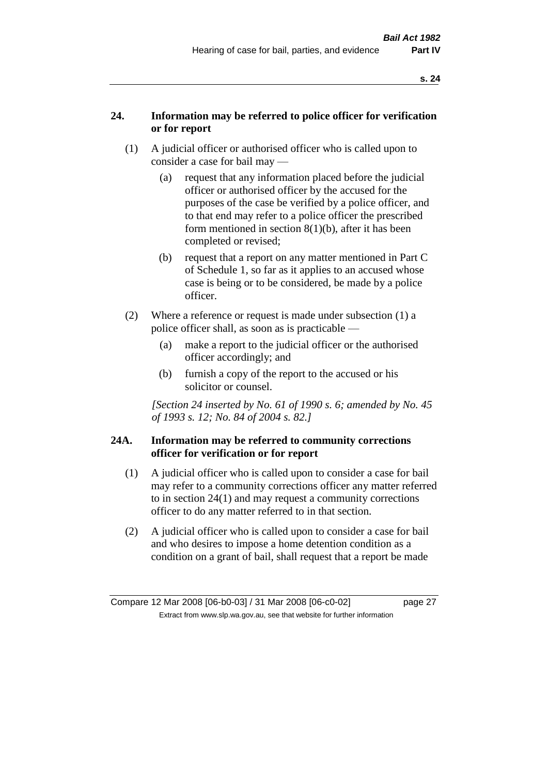#### **24. Information may be referred to police officer for verification or for report**

- (1) A judicial officer or authorised officer who is called upon to consider a case for bail may —
	- (a) request that any information placed before the judicial officer or authorised officer by the accused for the purposes of the case be verified by a police officer, and to that end may refer to a police officer the prescribed form mentioned in section 8(1)(b), after it has been completed or revised;
	- (b) request that a report on any matter mentioned in Part C of Schedule 1, so far as it applies to an accused whose case is being or to be considered, be made by a police officer.
- (2) Where a reference or request is made under subsection (1) a police officer shall, as soon as is practicable —
	- (a) make a report to the judicial officer or the authorised officer accordingly; and
	- (b) furnish a copy of the report to the accused or his solicitor or counsel.

*[Section 24 inserted by No. 61 of 1990 s. 6; amended by No. 45 of 1993 s. 12; No. 84 of 2004 s. 82.]* 

#### **24A. Information may be referred to community corrections officer for verification or for report**

- (1) A judicial officer who is called upon to consider a case for bail may refer to a community corrections officer any matter referred to in section 24(1) and may request a community corrections officer to do any matter referred to in that section.
- (2) A judicial officer who is called upon to consider a case for bail and who desires to impose a home detention condition as a condition on a grant of bail, shall request that a report be made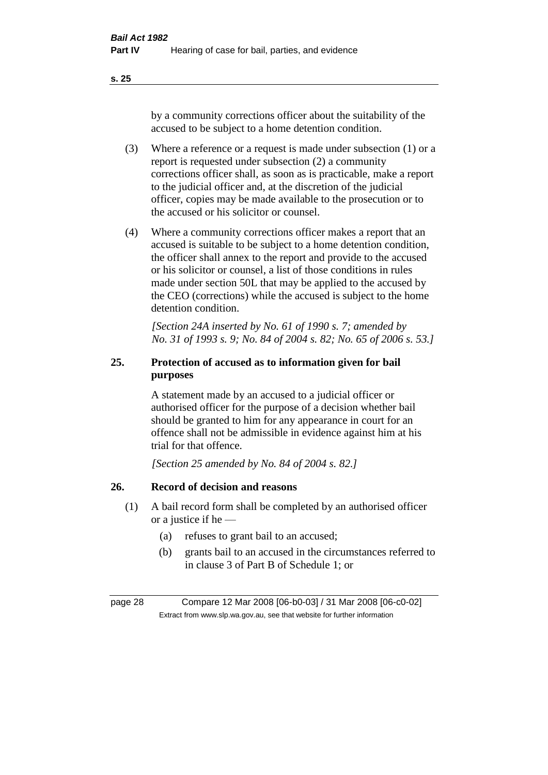by a community corrections officer about the suitability of the accused to be subject to a home detention condition.

- (3) Where a reference or a request is made under subsection (1) or a report is requested under subsection (2) a community corrections officer shall, as soon as is practicable, make a report to the judicial officer and, at the discretion of the judicial officer, copies may be made available to the prosecution or to the accused or his solicitor or counsel.
- (4) Where a community corrections officer makes a report that an accused is suitable to be subject to a home detention condition, the officer shall annex to the report and provide to the accused or his solicitor or counsel, a list of those conditions in rules made under section 50L that may be applied to the accused by the CEO (corrections) while the accused is subject to the home detention condition.

*[Section 24A inserted by No. 61 of 1990 s. 7; amended by No. 31 of 1993 s. 9; No. 84 of 2004 s. 82; No. 65 of 2006 s. 53.]* 

# **25. Protection of accused as to information given for bail purposes**

A statement made by an accused to a judicial officer or authorised officer for the purpose of a decision whether bail should be granted to him for any appearance in court for an offence shall not be admissible in evidence against him at his trial for that offence.

*[Section 25 amended by No. 84 of 2004 s. 82.]* 

# **26. Record of decision and reasons**

- (1) A bail record form shall be completed by an authorised officer or a justice if he —
	- (a) refuses to grant bail to an accused;
	- (b) grants bail to an accused in the circumstances referred to in clause 3 of Part B of Schedule 1; or

page 28 Compare 12 Mar 2008 [06-b0-03] / 31 Mar 2008 [06-c0-02] Extract from www.slp.wa.gov.au, see that website for further information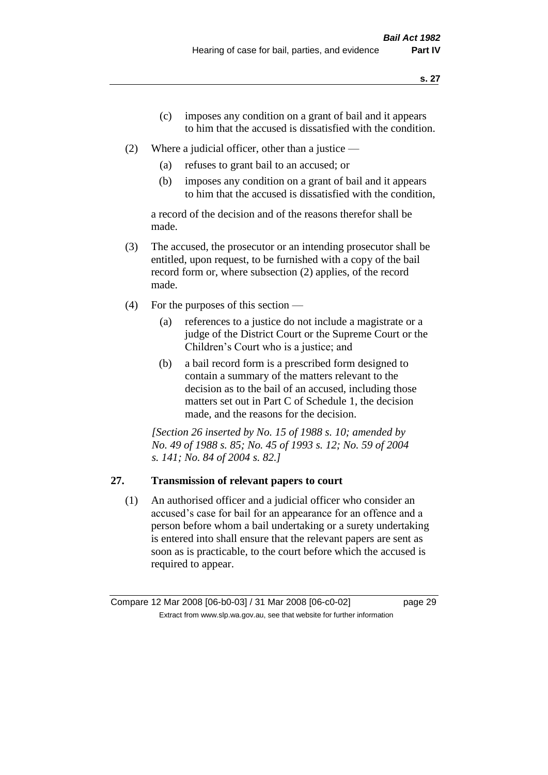- (c) imposes any condition on a grant of bail and it appears to him that the accused is dissatisfied with the condition.
- (2) Where a judicial officer, other than a justice
	- (a) refuses to grant bail to an accused; or
	- (b) imposes any condition on a grant of bail and it appears to him that the accused is dissatisfied with the condition,

a record of the decision and of the reasons therefor shall be made.

- (3) The accused, the prosecutor or an intending prosecutor shall be entitled, upon request, to be furnished with a copy of the bail record form or, where subsection (2) applies, of the record made.
- (4) For the purposes of this section
	- (a) references to a justice do not include a magistrate or a judge of the District Court or the Supreme Court or the Children's Court who is a justice; and
	- (b) a bail record form is a prescribed form designed to contain a summary of the matters relevant to the decision as to the bail of an accused, including those matters set out in Part C of Schedule 1, the decision made, and the reasons for the decision.

*[Section 26 inserted by No. 15 of 1988 s. 10; amended by No. 49 of 1988 s. 85; No. 45 of 1993 s. 12; No. 59 of 2004 s. 141; No. 84 of 2004 s. 82.]* 

# **27. Transmission of relevant papers to court**

(1) An authorised officer and a judicial officer who consider an accused's case for bail for an appearance for an offence and a person before whom a bail undertaking or a surety undertaking is entered into shall ensure that the relevant papers are sent as soon as is practicable, to the court before which the accused is required to appear.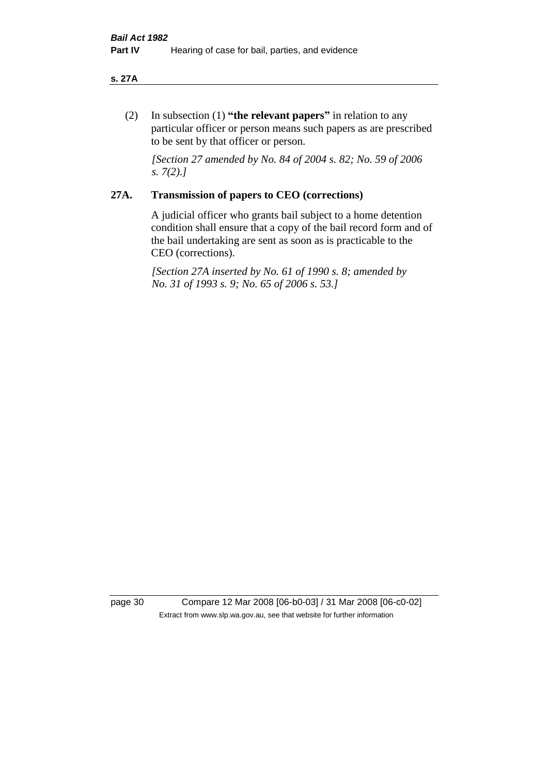#### **s. 27A**

(2) In subsection (1) **"the relevant papers"** in relation to any particular officer or person means such papers as are prescribed to be sent by that officer or person.

*[Section 27 amended by No. 84 of 2004 s. 82; No. 59 of 2006 s. 7(2).]* 

#### **27A. Transmission of papers to CEO (corrections)**

A judicial officer who grants bail subject to a home detention condition shall ensure that a copy of the bail record form and of the bail undertaking are sent as soon as is practicable to the CEO (corrections).

*[Section 27A inserted by No. 61 of 1990 s. 8; amended by No. 31 of 1993 s. 9; No. 65 of 2006 s. 53.]* 

page 30 Compare 12 Mar 2008 [06-b0-03] / 31 Mar 2008 [06-c0-02] Extract from www.slp.wa.gov.au, see that website for further information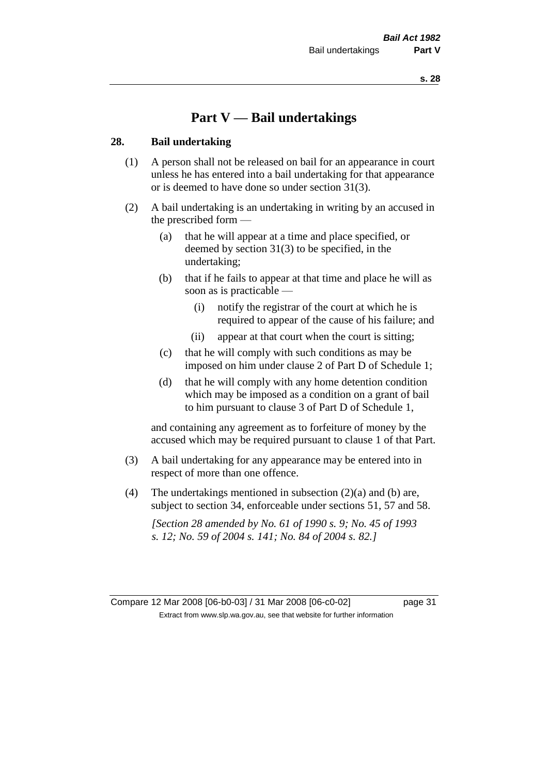# **Part V — Bail undertakings**

#### **28. Bail undertaking**

- (1) A person shall not be released on bail for an appearance in court unless he has entered into a bail undertaking for that appearance or is deemed to have done so under section 31(3).
- (2) A bail undertaking is an undertaking in writing by an accused in the prescribed form —
	- (a) that he will appear at a time and place specified, or deemed by section 31(3) to be specified, in the undertaking;
	- (b) that if he fails to appear at that time and place he will as soon as is practicable —
		- (i) notify the registrar of the court at which he is required to appear of the cause of his failure; and
		- (ii) appear at that court when the court is sitting;
	- (c) that he will comply with such conditions as may be imposed on him under clause 2 of Part D of Schedule 1;
	- (d) that he will comply with any home detention condition which may be imposed as a condition on a grant of bail to him pursuant to clause 3 of Part D of Schedule 1,

and containing any agreement as to forfeiture of money by the accused which may be required pursuant to clause 1 of that Part.

- (3) A bail undertaking for any appearance may be entered into in respect of more than one offence.
- (4) The undertakings mentioned in subsection  $(2)(a)$  and (b) are, subject to section 34, enforceable under sections 51, 57 and 58.

*[Section 28 amended by No. 61 of 1990 s. 9; No. 45 of 1993 s. 12; No. 59 of 2004 s. 141; No. 84 of 2004 s. 82.]* 

Compare 12 Mar 2008 [06-b0-03] / 31 Mar 2008 [06-c0-02] page 31 Extract from www.slp.wa.gov.au, see that website for further information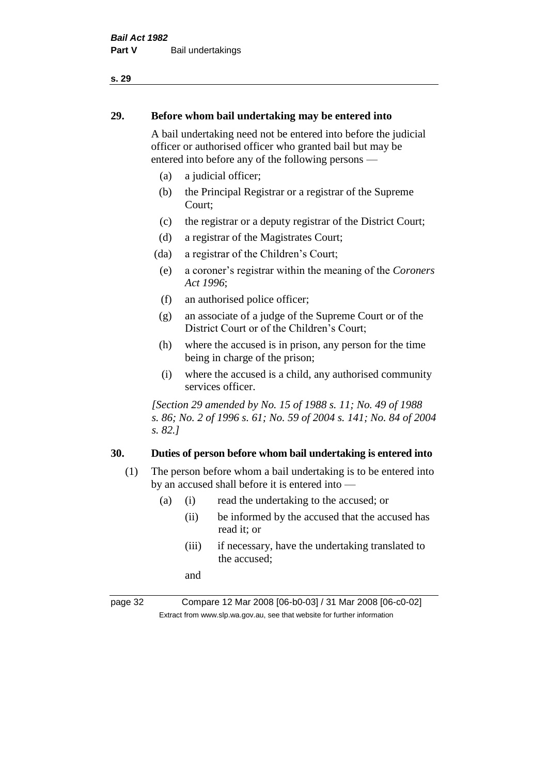#### **29. Before whom bail undertaking may be entered into**

A bail undertaking need not be entered into before the judicial officer or authorised officer who granted bail but may be entered into before any of the following persons —

- (a) a judicial officer;
- (b) the Principal Registrar or a registrar of the Supreme Court;
- (c) the registrar or a deputy registrar of the District Court;
- (d) a registrar of the Magistrates Court;
- (da) a registrar of the Children's Court;
- (e) a coroner's registrar within the meaning of the *Coroners Act 1996*;
- (f) an authorised police officer;
- (g) an associate of a judge of the Supreme Court or of the District Court or of the Children's Court;
- (h) where the accused is in prison, any person for the time being in charge of the prison;
- (i) where the accused is a child, any authorised community services officer.

*[Section 29 amended by No. 15 of 1988 s. 11; No. 49 of 1988 s. 86; No. 2 of 1996 s. 61; No. 59 of 2004 s. 141; No. 84 of 2004 s. 82.]* 

#### **30. Duties of person before whom bail undertaking is entered into**

- (1) The person before whom a bail undertaking is to be entered into by an accused shall before it is entered into —
	- (a) (i) read the undertaking to the accused; or
		- (ii) be informed by the accused that the accused has read it; or
		- (iii) if necessary, have the undertaking translated to the accused;

and

page 32 Compare 12 Mar 2008 [06-b0-03] / 31 Mar 2008 [06-c0-02] Extract from www.slp.wa.gov.au, see that website for further information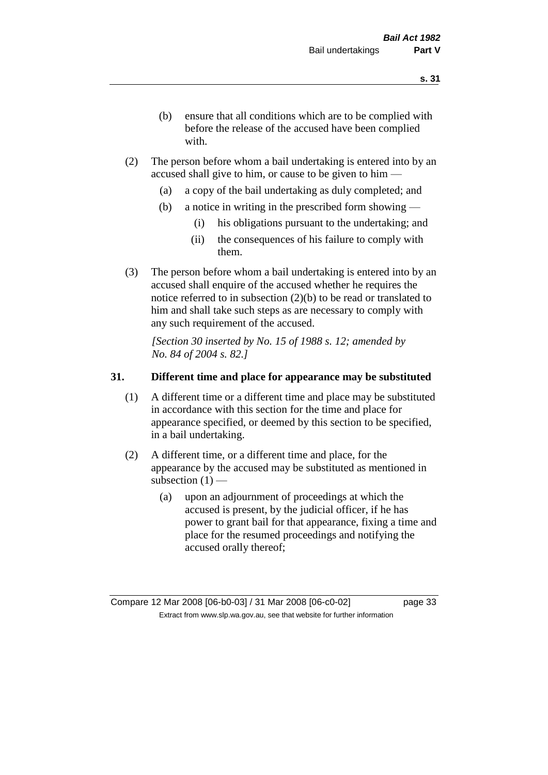- (b) ensure that all conditions which are to be complied with before the release of the accused have been complied with.
- (2) The person before whom a bail undertaking is entered into by an accused shall give to him, or cause to be given to him —
	- (a) a copy of the bail undertaking as duly completed; and
	- (b) a notice in writing in the prescribed form showing
		- (i) his obligations pursuant to the undertaking; and
		- (ii) the consequences of his failure to comply with them.
- (3) The person before whom a bail undertaking is entered into by an accused shall enquire of the accused whether he requires the notice referred to in subsection (2)(b) to be read or translated to him and shall take such steps as are necessary to comply with any such requirement of the accused.

*[Section 30 inserted by No. 15 of 1988 s. 12; amended by No. 84 of 2004 s. 82.]* 

#### **31. Different time and place for appearance may be substituted**

- (1) A different time or a different time and place may be substituted in accordance with this section for the time and place for appearance specified, or deemed by this section to be specified, in a bail undertaking.
- (2) A different time, or a different time and place, for the appearance by the accused may be substituted as mentioned in subsection  $(1)$  —
	- (a) upon an adjournment of proceedings at which the accused is present, by the judicial officer, if he has power to grant bail for that appearance, fixing a time and place for the resumed proceedings and notifying the accused orally thereof;

Compare 12 Mar 2008 [06-b0-03] / 31 Mar 2008 [06-c0-02] page 33 Extract from www.slp.wa.gov.au, see that website for further information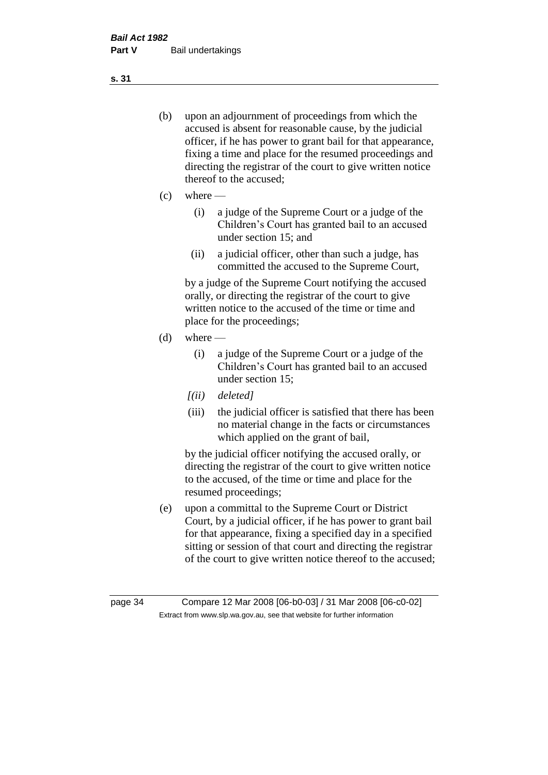- (b) upon an adjournment of proceedings from which the accused is absent for reasonable cause, by the judicial officer, if he has power to grant bail for that appearance, fixing a time and place for the resumed proceedings and directing the registrar of the court to give written notice thereof to the accused;
- $(c)$  where
	- (i) a judge of the Supreme Court or a judge of the Children's Court has granted bail to an accused under section 15; and
	- (ii) a judicial officer, other than such a judge, has committed the accused to the Supreme Court,

by a judge of the Supreme Court notifying the accused orally, or directing the registrar of the court to give written notice to the accused of the time or time and place for the proceedings;

- $(d)$  where
	- (i) a judge of the Supreme Court or a judge of the Children's Court has granted bail to an accused under section 15;
	- *[(ii) deleted]*
	- (iii) the judicial officer is satisfied that there has been no material change in the facts or circumstances which applied on the grant of bail,

by the judicial officer notifying the accused orally, or directing the registrar of the court to give written notice to the accused, of the time or time and place for the resumed proceedings;

(e) upon a committal to the Supreme Court or District Court, by a judicial officer, if he has power to grant bail for that appearance, fixing a specified day in a specified sitting or session of that court and directing the registrar of the court to give written notice thereof to the accused;

**s. 31**

page 34 Compare 12 Mar 2008 [06-b0-03] / 31 Mar 2008 [06-c0-02] Extract from www.slp.wa.gov.au, see that website for further information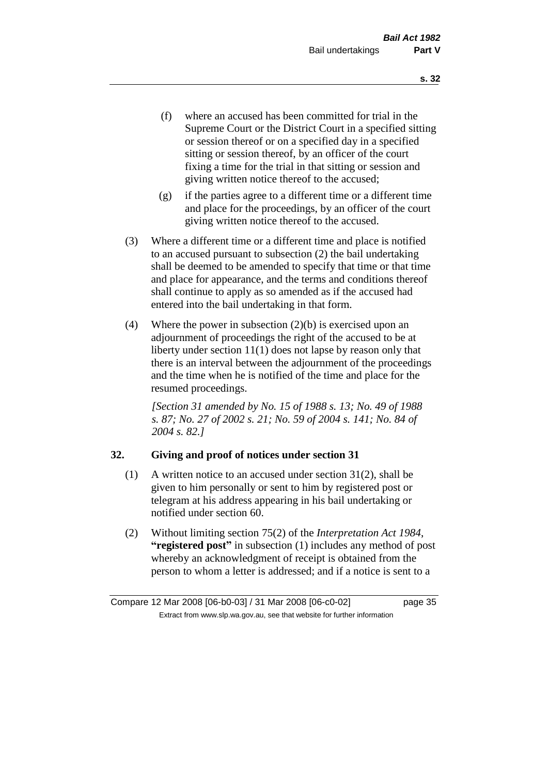- (f) where an accused has been committed for trial in the Supreme Court or the District Court in a specified sitting or session thereof or on a specified day in a specified sitting or session thereof, by an officer of the court fixing a time for the trial in that sitting or session and giving written notice thereof to the accused;
- (g) if the parties agree to a different time or a different time and place for the proceedings, by an officer of the court giving written notice thereof to the accused.
- (3) Where a different time or a different time and place is notified to an accused pursuant to subsection (2) the bail undertaking shall be deemed to be amended to specify that time or that time and place for appearance, and the terms and conditions thereof shall continue to apply as so amended as if the accused had entered into the bail undertaking in that form.
- (4) Where the power in subsection  $(2)(b)$  is exercised upon an adjournment of proceedings the right of the accused to be at liberty under section 11(1) does not lapse by reason only that there is an interval between the adjournment of the proceedings and the time when he is notified of the time and place for the resumed proceedings.

*[Section 31 amended by No. 15 of 1988 s. 13; No. 49 of 1988 s. 87; No. 27 of 2002 s. 21; No. 59 of 2004 s. 141; No. 84 of 2004 s. 82.]* 

### **32. Giving and proof of notices under section 31**

- (1) A written notice to an accused under section 31(2), shall be given to him personally or sent to him by registered post or telegram at his address appearing in his bail undertaking or notified under section 60.
- (2) Without limiting section 75(2) of the *Interpretation Act 1984*, **"registered post"** in subsection (1) includes any method of post whereby an acknowledgment of receipt is obtained from the person to whom a letter is addressed; and if a notice is sent to a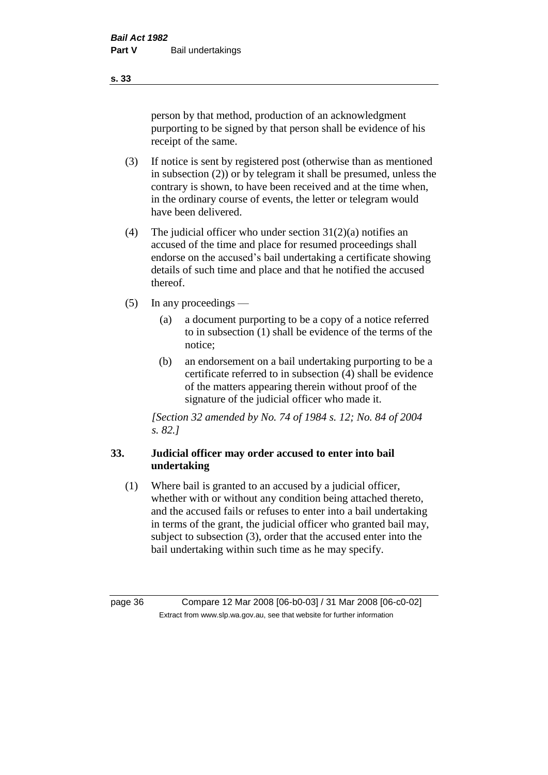person by that method, production of an acknowledgment purporting to be signed by that person shall be evidence of his receipt of the same.

- (3) If notice is sent by registered post (otherwise than as mentioned in subsection (2)) or by telegram it shall be presumed, unless the contrary is shown, to have been received and at the time when, in the ordinary course of events, the letter or telegram would have been delivered.
- (4) The judicial officer who under section  $31(2)(a)$  notifies an accused of the time and place for resumed proceedings shall endorse on the accused's bail undertaking a certificate showing details of such time and place and that he notified the accused thereof.
- (5) In any proceedings
	- (a) a document purporting to be a copy of a notice referred to in subsection (1) shall be evidence of the terms of the notice;
	- (b) an endorsement on a bail undertaking purporting to be a certificate referred to in subsection (4) shall be evidence of the matters appearing therein without proof of the signature of the judicial officer who made it.

*[Section 32 amended by No. 74 of 1984 s. 12; No. 84 of 2004 s. 82.]* 

## **33. Judicial officer may order accused to enter into bail undertaking**

(1) Where bail is granted to an accused by a judicial officer, whether with or without any condition being attached thereto, and the accused fails or refuses to enter into a bail undertaking in terms of the grant, the judicial officer who granted bail may, subject to subsection (3), order that the accused enter into the bail undertaking within such time as he may specify.

page 36 Compare 12 Mar 2008 [06-b0-03] / 31 Mar 2008 [06-c0-02] Extract from www.slp.wa.gov.au, see that website for further information

**s. 33**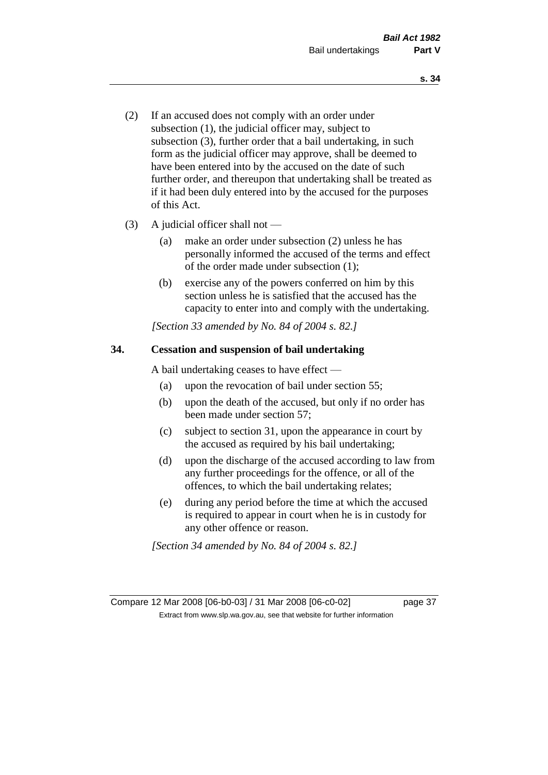- (2) If an accused does not comply with an order under subsection (1), the judicial officer may, subject to subsection (3), further order that a bail undertaking, in such form as the judicial officer may approve, shall be deemed to have been entered into by the accused on the date of such further order, and thereupon that undertaking shall be treated as if it had been duly entered into by the accused for the purposes of this Act.
- (3) A judicial officer shall not
	- (a) make an order under subsection (2) unless he has personally informed the accused of the terms and effect of the order made under subsection (1);
	- (b) exercise any of the powers conferred on him by this section unless he is satisfied that the accused has the capacity to enter into and comply with the undertaking.

*[Section 33 amended by No. 84 of 2004 s. 82.]* 

### **34. Cessation and suspension of bail undertaking**

A bail undertaking ceases to have effect —

- (a) upon the revocation of bail under section 55;
- (b) upon the death of the accused, but only if no order has been made under section 57;
- (c) subject to section 31, upon the appearance in court by the accused as required by his bail undertaking;
- (d) upon the discharge of the accused according to law from any further proceedings for the offence, or all of the offences, to which the bail undertaking relates;
- (e) during any period before the time at which the accused is required to appear in court when he is in custody for any other offence or reason.

*[Section 34 amended by No. 84 of 2004 s. 82.]* 

Compare 12 Mar 2008 [06-b0-03] / 31 Mar 2008 [06-c0-02] page 37 Extract from www.slp.wa.gov.au, see that website for further information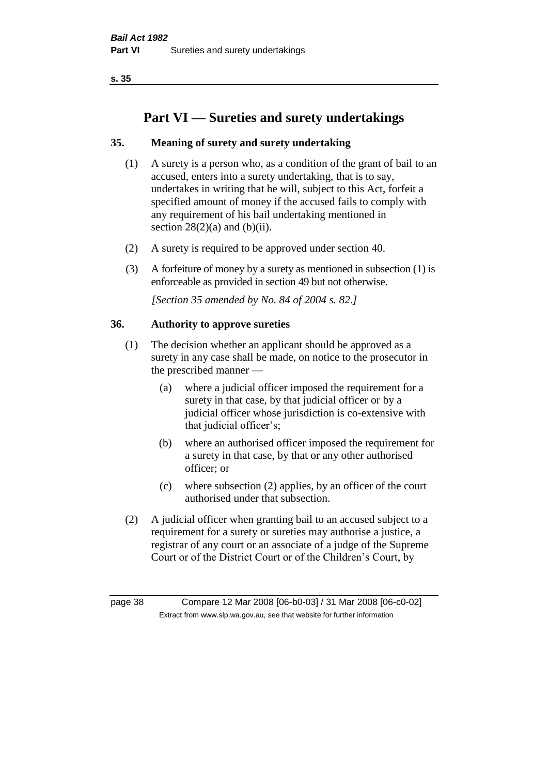**s. 35**

# **Part VI — Sureties and surety undertakings**

# **35. Meaning of surety and surety undertaking**

- (1) A surety is a person who, as a condition of the grant of bail to an accused, enters into a surety undertaking, that is to say, undertakes in writing that he will, subject to this Act, forfeit a specified amount of money if the accused fails to comply with any requirement of his bail undertaking mentioned in section  $28(2)(a)$  and  $(b)(ii)$ .
- (2) A surety is required to be approved under section 40.
- (3) A forfeiture of money by a surety as mentioned in subsection (1) is enforceable as provided in section 49 but not otherwise.

*[Section 35 amended by No. 84 of 2004 s. 82.]* 

### **36. Authority to approve sureties**

- (1) The decision whether an applicant should be approved as a surety in any case shall be made, on notice to the prosecutor in the prescribed manner —
	- (a) where a judicial officer imposed the requirement for a surety in that case, by that judicial officer or by a judicial officer whose jurisdiction is co-extensive with that judicial officer's;
	- (b) where an authorised officer imposed the requirement for a surety in that case, by that or any other authorised officer; or
	- (c) where subsection (2) applies, by an officer of the court authorised under that subsection.
- (2) A judicial officer when granting bail to an accused subject to a requirement for a surety or sureties may authorise a justice, a registrar of any court or an associate of a judge of the Supreme Court or of the District Court or of the Children's Court, by

page 38 Compare 12 Mar 2008 [06-b0-03] / 31 Mar 2008 [06-c0-02] Extract from www.slp.wa.gov.au, see that website for further information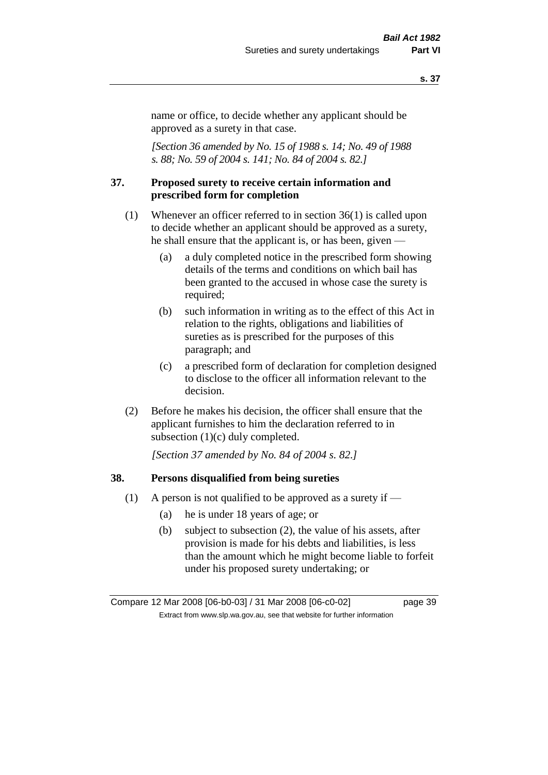#### **s. 37**

name or office, to decide whether any applicant should be approved as a surety in that case.

*[Section 36 amended by No. 15 of 1988 s. 14; No. 49 of 1988 s. 88; No. 59 of 2004 s. 141; No. 84 of 2004 s. 82.]* 

#### **37. Proposed surety to receive certain information and prescribed form for completion**

- (1) Whenever an officer referred to in section 36(1) is called upon to decide whether an applicant should be approved as a surety, he shall ensure that the applicant is, or has been, given —
	- (a) a duly completed notice in the prescribed form showing details of the terms and conditions on which bail has been granted to the accused in whose case the surety is required;
	- (b) such information in writing as to the effect of this Act in relation to the rights, obligations and liabilities of sureties as is prescribed for the purposes of this paragraph; and
	- (c) a prescribed form of declaration for completion designed to disclose to the officer all information relevant to the decision.
- (2) Before he makes his decision, the officer shall ensure that the applicant furnishes to him the declaration referred to in subsection (1)(c) duly completed.

*[Section 37 amended by No. 84 of 2004 s. 82.]* 

#### **38. Persons disqualified from being sureties**

- (1) A person is not qualified to be approved as a surety if  $-$ 
	- (a) he is under 18 years of age; or
	- (b) subject to subsection (2), the value of his assets, after provision is made for his debts and liabilities, is less than the amount which he might become liable to forfeit under his proposed surety undertaking; or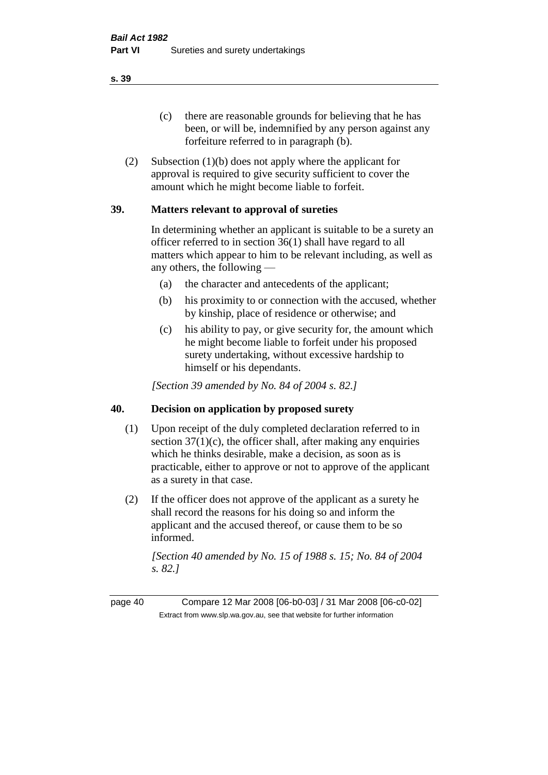(c) there are reasonable grounds for believing that he has been, or will be, indemnified by any person against any forfeiture referred to in paragraph (b).

(2) Subsection (1)(b) does not apply where the applicant for approval is required to give security sufficient to cover the amount which he might become liable to forfeit.

### **39. Matters relevant to approval of sureties**

In determining whether an applicant is suitable to be a surety an officer referred to in section 36(1) shall have regard to all matters which appear to him to be relevant including, as well as any others, the following —

- (a) the character and antecedents of the applicant;
- (b) his proximity to or connection with the accused, whether by kinship, place of residence or otherwise; and
- (c) his ability to pay, or give security for, the amount which he might become liable to forfeit under his proposed surety undertaking, without excessive hardship to himself or his dependants.

*[Section 39 amended by No. 84 of 2004 s. 82.]* 

### **40. Decision on application by proposed surety**

- (1) Upon receipt of the duly completed declaration referred to in section  $37(1)(c)$ , the officer shall, after making any enquiries which he thinks desirable, make a decision, as soon as is practicable, either to approve or not to approve of the applicant as a surety in that case.
- (2) If the officer does not approve of the applicant as a surety he shall record the reasons for his doing so and inform the applicant and the accused thereof, or cause them to be so informed.

*[Section 40 amended by No. 15 of 1988 s. 15; No. 84 of 2004 s. 82.]* 

page 40 Compare 12 Mar 2008 [06-b0-03] / 31 Mar 2008 [06-c0-02] Extract from www.slp.wa.gov.au, see that website for further information

**s. 39**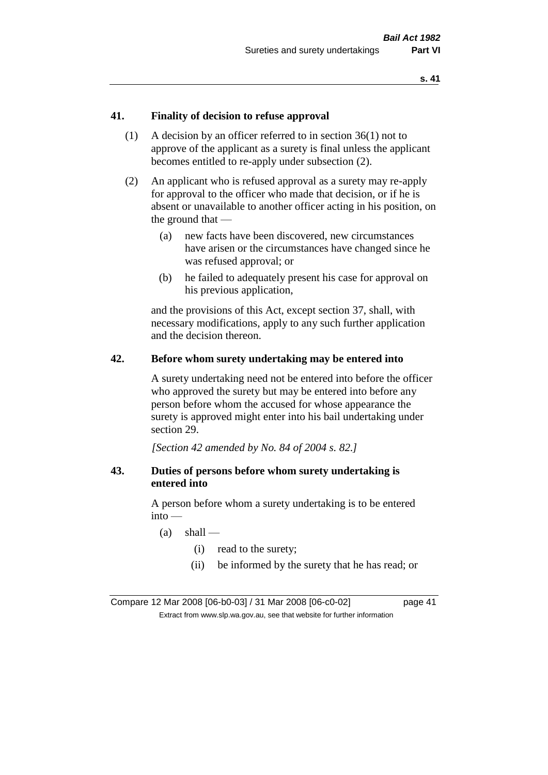### **41. Finality of decision to refuse approval**

- (1) A decision by an officer referred to in section 36(1) not to approve of the applicant as a surety is final unless the applicant becomes entitled to re-apply under subsection (2).
- (2) An applicant who is refused approval as a surety may re-apply for approval to the officer who made that decision, or if he is absent or unavailable to another officer acting in his position, on the ground that —
	- (a) new facts have been discovered, new circumstances have arisen or the circumstances have changed since he was refused approval; or
	- (b) he failed to adequately present his case for approval on his previous application,

and the provisions of this Act, except section 37, shall, with necessary modifications, apply to any such further application and the decision thereon.

#### **42. Before whom surety undertaking may be entered into**

A surety undertaking need not be entered into before the officer who approved the surety but may be entered into before any person before whom the accused for whose appearance the surety is approved might enter into his bail undertaking under section 29.

*[Section 42 amended by No. 84 of 2004 s. 82.]* 

### **43. Duties of persons before whom surety undertaking is entered into**

A person before whom a surety undertaking is to be entered into —

- $(a)$  shall
	- (i) read to the surety;
	- (ii) be informed by the surety that he has read; or

Compare 12 Mar 2008 [06-b0-03] / 31 Mar 2008 [06-c0-02] page 41 Extract from www.slp.wa.gov.au, see that website for further information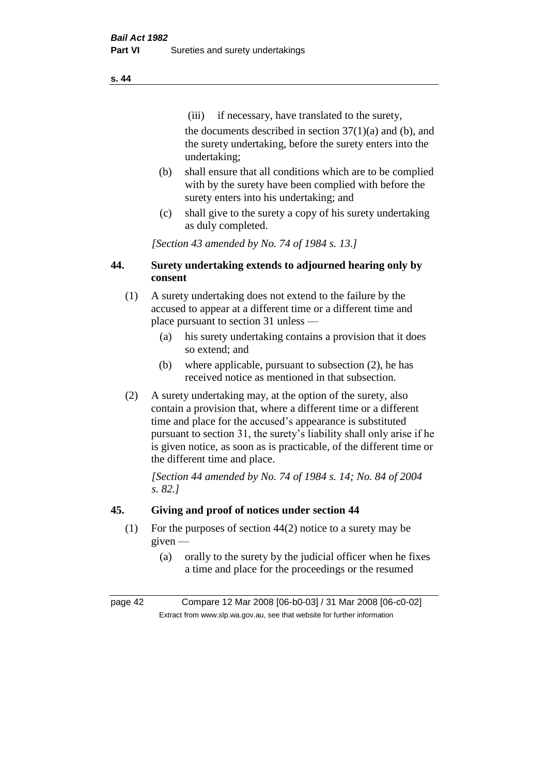(iii) if necessary, have translated to the surety, the documents described in section  $37(1)(a)$  and (b), and the surety undertaking, before the surety enters into the undertaking;

- (b) shall ensure that all conditions which are to be complied with by the surety have been complied with before the surety enters into his undertaking; and
- (c) shall give to the surety a copy of his surety undertaking as duly completed.

*[Section 43 amended by No. 74 of 1984 s. 13.]* 

## **44. Surety undertaking extends to adjourned hearing only by consent**

- (1) A surety undertaking does not extend to the failure by the accused to appear at a different time or a different time and place pursuant to section 31 unless —
	- (a) his surety undertaking contains a provision that it does so extend; and
	- (b) where applicable, pursuant to subsection (2), he has received notice as mentioned in that subsection.
- (2) A surety undertaking may, at the option of the surety, also contain a provision that, where a different time or a different time and place for the accused's appearance is substituted pursuant to section 31, the surety's liability shall only arise if he is given notice, as soon as is practicable, of the different time or the different time and place.

*[Section 44 amended by No. 74 of 1984 s. 14; No. 84 of 2004 s. 82.]* 

# **45. Giving and proof of notices under section 44**

- (1) For the purposes of section 44(2) notice to a surety may be given —
	- (a) orally to the surety by the judicial officer when he fixes a time and place for the proceedings or the resumed

page 42 Compare 12 Mar 2008 [06-b0-03] / 31 Mar 2008 [06-c0-02] Extract from www.slp.wa.gov.au, see that website for further information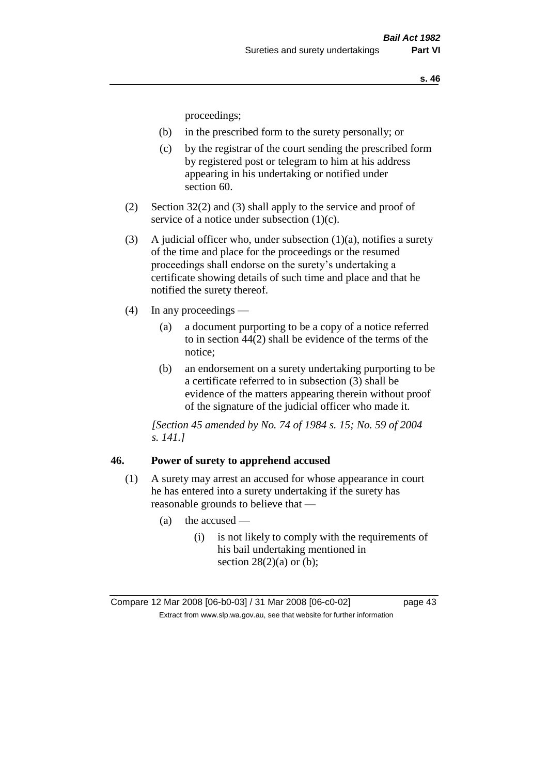proceedings;

- (b) in the prescribed form to the surety personally; or
- (c) by the registrar of the court sending the prescribed form by registered post or telegram to him at his address appearing in his undertaking or notified under section 60.
- (2) Section 32(2) and (3) shall apply to the service and proof of service of a notice under subsection (1)(c).
- (3) A judicial officer who, under subsection  $(1)(a)$ , notifies a surety of the time and place for the proceedings or the resumed proceedings shall endorse on the surety's undertaking a certificate showing details of such time and place and that he notified the surety thereof.
- (4) In any proceedings
	- (a) a document purporting to be a copy of a notice referred to in section 44(2) shall be evidence of the terms of the notice;
	- (b) an endorsement on a surety undertaking purporting to be a certificate referred to in subsection (3) shall be evidence of the matters appearing therein without proof of the signature of the judicial officer who made it.

*[Section 45 amended by No. 74 of 1984 s. 15; No. 59 of 2004 s. 141.]* 

#### **46. Power of surety to apprehend accused**

- (1) A surety may arrest an accused for whose appearance in court he has entered into a surety undertaking if the surety has reasonable grounds to believe that —
	- $(a)$  the accused
		- (i) is not likely to comply with the requirements of his bail undertaking mentioned in section  $28(2)(a)$  or (b);

Compare 12 Mar 2008 [06-b0-03] / 31 Mar 2008 [06-c0-02] page 43 Extract from www.slp.wa.gov.au, see that website for further information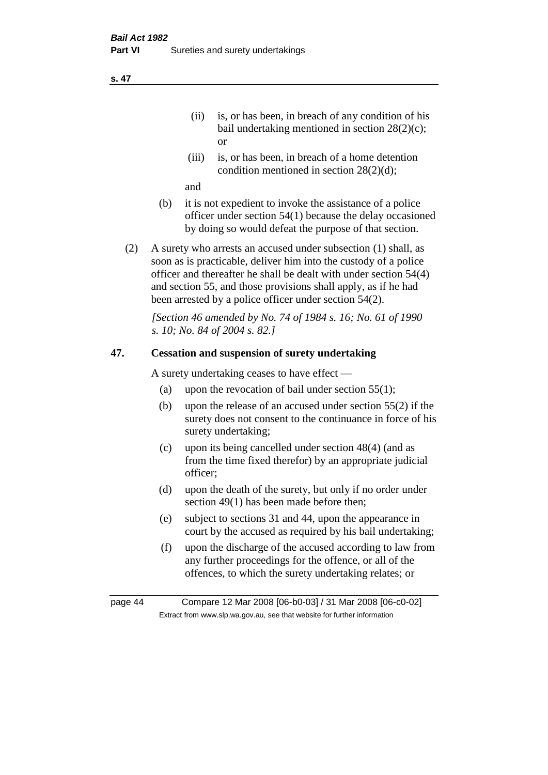- (ii) is, or has been, in breach of any condition of his bail undertaking mentioned in section 28(2)(c); or
- (iii) is, or has been, in breach of a home detention condition mentioned in section 28(2)(d);

and

- (b) it is not expedient to invoke the assistance of a police officer under section 54(1) because the delay occasioned by doing so would defeat the purpose of that section.
- (2) A surety who arrests an accused under subsection (1) shall, as soon as is practicable, deliver him into the custody of a police officer and thereafter he shall be dealt with under section 54(4) and section 55, and those provisions shall apply, as if he had been arrested by a police officer under section 54(2).

*[Section 46 amended by No. 74 of 1984 s. 16; No. 61 of 1990 s. 10; No. 84 of 2004 s. 82.]* 

#### **47. Cessation and suspension of surety undertaking**

A surety undertaking ceases to have effect —

- (a) upon the revocation of bail under section  $55(1)$ ;
- (b) upon the release of an accused under section 55(2) if the surety does not consent to the continuance in force of his surety undertaking;
- (c) upon its being cancelled under section 48(4) (and as from the time fixed therefor) by an appropriate judicial officer;
- (d) upon the death of the surety, but only if no order under section 49(1) has been made before then;
- (e) subject to sections 31 and 44, upon the appearance in court by the accused as required by his bail undertaking;
- (f) upon the discharge of the accused according to law from any further proceedings for the offence, or all of the offences, to which the surety undertaking relates; or

page 44 Compare 12 Mar 2008 [06-b0-03] / 31 Mar 2008 [06-c0-02] Extract from www.slp.wa.gov.au, see that website for further information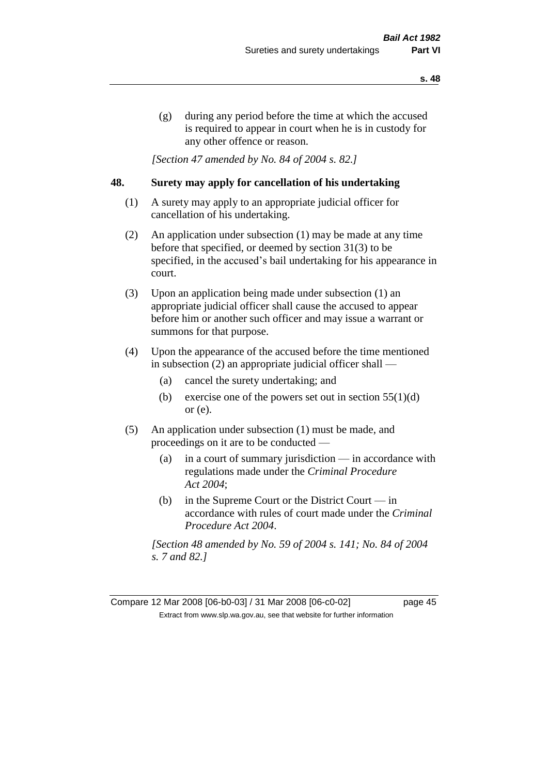(g) during any period before the time at which the accused is required to appear in court when he is in custody for any other offence or reason.

*[Section 47 amended by No. 84 of 2004 s. 82.]* 

### **48. Surety may apply for cancellation of his undertaking**

- (1) A surety may apply to an appropriate judicial officer for cancellation of his undertaking.
- (2) An application under subsection (1) may be made at any time before that specified, or deemed by section 31(3) to be specified, in the accused's bail undertaking for his appearance in court.
- (3) Upon an application being made under subsection (1) an appropriate judicial officer shall cause the accused to appear before him or another such officer and may issue a warrant or summons for that purpose.
- (4) Upon the appearance of the accused before the time mentioned in subsection (2) an appropriate judicial officer shall —
	- (a) cancel the surety undertaking; and
	- (b) exercise one of the powers set out in section  $55(1)(d)$ or (e).
- (5) An application under subsection (1) must be made, and proceedings on it are to be conducted —
	- (a) in a court of summary jurisdiction in accordance with regulations made under the *Criminal Procedure Act 2004*;
	- (b) in the Supreme Court or the District Court  $-\text{in}$ accordance with rules of court made under the *Criminal Procedure Act 2004*.

*[Section 48 amended by No. 59 of 2004 s. 141; No. 84 of 2004 s. 7 and 82.]* 

Compare 12 Mar 2008 [06-b0-03] / 31 Mar 2008 [06-c0-02] page 45 Extract from www.slp.wa.gov.au, see that website for further information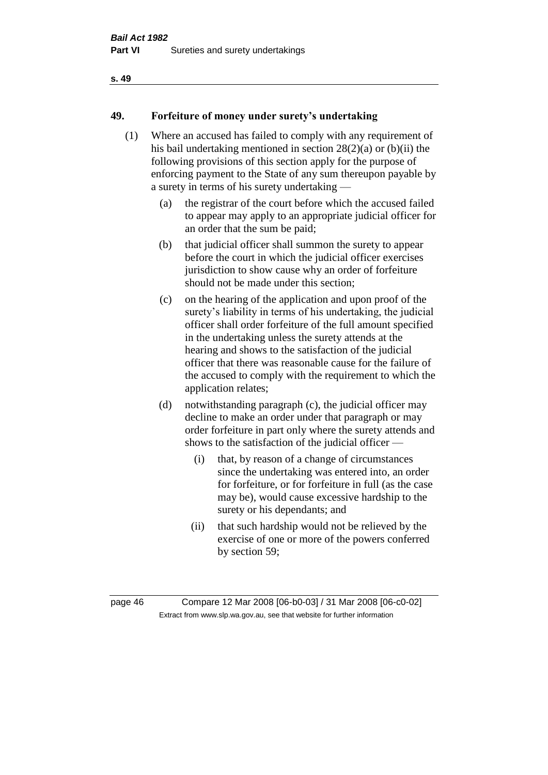#### **s. 49**

### **49. Forfeiture of money under surety's undertaking**

- (1) Where an accused has failed to comply with any requirement of his bail undertaking mentioned in section 28(2)(a) or (b)(ii) the following provisions of this section apply for the purpose of enforcing payment to the State of any sum thereupon payable by a surety in terms of his surety undertaking —
	- (a) the registrar of the court before which the accused failed to appear may apply to an appropriate judicial officer for an order that the sum be paid;
	- (b) that judicial officer shall summon the surety to appear before the court in which the judicial officer exercises jurisdiction to show cause why an order of forfeiture should not be made under this section;
	- (c) on the hearing of the application and upon proof of the surety's liability in terms of his undertaking, the judicial officer shall order forfeiture of the full amount specified in the undertaking unless the surety attends at the hearing and shows to the satisfaction of the judicial officer that there was reasonable cause for the failure of the accused to comply with the requirement to which the application relates;
	- (d) notwithstanding paragraph (c), the judicial officer may decline to make an order under that paragraph or may order forfeiture in part only where the surety attends and shows to the satisfaction of the judicial officer —
		- (i) that, by reason of a change of circumstances since the undertaking was entered into, an order for forfeiture, or for forfeiture in full (as the case may be), would cause excessive hardship to the surety or his dependants; and
		- (ii) that such hardship would not be relieved by the exercise of one or more of the powers conferred by section 59;

page 46 Compare 12 Mar 2008 [06-b0-03] / 31 Mar 2008 [06-c0-02] Extract from www.slp.wa.gov.au, see that website for further information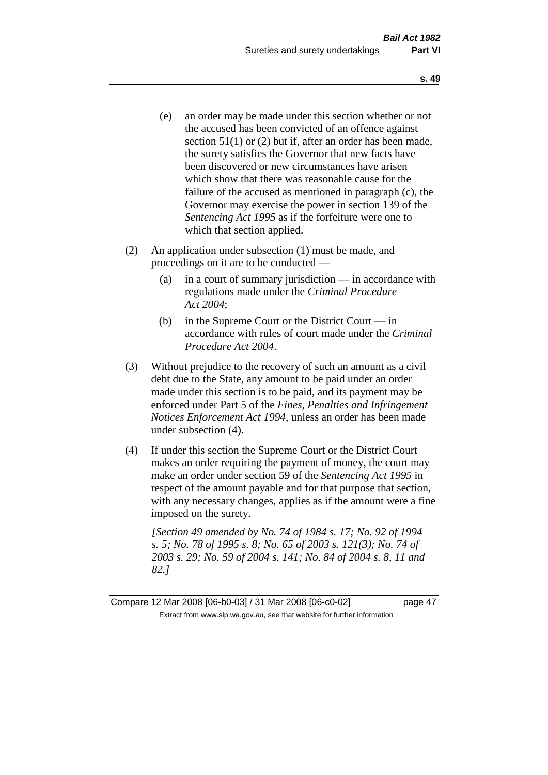- (e) an order may be made under this section whether or not the accused has been convicted of an offence against section 51(1) or (2) but if, after an order has been made, the surety satisfies the Governor that new facts have been discovered or new circumstances have arisen which show that there was reasonable cause for the failure of the accused as mentioned in paragraph (c), the Governor may exercise the power in section 139 of the *Sentencing Act 1995* as if the forfeiture were one to which that section applied.
- (2) An application under subsection (1) must be made, and proceedings on it are to be conducted —
	- (a) in a court of summary jurisdiction in accordance with regulations made under the *Criminal Procedure Act 2004*;
	- (b) in the Supreme Court or the District Court in accordance with rules of court made under the *Criminal Procedure Act 2004*.
- (3) Without prejudice to the recovery of such an amount as a civil debt due to the State, any amount to be paid under an order made under this section is to be paid, and its payment may be enforced under Part 5 of the *Fines, Penalties and Infringement Notices Enforcement Act 1994*, unless an order has been made under subsection (4).
- (4) If under this section the Supreme Court or the District Court makes an order requiring the payment of money, the court may make an order under section 59 of the *Sentencing Act 1995* in respect of the amount payable and for that purpose that section, with any necessary changes, applies as if the amount were a fine imposed on the surety.

*[Section 49 amended by No. 74 of 1984 s. 17; No. 92 of 1994 s. 5; No. 78 of 1995 s. 8; No. 65 of 2003 s. 121(3); No. 74 of 2003 s. 29; No. 59 of 2004 s. 141; No. 84 of 2004 s. 8, 11 and 82.]* 

Compare 12 Mar 2008 [06-b0-03] / 31 Mar 2008 [06-c0-02] page 47 Extract from www.slp.wa.gov.au, see that website for further information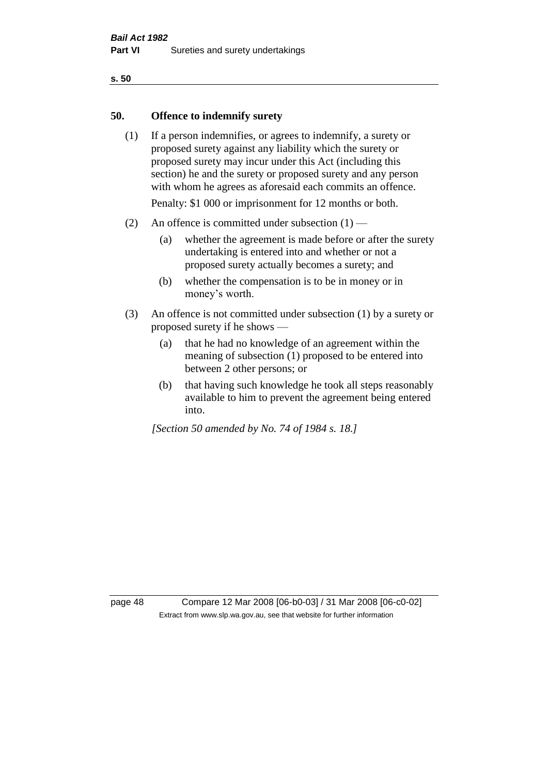#### **s. 50**

### **50. Offence to indemnify surety**

(1) If a person indemnifies, or agrees to indemnify, a surety or proposed surety against any liability which the surety or proposed surety may incur under this Act (including this section) he and the surety or proposed surety and any person with whom he agrees as aforesaid each commits an offence.

Penalty: \$1 000 or imprisonment for 12 months or both.

- (2) An offence is committed under subsection  $(1)$ 
	- (a) whether the agreement is made before or after the surety undertaking is entered into and whether or not a proposed surety actually becomes a surety; and
	- (b) whether the compensation is to be in money or in money's worth.
- (3) An offence is not committed under subsection (1) by a surety or proposed surety if he shows —
	- (a) that he had no knowledge of an agreement within the meaning of subsection (1) proposed to be entered into between 2 other persons; or
	- (b) that having such knowledge he took all steps reasonably available to him to prevent the agreement being entered into.

*[Section 50 amended by No. 74 of 1984 s. 18.]* 

page 48 Compare 12 Mar 2008 [06-b0-03] / 31 Mar 2008 [06-c0-02] Extract from www.slp.wa.gov.au, see that website for further information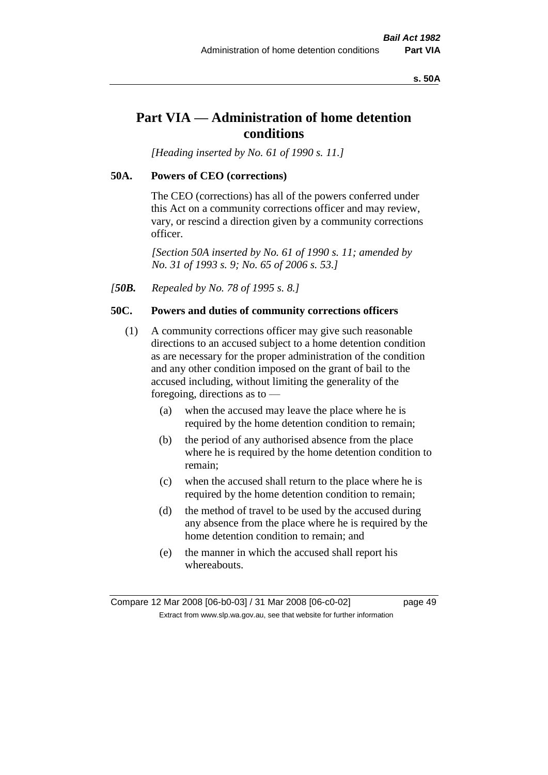#### **s. 50A**

# **Part VIA — Administration of home detention conditions**

*[Heading inserted by No. 61 of 1990 s. 11.]* 

#### **50A. Powers of CEO (corrections)**

The CEO (corrections) has all of the powers conferred under this Act on a community corrections officer and may review, vary, or rescind a direction given by a community corrections officer.

*[Section 50A inserted by No. 61 of 1990 s. 11; amended by No. 31 of 1993 s. 9; No. 65 of 2006 s. 53.]* 

*[50B. Repealed by No. 78 of 1995 s. 8.]* 

### **50C. Powers and duties of community corrections officers**

- (1) A community corrections officer may give such reasonable directions to an accused subject to a home detention condition as are necessary for the proper administration of the condition and any other condition imposed on the grant of bail to the accused including, without limiting the generality of the foregoing, directions as to —
	- (a) when the accused may leave the place where he is required by the home detention condition to remain;
	- (b) the period of any authorised absence from the place where he is required by the home detention condition to remain;
	- (c) when the accused shall return to the place where he is required by the home detention condition to remain;
	- (d) the method of travel to be used by the accused during any absence from the place where he is required by the home detention condition to remain; and
	- (e) the manner in which the accused shall report his whereabouts.

Compare 12 Mar 2008 [06-b0-03] / 31 Mar 2008 [06-c0-02] page 49 Extract from www.slp.wa.gov.au, see that website for further information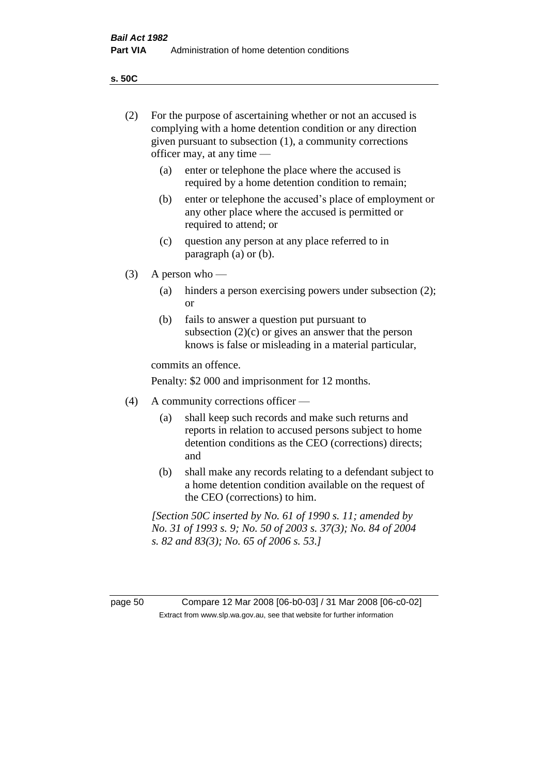**s. 50C**

| (2)     | For the purpose of ascertaining whether or not an accused is<br>complying with a home detention condition or any direction<br>given pursuant to subsection (1), a community corrections<br>officer may, at any time — |                                                                                                                                                                              |  |  |
|---------|-----------------------------------------------------------------------------------------------------------------------------------------------------------------------------------------------------------------------|------------------------------------------------------------------------------------------------------------------------------------------------------------------------------|--|--|
|         | (a)                                                                                                                                                                                                                   | enter or telephone the place where the accused is<br>required by a home detention condition to remain;                                                                       |  |  |
|         | (b)                                                                                                                                                                                                                   | enter or telephone the accused's place of employment or<br>any other place where the accused is permitted or<br>required to attend; or                                       |  |  |
|         | (c)                                                                                                                                                                                                                   | question any person at any place referred to in<br>paragraph $(a)$ or $(b)$ .                                                                                                |  |  |
| (3)     | A person who $-$                                                                                                                                                                                                      |                                                                                                                                                                              |  |  |
|         | (a)                                                                                                                                                                                                                   | hinders a person exercising powers under subsection (2);<br><sub>or</sub>                                                                                                    |  |  |
|         | (b)                                                                                                                                                                                                                   | fails to answer a question put pursuant to<br>subsection $(2)(c)$ or gives an answer that the person<br>knows is false or misleading in a material particular,               |  |  |
|         | commits an offence.                                                                                                                                                                                                   |                                                                                                                                                                              |  |  |
|         | Penalty: \$2 000 and imprisonment for 12 months.                                                                                                                                                                      |                                                                                                                                                                              |  |  |
| (4)     | A community corrections officer —                                                                                                                                                                                     |                                                                                                                                                                              |  |  |
|         | (a)                                                                                                                                                                                                                   | shall keep such records and make such returns and<br>reports in relation to accused persons subject to home<br>detention conditions as the CEO (corrections) directs;<br>and |  |  |
|         | (b)                                                                                                                                                                                                                   | shall make any records relating to a defendant subject to<br>a home detention condition available on the request of<br>the CEO (corrections) to him.                         |  |  |
|         |                                                                                                                                                                                                                       | [Section 50C inserted by No. 61 of 1990 s. 11; amended by<br>No. 31 of 1993 s. 9; No. 50 of 2003 s. 37(3); No. 84 of 2004<br>s. 82 and 83(3); No. 65 of 2006 s. 53.]         |  |  |
|         |                                                                                                                                                                                                                       |                                                                                                                                                                              |  |  |
| page 50 |                                                                                                                                                                                                                       | Compare 12 Mar 2008 [06-b0-03] / 31 Mar 2008 [06-c0-02]<br>Extract from www.slp.wa.gov.au, see that website for further information                                          |  |  |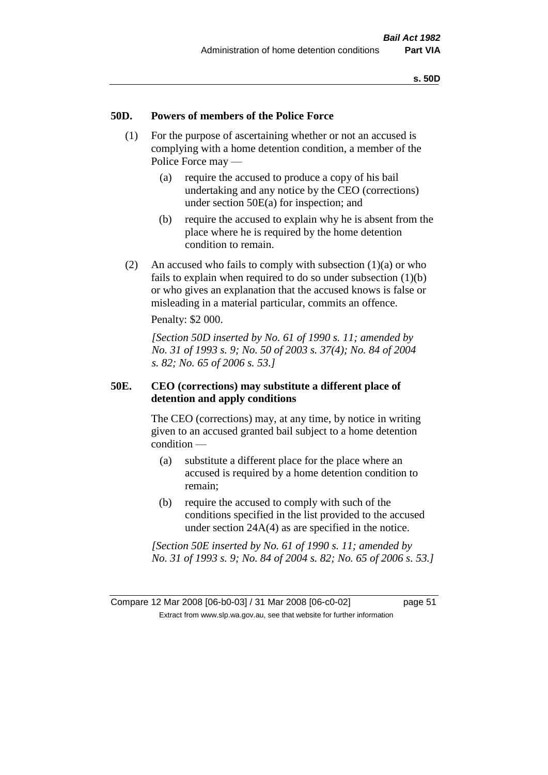#### **50D. Powers of members of the Police Force**

- (1) For the purpose of ascertaining whether or not an accused is complying with a home detention condition, a member of the Police Force may —
	- (a) require the accused to produce a copy of his bail undertaking and any notice by the CEO (corrections) under section 50E(a) for inspection; and
	- (b) require the accused to explain why he is absent from the place where he is required by the home detention condition to remain.
- (2) An accused who fails to comply with subsection  $(1)(a)$  or who fails to explain when required to do so under subsection (1)(b) or who gives an explanation that the accused knows is false or misleading in a material particular, commits an offence.

Penalty: \$2 000.

*[Section 50D inserted by No. 61 of 1990 s. 11; amended by No. 31 of 1993 s. 9; No. 50 of 2003 s. 37(4); No. 84 of 2004 s. 82; No. 65 of 2006 s. 53.]* 

### **50E. CEO (corrections) may substitute a different place of detention and apply conditions**

The CEO (corrections) may, at any time, by notice in writing given to an accused granted bail subject to a home detention condition —

- (a) substitute a different place for the place where an accused is required by a home detention condition to remain;
- (b) require the accused to comply with such of the conditions specified in the list provided to the accused under section 24A(4) as are specified in the notice.

*[Section 50E inserted by No. 61 of 1990 s. 11; amended by No. 31 of 1993 s. 9; No. 84 of 2004 s. 82; No. 65 of 2006 s. 53.]*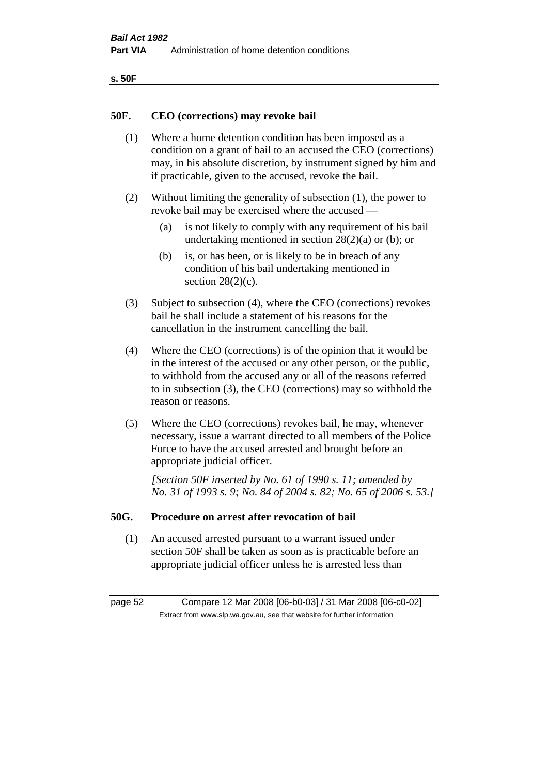| ۰.<br>×<br>-<br>۰.<br>× |  |
|-------------------------|--|
|-------------------------|--|

#### **50F. CEO (corrections) may revoke bail**

- (1) Where a home detention condition has been imposed as a condition on a grant of bail to an accused the CEO (corrections) may, in his absolute discretion, by instrument signed by him and if practicable, given to the accused, revoke the bail.
- (2) Without limiting the generality of subsection (1), the power to revoke bail may be exercised where the accused —
	- (a) is not likely to comply with any requirement of his bail undertaking mentioned in section  $28(2)(a)$  or (b); or
	- (b) is, or has been, or is likely to be in breach of any condition of his bail undertaking mentioned in section  $28(2)(c)$ .
- (3) Subject to subsection (4), where the CEO (corrections) revokes bail he shall include a statement of his reasons for the cancellation in the instrument cancelling the bail.
- (4) Where the CEO (corrections) is of the opinion that it would be in the interest of the accused or any other person, or the public, to withhold from the accused any or all of the reasons referred to in subsection (3), the CEO (corrections) may so withhold the reason or reasons.
- (5) Where the CEO (corrections) revokes bail, he may, whenever necessary, issue a warrant directed to all members of the Police Force to have the accused arrested and brought before an appropriate judicial officer.

*[Section 50F inserted by No. 61 of 1990 s. 11; amended by No. 31 of 1993 s. 9; No. 84 of 2004 s. 82; No. 65 of 2006 s. 53.]* 

#### **50G. Procedure on arrest after revocation of bail**

(1) An accused arrested pursuant to a warrant issued under section 50F shall be taken as soon as is practicable before an appropriate judicial officer unless he is arrested less than

page 52 Compare 12 Mar 2008 [06-b0-03] / 31 Mar 2008 [06-c0-02] Extract from www.slp.wa.gov.au, see that website for further information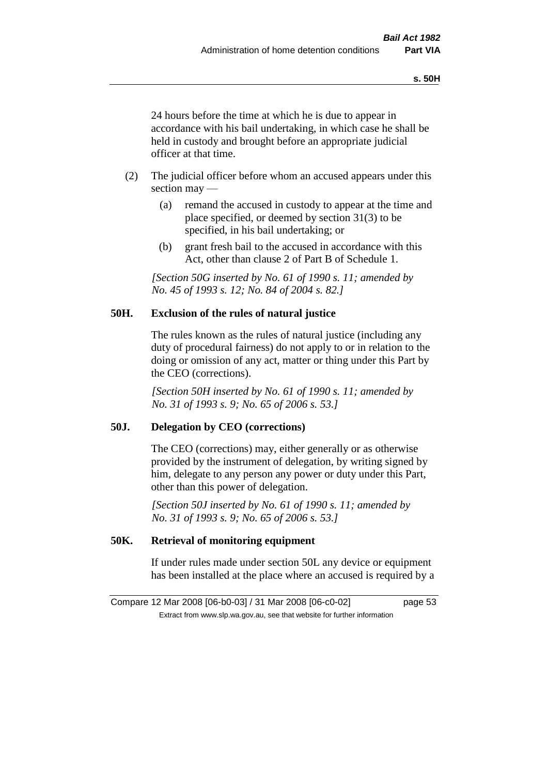24 hours before the time at which he is due to appear in accordance with his bail undertaking, in which case he shall be held in custody and brought before an appropriate judicial officer at that time.

- (2) The judicial officer before whom an accused appears under this section may —
	- (a) remand the accused in custody to appear at the time and place specified, or deemed by section 31(3) to be specified, in his bail undertaking; or
	- (b) grant fresh bail to the accused in accordance with this Act, other than clause 2 of Part B of Schedule 1.

*[Section 50G inserted by No. 61 of 1990 s. 11; amended by No. 45 of 1993 s. 12; No. 84 of 2004 s. 82.]* 

### **50H. Exclusion of the rules of natural justice**

The rules known as the rules of natural justice (including any duty of procedural fairness) do not apply to or in relation to the doing or omission of any act, matter or thing under this Part by the CEO (corrections).

*[Section 50H inserted by No. 61 of 1990 s. 11; amended by No. 31 of 1993 s. 9; No. 65 of 2006 s. 53.]* 

### **50J. Delegation by CEO (corrections)**

The CEO (corrections) may, either generally or as otherwise provided by the instrument of delegation, by writing signed by him, delegate to any person any power or duty under this Part, other than this power of delegation.

*[Section 50J inserted by No. 61 of 1990 s. 11; amended by No. 31 of 1993 s. 9; No. 65 of 2006 s. 53.]* 

## **50K. Retrieval of monitoring equipment**

If under rules made under section 50L any device or equipment has been installed at the place where an accused is required by a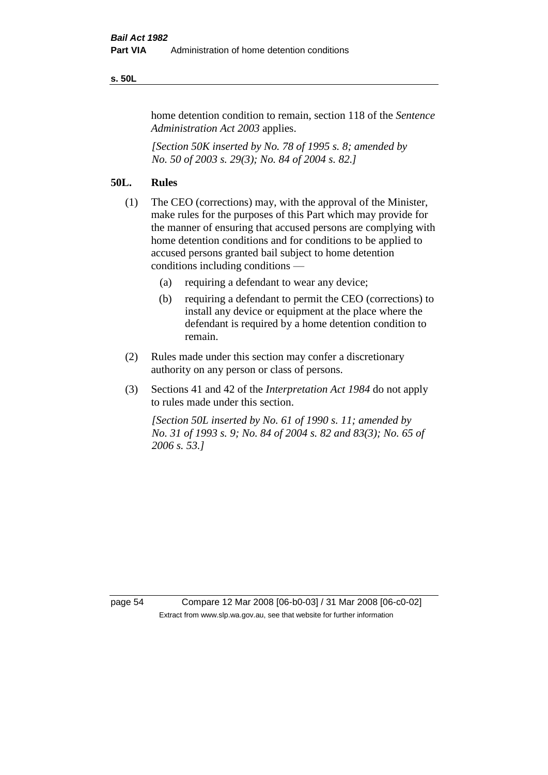#### **s. 50L**

home detention condition to remain, section 118 of the *Sentence Administration Act 2003* applies.

*[Section 50K inserted by No. 78 of 1995 s. 8; amended by No. 50 of 2003 s. 29(3); No. 84 of 2004 s. 82.]* 

## **50L. Rules**

- (1) The CEO (corrections) may, with the approval of the Minister, make rules for the purposes of this Part which may provide for the manner of ensuring that accused persons are complying with home detention conditions and for conditions to be applied to accused persons granted bail subject to home detention conditions including conditions —
	- (a) requiring a defendant to wear any device;
	- (b) requiring a defendant to permit the CEO (corrections) to install any device or equipment at the place where the defendant is required by a home detention condition to remain.
- (2) Rules made under this section may confer a discretionary authority on any person or class of persons.
- (3) Sections 41 and 42 of the *Interpretation Act 1984* do not apply to rules made under this section.

*[Section 50L inserted by No. 61 of 1990 s. 11; amended by No. 31 of 1993 s. 9; No. 84 of 2004 s. 82 and 83(3); No. 65 of 2006 s. 53.]* 

page 54 Compare 12 Mar 2008 [06-b0-03] / 31 Mar 2008 [06-c0-02] Extract from www.slp.wa.gov.au, see that website for further information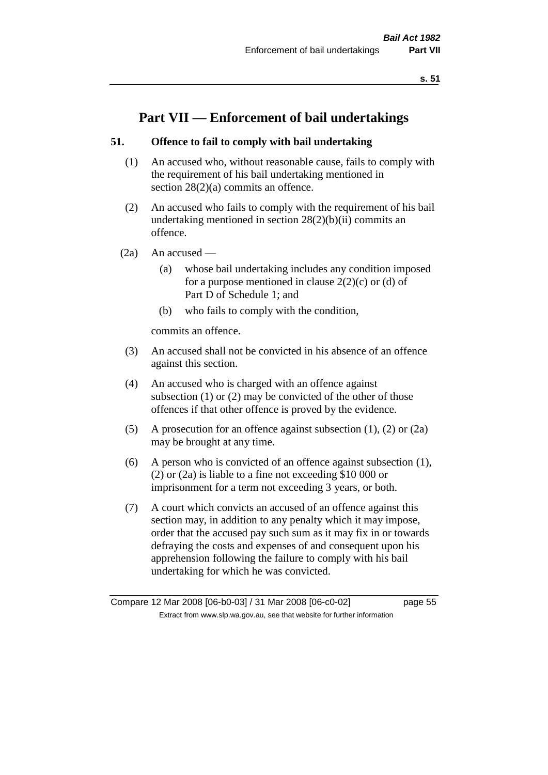# **Part VII — Enforcement of bail undertakings**

## **51. Offence to fail to comply with bail undertaking**

- (1) An accused who, without reasonable cause, fails to comply with the requirement of his bail undertaking mentioned in section 28(2)(a) commits an offence.
- (2) An accused who fails to comply with the requirement of his bail undertaking mentioned in section  $28(2)(b)(ii)$  commits an offence.
- $(2a)$  An accused
	- (a) whose bail undertaking includes any condition imposed for a purpose mentioned in clause  $2(2)(c)$  or (d) of Part D of Schedule 1; and
	- (b) who fails to comply with the condition,

commits an offence.

- (3) An accused shall not be convicted in his absence of an offence against this section.
- (4) An accused who is charged with an offence against subsection (1) or (2) may be convicted of the other of those offences if that other offence is proved by the evidence.
- (5) A prosecution for an offence against subsection (1), (2) or (2a) may be brought at any time.
- (6) A person who is convicted of an offence against subsection (1), (2) or (2a) is liable to a fine not exceeding \$10 000 or imprisonment for a term not exceeding 3 years, or both.
- (7) A court which convicts an accused of an offence against this section may, in addition to any penalty which it may impose, order that the accused pay such sum as it may fix in or towards defraying the costs and expenses of and consequent upon his apprehension following the failure to comply with his bail undertaking for which he was convicted.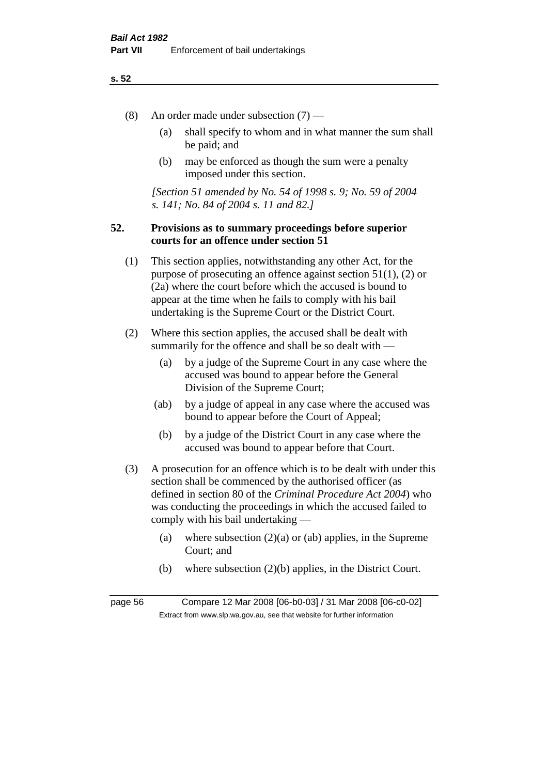#### **s. 52**

- (8) An order made under subsection (7)
	- (a) shall specify to whom and in what manner the sum shall be paid; and
	- (b) may be enforced as though the sum were a penalty imposed under this section.

*[Section 51 amended by No. 54 of 1998 s. 9; No. 59 of 2004 s. 141; No. 84 of 2004 s. 11 and 82.]*

### **52. Provisions as to summary proceedings before superior courts for an offence under section 51**

- (1) This section applies, notwithstanding any other Act, for the purpose of prosecuting an offence against section 51(1), (2) or (2a) where the court before which the accused is bound to appear at the time when he fails to comply with his bail undertaking is the Supreme Court or the District Court.
- (2) Where this section applies, the accused shall be dealt with summarily for the offence and shall be so dealt with —
	- (a) by a judge of the Supreme Court in any case where the accused was bound to appear before the General Division of the Supreme Court;
	- (ab) by a judge of appeal in any case where the accused was bound to appear before the Court of Appeal;
	- (b) by a judge of the District Court in any case where the accused was bound to appear before that Court.
- (3) A prosecution for an offence which is to be dealt with under this section shall be commenced by the authorised officer (as defined in section 80 of the *Criminal Procedure Act 2004*) who was conducting the proceedings in which the accused failed to comply with his bail undertaking —
	- (a) where subsection  $(2)(a)$  or (ab) applies, in the Supreme Court; and
	- (b) where subsection (2)(b) applies, in the District Court.

page 56 Compare 12 Mar 2008 [06-b0-03] / 31 Mar 2008 [06-c0-02] Extract from www.slp.wa.gov.au, see that website for further information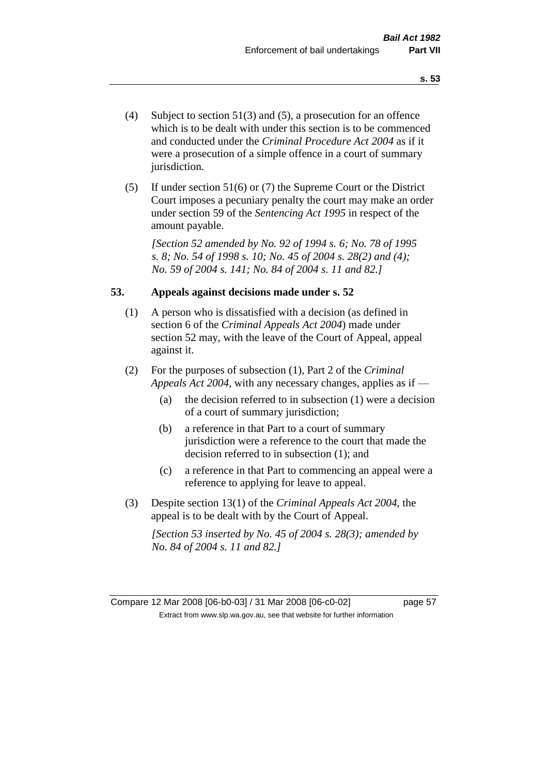- (4) Subject to section 51(3) and (5), a prosecution for an offence which is to be dealt with under this section is to be commenced and conducted under the *Criminal Procedure Act 2004* as if it were a prosecution of a simple offence in a court of summary jurisdiction.
- (5) If under section 51(6) or (7) the Supreme Court or the District Court imposes a pecuniary penalty the court may make an order under section 59 of the *Sentencing Act 1995* in respect of the amount payable.

*[Section 52 amended by No. 92 of 1994 s. 6; No. 78 of 1995 s. 8; No. 54 of 1998 s. 10; No. 45 of 2004 s. 28(2) and (4); No. 59 of 2004 s. 141; No. 84 of 2004 s. 11 and 82.]* 

#### **53. Appeals against decisions made under s. 52**

- (1) A person who is dissatisfied with a decision (as defined in section 6 of the *Criminal Appeals Act 2004*) made under section 52 may, with the leave of the Court of Appeal, appeal against it.
- (2) For the purposes of subsection (1), Part 2 of the *Criminal Appeals Act 2004*, with any necessary changes, applies as if —
	- (a) the decision referred to in subsection (1) were a decision of a court of summary jurisdiction;
	- (b) a reference in that Part to a court of summary jurisdiction were a reference to the court that made the decision referred to in subsection (1); and
	- (c) a reference in that Part to commencing an appeal were a reference to applying for leave to appeal.
- (3) Despite section 13(1) of the *Criminal Appeals Act 2004*, the appeal is to be dealt with by the Court of Appeal.

*[Section 53 inserted by No. 45 of 2004 s. 28(3); amended by No. 84 of 2004 s. 11 and 82.]*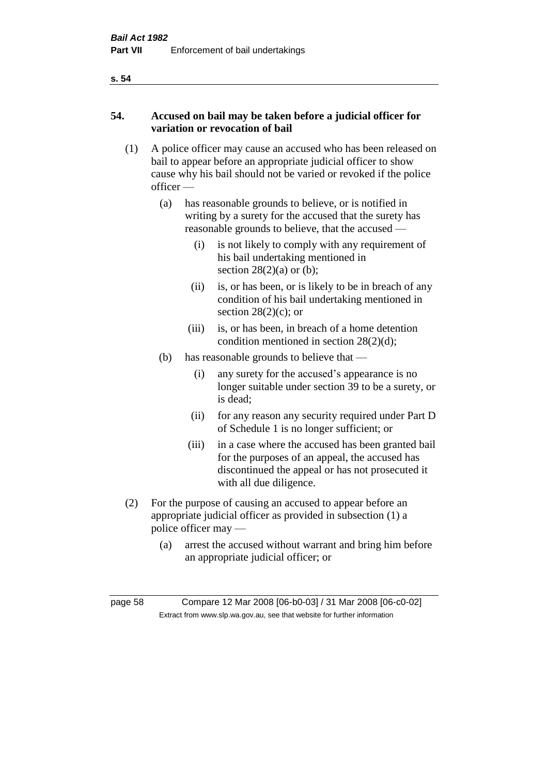#### **s. 54**

## **54. Accused on bail may be taken before a judicial officer for variation or revocation of bail**

- (1) A police officer may cause an accused who has been released on bail to appear before an appropriate judicial officer to show cause why his bail should not be varied or revoked if the police officer —
	- (a) has reasonable grounds to believe, or is notified in writing by a surety for the accused that the surety has reasonable grounds to believe, that the accused —
		- (i) is not likely to comply with any requirement of his bail undertaking mentioned in section  $28(2)(a)$  or (b);
		- (ii) is, or has been, or is likely to be in breach of any condition of his bail undertaking mentioned in section  $28(2)(c)$ ; or
		- (iii) is, or has been, in breach of a home detention condition mentioned in section 28(2)(d);
	- (b) has reasonable grounds to believe that
		- (i) any surety for the accused's appearance is no longer suitable under section 39 to be a surety, or is dead;
		- (ii) for any reason any security required under Part D of Schedule 1 is no longer sufficient; or
		- (iii) in a case where the accused has been granted bail for the purposes of an appeal, the accused has discontinued the appeal or has not prosecuted it with all due diligence.
- (2) For the purpose of causing an accused to appear before an appropriate judicial officer as provided in subsection (1) a police officer may —
	- (a) arrest the accused without warrant and bring him before an appropriate judicial officer; or

page 58 Compare 12 Mar 2008 [06-b0-03] / 31 Mar 2008 [06-c0-02] Extract from www.slp.wa.gov.au, see that website for further information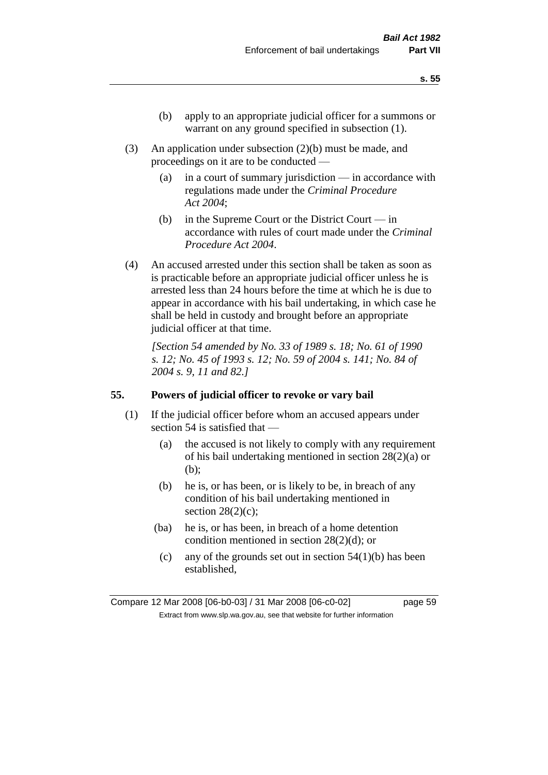- (b) apply to an appropriate judicial officer for a summons or warrant on any ground specified in subsection  $(1)$ .
- (3) An application under subsection (2)(b) must be made, and proceedings on it are to be conducted —
	- (a) in a court of summary jurisdiction in accordance with regulations made under the *Criminal Procedure Act 2004*;
	- (b) in the Supreme Court or the District Court  $-\text{in}$ accordance with rules of court made under the *Criminal Procedure Act 2004*.
- (4) An accused arrested under this section shall be taken as soon as is practicable before an appropriate judicial officer unless he is arrested less than 24 hours before the time at which he is due to appear in accordance with his bail undertaking, in which case he shall be held in custody and brought before an appropriate judicial officer at that time.

*[Section 54 amended by No. 33 of 1989 s. 18; No. 61 of 1990 s. 12; No. 45 of 1993 s. 12; No. 59 of 2004 s. 141; No. 84 of 2004 s. 9, 11 and 82.]* 

### **55. Powers of judicial officer to revoke or vary bail**

- (1) If the judicial officer before whom an accused appears under section 54 is satisfied that —
	- (a) the accused is not likely to comply with any requirement of his bail undertaking mentioned in section 28(2)(a) or (b);
	- (b) he is, or has been, or is likely to be, in breach of any condition of his bail undertaking mentioned in section  $28(2)(c)$ ;
	- (ba) he is, or has been, in breach of a home detention condition mentioned in section 28(2)(d); or
		- (c) any of the grounds set out in section  $54(1)(b)$  has been established,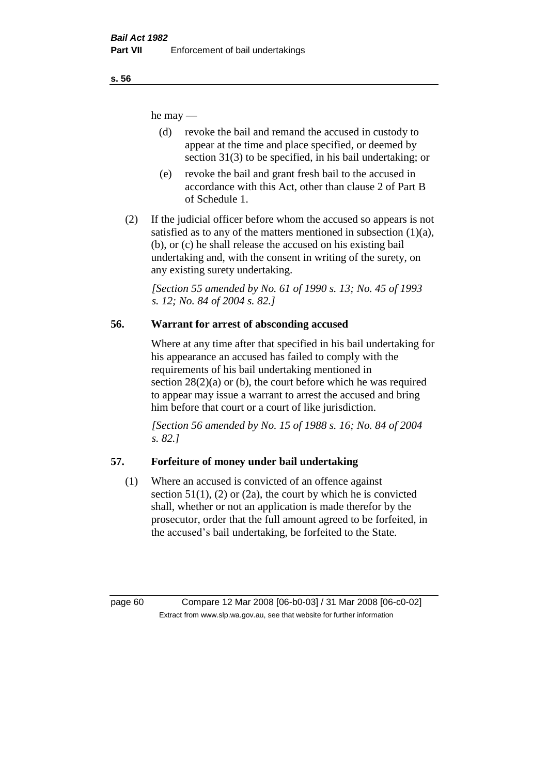he may —

- (d) revoke the bail and remand the accused in custody to appear at the time and place specified, or deemed by section 31(3) to be specified, in his bail undertaking; or
- (e) revoke the bail and grant fresh bail to the accused in accordance with this Act, other than clause 2 of Part B of Schedule 1.
- (2) If the judicial officer before whom the accused so appears is not satisfied as to any of the matters mentioned in subsection  $(1)(a)$ , (b), or (c) he shall release the accused on his existing bail undertaking and, with the consent in writing of the surety, on any existing surety undertaking.

*[Section 55 amended by No. 61 of 1990 s. 13; No. 45 of 1993 s. 12; No. 84 of 2004 s. 82.]* 

# **56. Warrant for arrest of absconding accused**

Where at any time after that specified in his bail undertaking for his appearance an accused has failed to comply with the requirements of his bail undertaking mentioned in section  $28(2)(a)$  or (b), the court before which he was required to appear may issue a warrant to arrest the accused and bring him before that court or a court of like jurisdiction.

*[Section 56 amended by No. 15 of 1988 s. 16; No. 84 of 2004 s. 82.]* 

# **57. Forfeiture of money under bail undertaking**

(1) Where an accused is convicted of an offence against section  $51(1)$ ,  $(2)$  or  $(2a)$ , the court by which he is convicted shall, whether or not an application is made therefor by the prosecutor, order that the full amount agreed to be forfeited, in the accused's bail undertaking, be forfeited to the State.

page 60 Compare 12 Mar 2008 [06-b0-03] / 31 Mar 2008 [06-c0-02] Extract from www.slp.wa.gov.au, see that website for further information

**s. 56**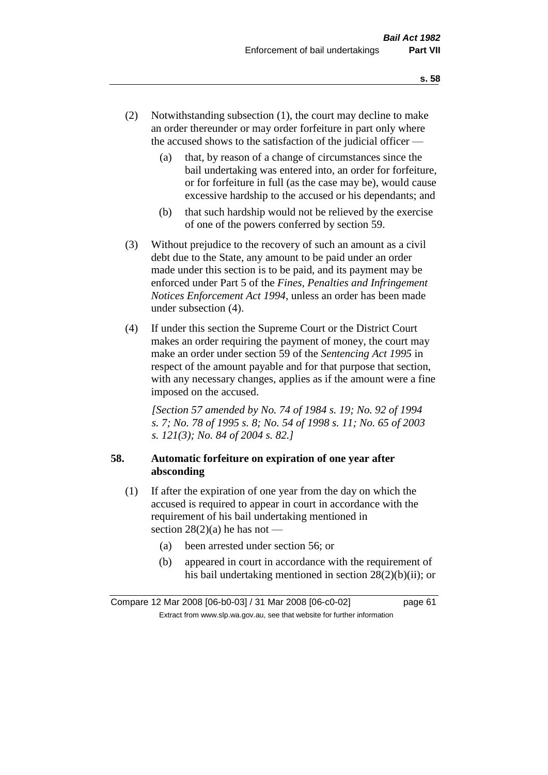- (2) Notwithstanding subsection (1), the court may decline to make an order thereunder or may order forfeiture in part only where the accused shows to the satisfaction of the judicial officer —
	- (a) that, by reason of a change of circumstances since the bail undertaking was entered into, an order for forfeiture, or for forfeiture in full (as the case may be), would cause excessive hardship to the accused or his dependants; and
	- (b) that such hardship would not be relieved by the exercise of one of the powers conferred by section 59.
- (3) Without prejudice to the recovery of such an amount as a civil debt due to the State, any amount to be paid under an order made under this section is to be paid, and its payment may be enforced under Part 5 of the *Fines, Penalties and Infringement Notices Enforcement Act 1994*, unless an order has been made under subsection (4).
- (4) If under this section the Supreme Court or the District Court makes an order requiring the payment of money, the court may make an order under section 59 of the *Sentencing Act 1995* in respect of the amount payable and for that purpose that section, with any necessary changes, applies as if the amount were a fine imposed on the accused.

*[Section 57 amended by No. 74 of 1984 s. 19; No. 92 of 1994 s. 7; No. 78 of 1995 s. 8; No. 54 of 1998 s. 11; No. 65 of 2003 s. 121(3); No. 84 of 2004 s. 82.]* 

## **58. Automatic forfeiture on expiration of one year after absconding**

- (1) If after the expiration of one year from the day on which the accused is required to appear in court in accordance with the requirement of his bail undertaking mentioned in section  $28(2)(a)$  he has not —
	- (a) been arrested under section 56; or
	- (b) appeared in court in accordance with the requirement of his bail undertaking mentioned in section 28(2)(b)(ii); or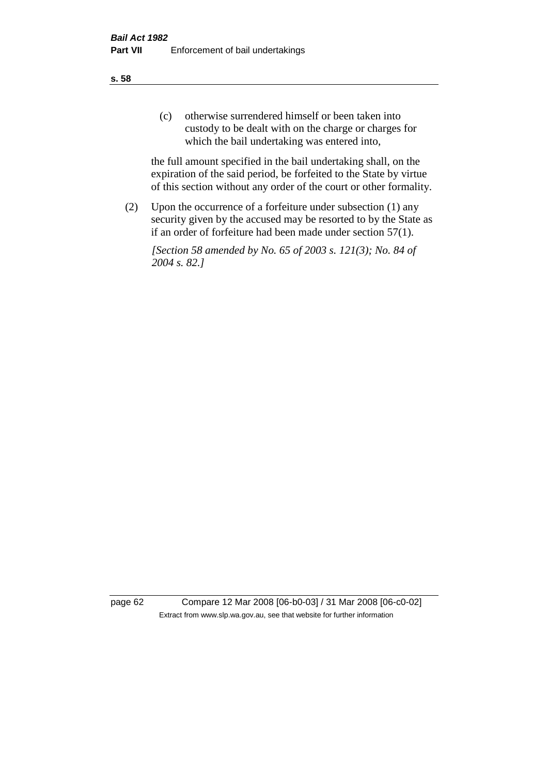(c) otherwise surrendered himself or been taken into custody to be dealt with on the charge or charges for which the bail undertaking was entered into,

the full amount specified in the bail undertaking shall, on the expiration of the said period, be forfeited to the State by virtue of this section without any order of the court or other formality.

(2) Upon the occurrence of a forfeiture under subsection (1) any security given by the accused may be resorted to by the State as if an order of forfeiture had been made under section 57(1).

*[Section 58 amended by No. 65 of 2003 s. 121(3); No. 84 of 2004 s. 82.]*

page 62 Compare 12 Mar 2008 [06-b0-03] / 31 Mar 2008 [06-c0-02] Extract from www.slp.wa.gov.au, see that website for further information

**s. 58**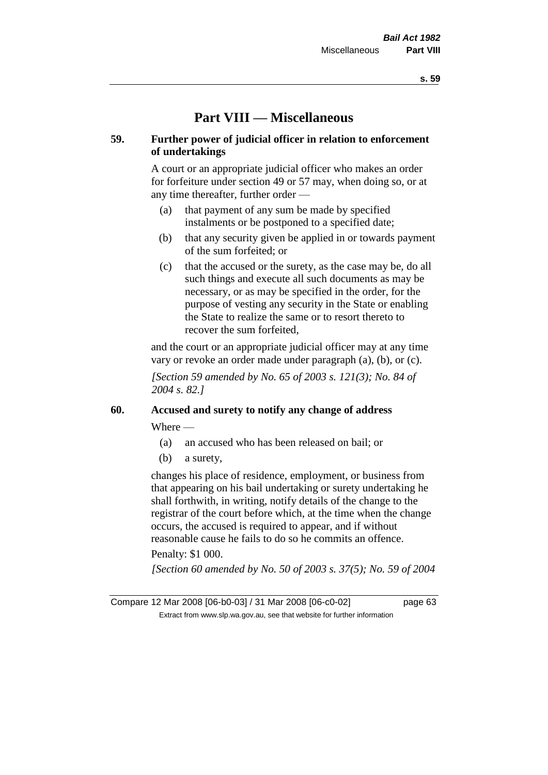# **Part VIII — Miscellaneous**

## **59. Further power of judicial officer in relation to enforcement of undertakings**

A court or an appropriate judicial officer who makes an order for forfeiture under section 49 or 57 may, when doing so, or at any time thereafter, further order —

- (a) that payment of any sum be made by specified instalments or be postponed to a specified date;
- (b) that any security given be applied in or towards payment of the sum forfeited; or
- (c) that the accused or the surety, as the case may be, do all such things and execute all such documents as may be necessary, or as may be specified in the order, for the purpose of vesting any security in the State or enabling the State to realize the same or to resort thereto to recover the sum forfeited,

and the court or an appropriate judicial officer may at any time vary or revoke an order made under paragraph (a), (b), or (c).

*[Section 59 amended by No. 65 of 2003 s. 121(3); No. 84 of 2004 s. 82.]*

## **60. Accused and surety to notify any change of address**

Where —

- (a) an accused who has been released on bail; or
- (b) a surety,

changes his place of residence, employment, or business from that appearing on his bail undertaking or surety undertaking he shall forthwith, in writing, notify details of the change to the registrar of the court before which, at the time when the change occurs, the accused is required to appear, and if without reasonable cause he fails to do so he commits an offence.

Penalty: \$1 000.

*[Section 60 amended by No. 50 of 2003 s. 37(5); No. 59 of 2004* 

Compare 12 Mar 2008 [06-b0-03] / 31 Mar 2008 [06-c0-02] page 63 Extract from www.slp.wa.gov.au, see that website for further information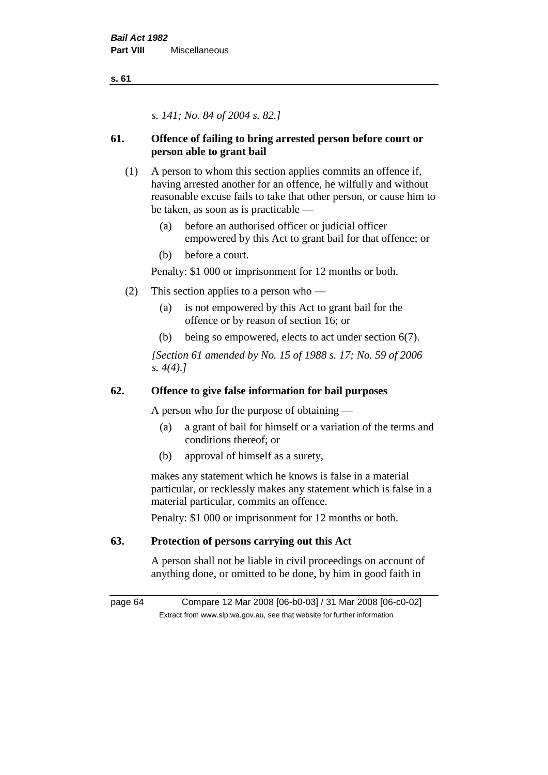**s. 61**

*s. 141; No. 84 of 2004 s. 82.]*

# **61. Offence of failing to bring arrested person before court or person able to grant bail**

- (1) A person to whom this section applies commits an offence if, having arrested another for an offence, he wilfully and without reasonable excuse fails to take that other person, or cause him to be taken, as soon as is practicable —
	- (a) before an authorised officer or judicial officer empowered by this Act to grant bail for that offence; or
	- (b) before a court.

Penalty: \$1 000 or imprisonment for 12 months or both.

- (2) This section applies to a person who
	- (a) is not empowered by this Act to grant bail for the offence or by reason of section 16; or
	- (b) being so empowered, elects to act under section 6(7).

*[Section 61 amended by No. 15 of 1988 s. 17; No. 59 of 2006 s. 4(4).]* 

# **62. Offence to give false information for bail purposes**

A person who for the purpose of obtaining —

- (a) a grant of bail for himself or a variation of the terms and conditions thereof; or
- (b) approval of himself as a surety,

makes any statement which he knows is false in a material particular, or recklessly makes any statement which is false in a material particular, commits an offence.

Penalty: \$1 000 or imprisonment for 12 months or both.

# **63. Protection of persons carrying out this Act**

A person shall not be liable in civil proceedings on account of anything done, or omitted to be done, by him in good faith in

page 64 Compare 12 Mar 2008 [06-b0-03] / 31 Mar 2008 [06-c0-02] Extract from www.slp.wa.gov.au, see that website for further information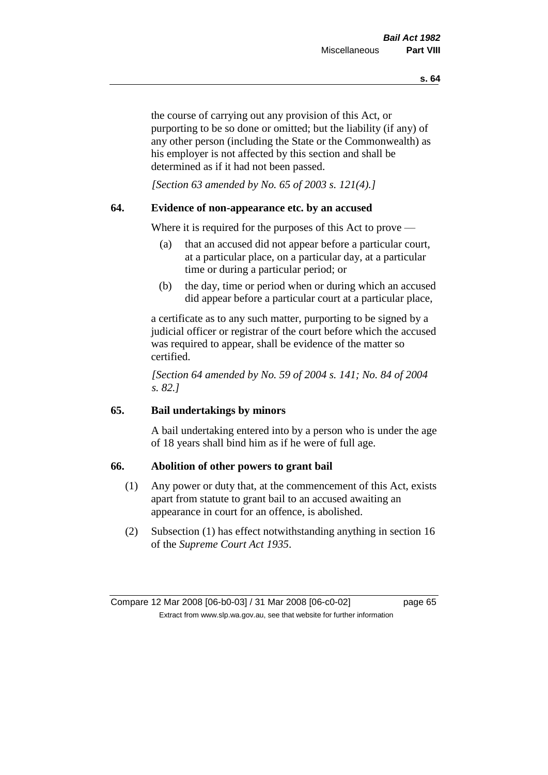the course of carrying out any provision of this Act, or purporting to be so done or omitted; but the liability (if any) of any other person (including the State or the Commonwealth) as his employer is not affected by this section and shall be determined as if it had not been passed.

*[Section 63 amended by No. 65 of 2003 s. 121(4).]*

### **64. Evidence of non-appearance etc. by an accused**

Where it is required for the purposes of this Act to prove —

- (a) that an accused did not appear before a particular court, at a particular place, on a particular day, at a particular time or during a particular period; or
- (b) the day, time or period when or during which an accused did appear before a particular court at a particular place,

a certificate as to any such matter, purporting to be signed by a judicial officer or registrar of the court before which the accused was required to appear, shall be evidence of the matter so certified.

*[Section 64 amended by No. 59 of 2004 s. 141; No. 84 of 2004 s. 82.]* 

## **65. Bail undertakings by minors**

A bail undertaking entered into by a person who is under the age of 18 years shall bind him as if he were of full age.

### **66. Abolition of other powers to grant bail**

- (1) Any power or duty that, at the commencement of this Act, exists apart from statute to grant bail to an accused awaiting an appearance in court for an offence, is abolished.
- (2) Subsection (1) has effect notwithstanding anything in section 16 of the *Supreme Court Act 1935*.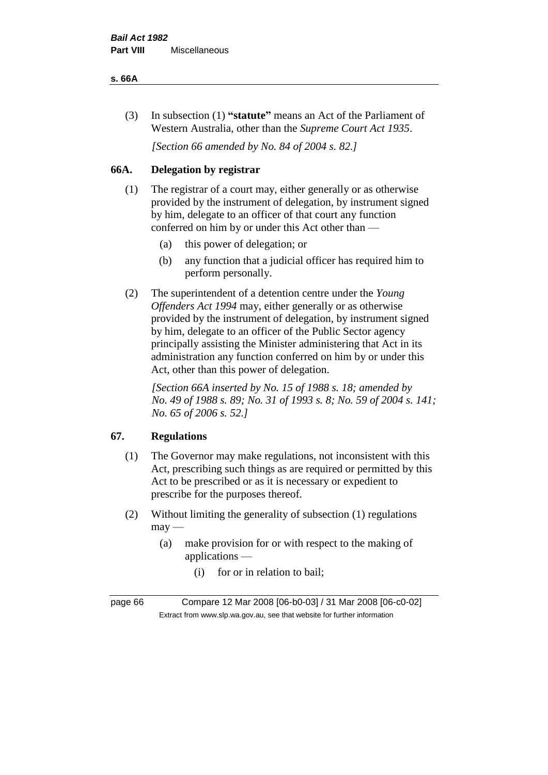#### **s. 66A**

(3) In subsection (1) **"statute"** means an Act of the Parliament of Western Australia, other than the *Supreme Court Act 1935*.

*[Section 66 amended by No. 84 of 2004 s. 82.]*

# **66A. Delegation by registrar**

- (1) The registrar of a court may, either generally or as otherwise provided by the instrument of delegation, by instrument signed by him, delegate to an officer of that court any function conferred on him by or under this Act other than —
	- (a) this power of delegation; or
	- (b) any function that a judicial officer has required him to perform personally.
- (2) The superintendent of a detention centre under the *Young Offenders Act 1994* may, either generally or as otherwise provided by the instrument of delegation, by instrument signed by him, delegate to an officer of the Public Sector agency principally assisting the Minister administering that Act in its administration any function conferred on him by or under this Act, other than this power of delegation.

*[Section 66A inserted by No. 15 of 1988 s. 18; amended by No. 49 of 1988 s. 89; No. 31 of 1993 s. 8; No. 59 of 2004 s. 141; No. 65 of 2006 s. 52.]* 

# **67. Regulations**

- (1) The Governor may make regulations, not inconsistent with this Act, prescribing such things as are required or permitted by this Act to be prescribed or as it is necessary or expedient to prescribe for the purposes thereof.
- (2) Without limiting the generality of subsection (1) regulations  $may$ —
	- (a) make provision for or with respect to the making of applications —
		- (i) for or in relation to bail;

page 66 Compare 12 Mar 2008 [06-b0-03] / 31 Mar 2008 [06-c0-02] Extract from www.slp.wa.gov.au, see that website for further information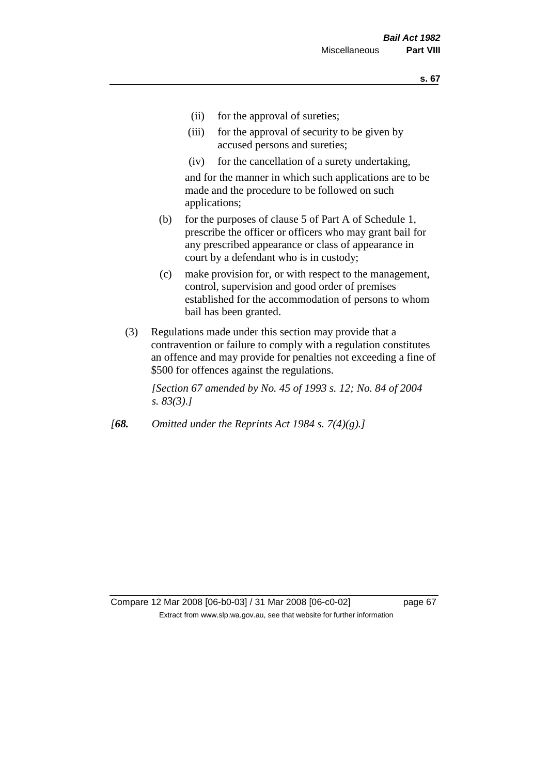- (ii) for the approval of sureties;
- (iii) for the approval of security to be given by accused persons and sureties;
- (iv) for the cancellation of a surety undertaking,

and for the manner in which such applications are to be made and the procedure to be followed on such applications;

- (b) for the purposes of clause 5 of Part A of Schedule 1, prescribe the officer or officers who may grant bail for any prescribed appearance or class of appearance in court by a defendant who is in custody;
- (c) make provision for, or with respect to the management, control, supervision and good order of premises established for the accommodation of persons to whom bail has been granted.
- (3) Regulations made under this section may provide that a contravention or failure to comply with a regulation constitutes an offence and may provide for penalties not exceeding a fine of \$500 for offences against the regulations.

*[Section 67 amended by No. 45 of 1993 s. 12; No. 84 of 2004 s. 83(3).]* 

*[68. Omitted under the Reprints Act 1984 s. 7(4)(g).]*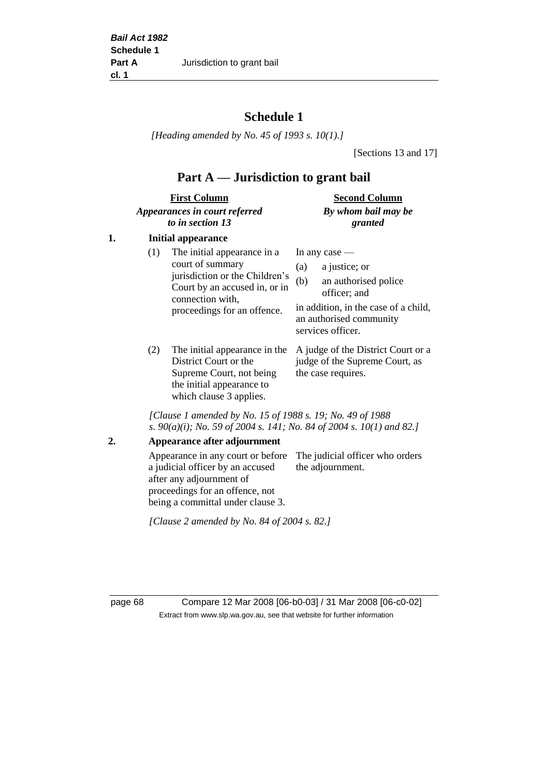# **Schedule 1**

*[Heading amended by No. 45 of 1993 s. 10(1).]*

[Sections 13 and 17]

# **Part A — Jurisdiction to grant bail**

| <b>First Column</b>           | <b>Second Column</b> |  |
|-------------------------------|----------------------|--|
| Appearances in court referred | By whom bail may be  |  |
| to in section 13              | granted              |  |

## **1. Initial appearance**

| (1) | The initial appearance in a<br>court of summary<br>jurisdiction or the Children's<br>Court by an accused in, or in<br>connection with,<br>proceedings for an offence. | In any case $-$<br>a justice; or<br>(a)<br>an authorised police<br>(b)<br>officer; and<br>in addition, in the case of a child,<br>an authorised community<br>services officer. |
|-----|-----------------------------------------------------------------------------------------------------------------------------------------------------------------------|--------------------------------------------------------------------------------------------------------------------------------------------------------------------------------|
|     |                                                                                                                                                                       | The initial announces in the Asiades of the District Count on a                                                                                                                |

(2) The initial appearance in the A judge of the District Court or a District Court or the Supreme Court, not being the initial appearance to which clause 3 applies.

judge of the Supreme Court, as the case requires.

*[Clause 1 amended by No. 15 of 1988 s. 19; No. 49 of 1988 s. 90(a)(i); No. 59 of 2004 s. 141; No. 84 of 2004 s. 10(1) and 82.]*

**2. Appearance after adjournment**

Appearance in any court or before The judicial officer who orders a judicial officer by an accused after any adjournment of proceedings for an offence, not being a committal under clause 3. the adjournment.

*[Clause 2 amended by No. 84 of 2004 s. 82.]*

page 68 Compare 12 Mar 2008 [06-b0-03] / 31 Mar 2008 [06-c0-02] Extract from www.slp.wa.gov.au, see that website for further information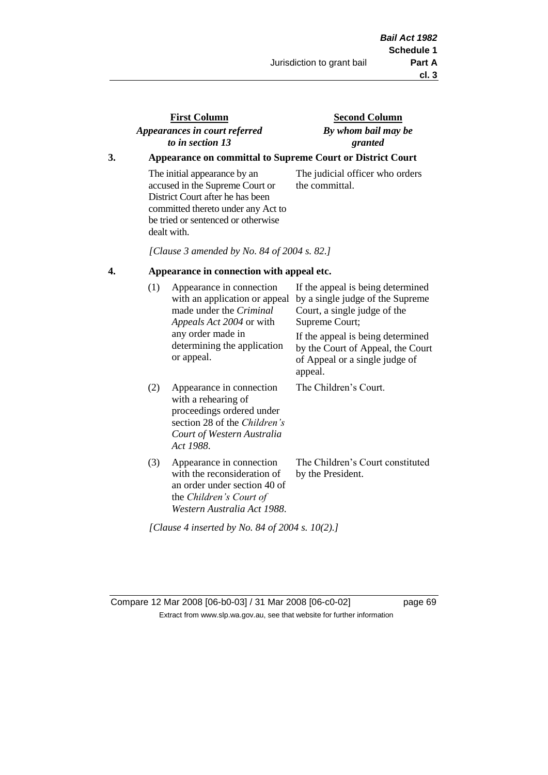# **First Column** *Appearances in court referred to in section 13*

## **Second Column** *By whom bail may be granted*

## **3. Appearance on committal to Supreme Court or District Court**

The initial appearance by an accused in the Supreme Court or District Court after he has been committed thereto under any Act to be tried or sentenced or otherwise dealt with.

The judicial officer who orders the committal.

*[Clause 3 amended by No. 84 of 2004 s. 82.]*

#### **4. Appearance in connection with appeal etc.**

| (1) | Appearance in connection<br>with an application or appeal<br>made under the <i>Criminal</i><br><i>Appeals Act 2004</i> or with<br>any order made in<br>determining the application<br>or appeal. | If the appeal is being determined<br>by a single judge of the Supreme<br>Court, a single judge of the<br>Supreme Court;<br>If the appeal is being determined<br>by the Court of Appeal, the Court<br>of Appeal or a single judge of<br>appeal. |
|-----|--------------------------------------------------------------------------------------------------------------------------------------------------------------------------------------------------|------------------------------------------------------------------------------------------------------------------------------------------------------------------------------------------------------------------------------------------------|
| (2) | Appearance in connection<br>with a rehearing of<br>proceedings ordered under<br>section 28 of the <i>Children's</i><br>Court of Western Australia<br>Act 1988.                                   | The Children's Court.                                                                                                                                                                                                                          |
| (3) | Appearance in connection<br>with the reconsideration of<br>an order under section 40 of<br>the Children's Court of<br>Western Australia Act 1988.                                                | The Children's Court constituted<br>by the President.                                                                                                                                                                                          |

*[Clause 4 inserted by No. 84 of 2004 s. 10(2).]*

Compare 12 Mar 2008 [06-b0-03] / 31 Mar 2008 [06-c0-02] page 69 Extract from www.slp.wa.gov.au, see that website for further information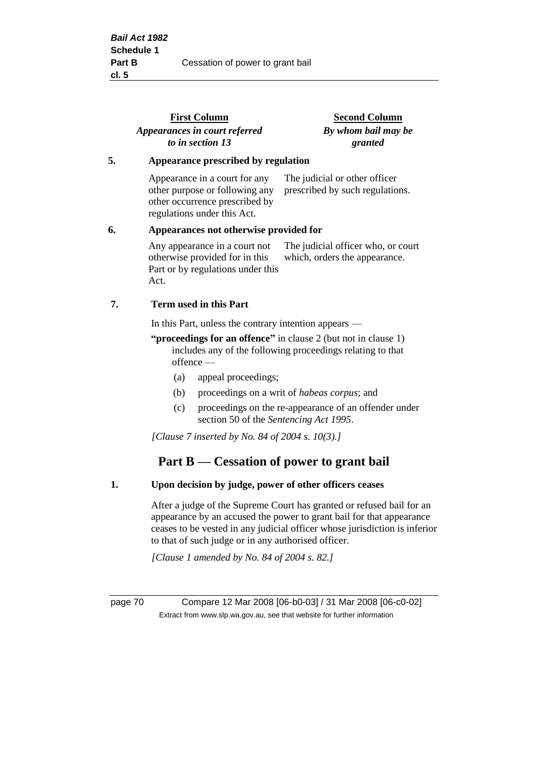|    | <b>First Column</b><br>Appearances in court referred<br>to in section 13                                                         | <b>Second Column</b><br>By whom bail may be<br>granted              |  |
|----|----------------------------------------------------------------------------------------------------------------------------------|---------------------------------------------------------------------|--|
| 5. | Appearance prescribed by regulation                                                                                              |                                                                     |  |
|    | Appearance in a court for any<br>other purpose or following any<br>other occurrence prescribed by<br>regulations under this Act. | The judicial or other officer<br>prescribed by such regulations.    |  |
| 6. | Appearances not otherwise provided for                                                                                           |                                                                     |  |
|    | Any appearance in a court not<br>otherwise provided for in this<br>Part or by regulations under this<br>Act.                     | The judicial officer who, or court<br>which, orders the appearance. |  |
| 7. | <b>Term used in this Part</b>                                                                                                    |                                                                     |  |
|    | In this Part, unless the contrary intention appears —                                                                            |                                                                     |  |
|    | $\mu$ is the contract of $\alpha$ in the contract of $\alpha$ is the contract of $\alpha$ is the contract of $\alpha$            |                                                                     |  |

- **"proceedings for an offence"** in clause 2 (but not in clause 1) includes any of the following proceedings relating to that offence —
	- (a) appeal proceedings;
	- (b) proceedings on a writ of *habeas corpus*; and
	- (c) proceedings on the re-appearance of an offender under section 50 of the *Sentencing Act 1995*.

*[Clause 7 inserted by No. 84 of 2004 s. 10(3).]*

# **Part B — Cessation of power to grant bail**

#### **1. Upon decision by judge, power of other officers ceases**

After a judge of the Supreme Court has granted or refused bail for an appearance by an accused the power to grant bail for that appearance ceases to be vested in any judicial officer whose jurisdiction is inferior to that of such judge or in any authorised officer.

*[Clause 1 amended by No. 84 of 2004 s. 82.]*

page 70 Compare 12 Mar 2008 [06-b0-03] / 31 Mar 2008 [06-c0-02] Extract from www.slp.wa.gov.au, see that website for further information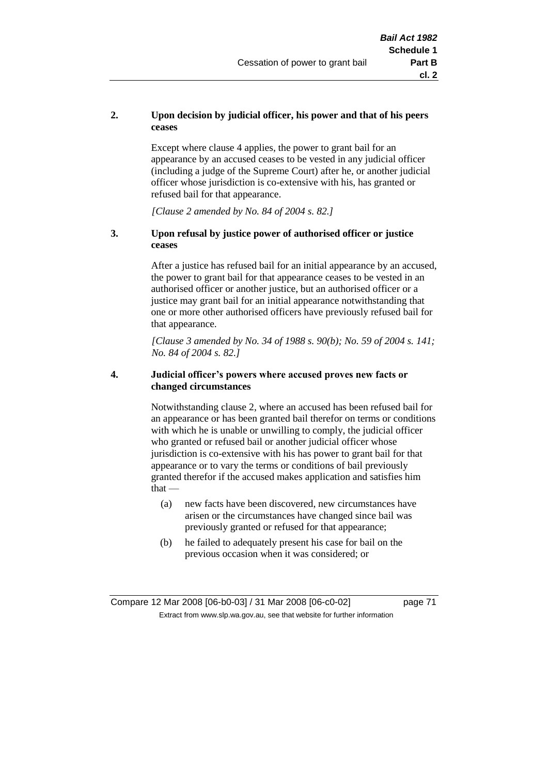### **2. Upon decision by judicial officer, his power and that of his peers ceases**

Except where clause 4 applies, the power to grant bail for an appearance by an accused ceases to be vested in any judicial officer (including a judge of the Supreme Court) after he, or another judicial officer whose jurisdiction is co-extensive with his, has granted or refused bail for that appearance.

*[Clause 2 amended by No. 84 of 2004 s. 82.]*

#### **3. Upon refusal by justice power of authorised officer or justice ceases**

After a justice has refused bail for an initial appearance by an accused, the power to grant bail for that appearance ceases to be vested in an authorised officer or another justice, but an authorised officer or a justice may grant bail for an initial appearance notwithstanding that one or more other authorised officers have previously refused bail for that appearance.

*[Clause 3 amended by No. 34 of 1988 s. 90(b); No. 59 of 2004 s. 141; No. 84 of 2004 s. 82.]*

#### **4. Judicial officer's powers where accused proves new facts or changed circumstances**

Notwithstanding clause 2, where an accused has been refused bail for an appearance or has been granted bail therefor on terms or conditions with which he is unable or unwilling to comply, the judicial officer who granted or refused bail or another judicial officer whose jurisdiction is co-extensive with his has power to grant bail for that appearance or to vary the terms or conditions of bail previously granted therefor if the accused makes application and satisfies him  $that -$ 

- (a) new facts have been discovered, new circumstances have arisen or the circumstances have changed since bail was previously granted or refused for that appearance;
- (b) he failed to adequately present his case for bail on the previous occasion when it was considered; or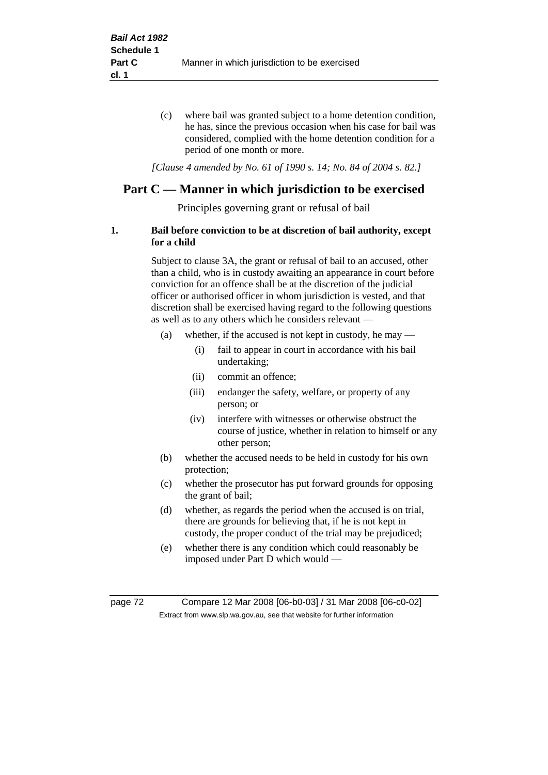(c) where bail was granted subject to a home detention condition, he has, since the previous occasion when his case for bail was considered, complied with the home detention condition for a period of one month or more.

*[Clause 4 amended by No. 61 of 1990 s. 14; No. 84 of 2004 s. 82.]*

# **Part C — Manner in which jurisdiction to be exercised**

Principles governing grant or refusal of bail

### **1. Bail before conviction to be at discretion of bail authority, except for a child**

Subject to clause 3A, the grant or refusal of bail to an accused, other than a child, who is in custody awaiting an appearance in court before conviction for an offence shall be at the discretion of the judicial officer or authorised officer in whom jurisdiction is vested, and that discretion shall be exercised having regard to the following questions as well as to any others which he considers relevant —

- (a) whether, if the accused is not kept in custody, he may
	- (i) fail to appear in court in accordance with his bail undertaking;
	- (ii) commit an offence;
	- (iii) endanger the safety, welfare, or property of any person; or
	- (iv) interfere with witnesses or otherwise obstruct the course of justice, whether in relation to himself or any other person;
- (b) whether the accused needs to be held in custody for his own protection;
- (c) whether the prosecutor has put forward grounds for opposing the grant of bail;
- (d) whether, as regards the period when the accused is on trial, there are grounds for believing that, if he is not kept in custody, the proper conduct of the trial may be prejudiced;
- (e) whether there is any condition which could reasonably be imposed under Part D which would —

page 72 Compare 12 Mar 2008 [06-b0-03] / 31 Mar 2008 [06-c0-02] Extract from www.slp.wa.gov.au, see that website for further information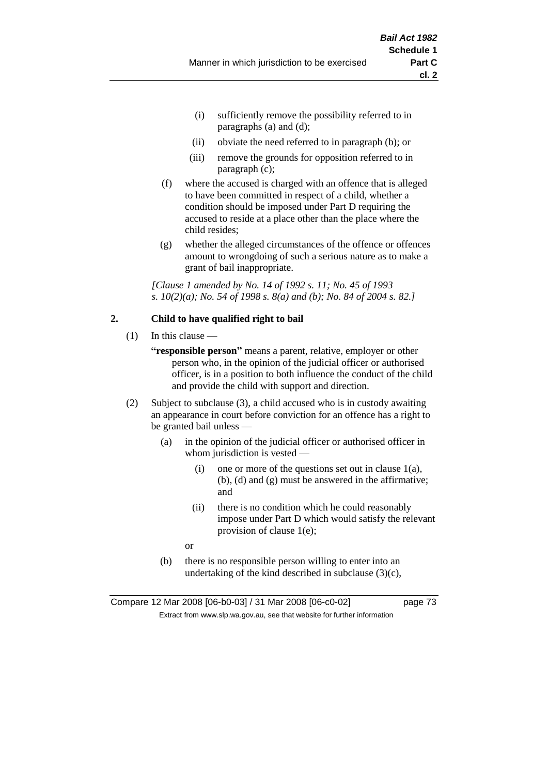- (i) sufficiently remove the possibility referred to in paragraphs (a) and (d);
- (ii) obviate the need referred to in paragraph (b); or
- (iii) remove the grounds for opposition referred to in paragraph (c);
- (f) where the accused is charged with an offence that is alleged to have been committed in respect of a child, whether a condition should be imposed under Part D requiring the accused to reside at a place other than the place where the child resides;
- (g) whether the alleged circumstances of the offence or offences amount to wrongdoing of such a serious nature as to make a grant of bail inappropriate.

*[Clause 1 amended by No. 14 of 1992 s. 11; No. 45 of 1993 s. 10(2)(a); No. 54 of 1998 s. 8(a) and (b); No. 84 of 2004 s. 82.]*

#### **2. Child to have qualified right to bail**

- $(1)$  In this clause
	- **"responsible person"** means a parent, relative, employer or other person who, in the opinion of the judicial officer or authorised officer, is in a position to both influence the conduct of the child and provide the child with support and direction.
- (2) Subject to subclause (3), a child accused who is in custody awaiting an appearance in court before conviction for an offence has a right to be granted bail unless —
	- (a) in the opinion of the judicial officer or authorised officer in whom jurisdiction is vested —
		- (i) one or more of the questions set out in clause  $1(a)$ , (b), (d) and (g) must be answered in the affirmative; and
		- (ii) there is no condition which he could reasonably impose under Part D which would satisfy the relevant provision of clause 1(e);
		- or
	- (b) there is no responsible person willing to enter into an undertaking of the kind described in subclause  $(3)(c)$ ,

Compare 12 Mar 2008 [06-b0-03] / 31 Mar 2008 [06-c0-02] page 73 Extract from www.slp.wa.gov.au, see that website for further information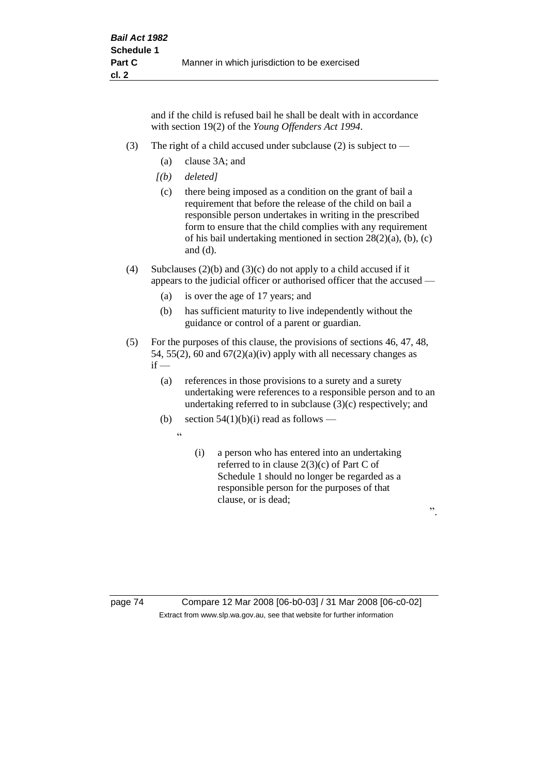and if the child is refused bail he shall be dealt with in accordance with section 19(2) of the *Young Offenders Act 1994*.

- (3) The right of a child accused under subclause (2) is subject to  $-$ 
	- (a) clause 3A; and
	- *[(b) deleted]*
	- (c) there being imposed as a condition on the grant of bail a requirement that before the release of the child on bail a responsible person undertakes in writing in the prescribed form to ensure that the child complies with any requirement of his bail undertaking mentioned in section 28(2)(a), (b), (c) and (d).
- (4) Subclauses (2)(b) and (3)(c) do not apply to a child accused if it appears to the judicial officer or authorised officer that the accused —
	- (a) is over the age of 17 years; and
	- (b) has sufficient maturity to live independently without the guidance or control of a parent or guardian.
- (5) For the purposes of this clause, the provisions of sections 46, 47, 48, 54, 55(2), 60 and  $67(2)(a)(iv)$  apply with all necessary changes as  $if -$ 
	- (a) references in those provisions to a surety and a surety undertaking were references to a responsible person and to an undertaking referred to in subclause (3)(c) respectively; and
	- (b) section  $54(1)(b)(i)$  read as follows
		- $\ddot{a}$
- (i) a person who has entered into an undertaking referred to in clause 2(3)(c) of Part C of Schedule 1 should no longer be regarded as a responsible person for the purposes of that clause, or is dead;

".

page 74 Compare 12 Mar 2008 [06-b0-03] / 31 Mar 2008 [06-c0-02] Extract from www.slp.wa.gov.au, see that website for further information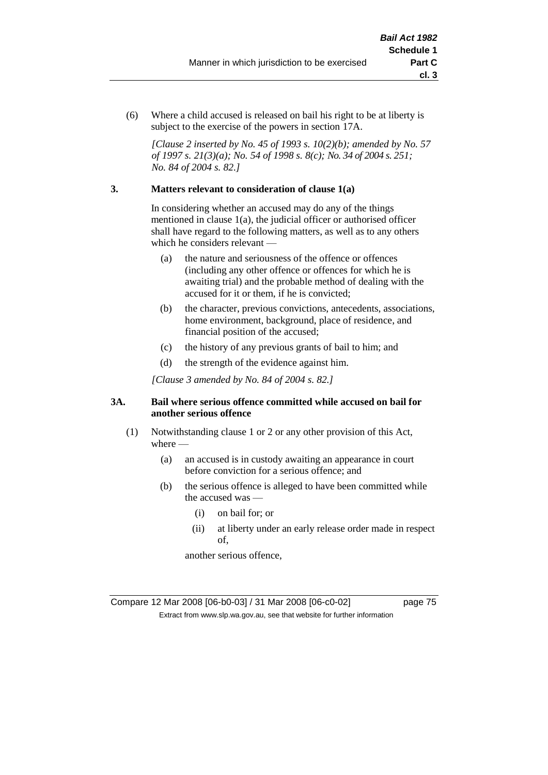(6) Where a child accused is released on bail his right to be at liberty is subject to the exercise of the powers in section 17A.

*[Clause 2 inserted by No. 45 of 1993 s. 10(2)(b); amended by No. 57 of 1997 s. 21(3)(a); No. 54 of 1998 s. 8(c); No. 34 of 2004 s. 251; No. 84 of 2004 s. 82.]*

#### **3. Matters relevant to consideration of clause 1(a)**

In considering whether an accused may do any of the things mentioned in clause 1(a), the judicial officer or authorised officer shall have regard to the following matters, as well as to any others which he considers relevant —

- (a) the nature and seriousness of the offence or offences (including any other offence or offences for which he is awaiting trial) and the probable method of dealing with the accused for it or them, if he is convicted;
- (b) the character, previous convictions, antecedents, associations, home environment, background, place of residence, and financial position of the accused;
- (c) the history of any previous grants of bail to him; and
- (d) the strength of the evidence against him.

*[Clause 3 amended by No. 84 of 2004 s. 82.]*

#### **3A. Bail where serious offence committed while accused on bail for another serious offence**

- (1) Notwithstanding clause 1 or 2 or any other provision of this Act, where —
	- (a) an accused is in custody awaiting an appearance in court before conviction for a serious offence; and
	- (b) the serious offence is alleged to have been committed while the accused was —
		- (i) on bail for; or
		- (ii) at liberty under an early release order made in respect of,

another serious offence,

Compare 12 Mar 2008 [06-b0-03] / 31 Mar 2008 [06-c0-02] page 75 Extract from www.slp.wa.gov.au, see that website for further information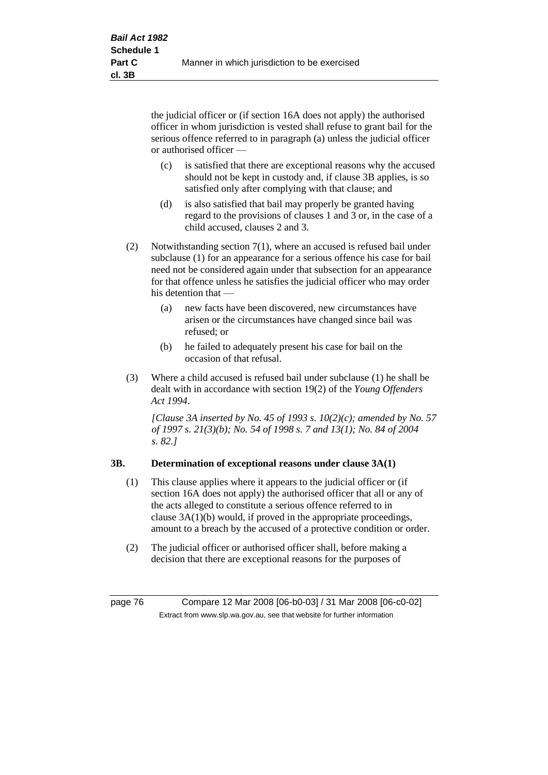the judicial officer or (if section 16A does not apply) the authorised officer in whom jurisdiction is vested shall refuse to grant bail for the serious offence referred to in paragraph (a) unless the judicial officer or authorised officer —

- (c) is satisfied that there are exceptional reasons why the accused should not be kept in custody and, if clause 3B applies, is so satisfied only after complying with that clause; and
- (d) is also satisfied that bail may properly be granted having regard to the provisions of clauses 1 and 3 or, in the case of a child accused, clauses 2 and 3.
- (2) Notwithstanding section 7(1), where an accused is refused bail under subclause (1) for an appearance for a serious offence his case for bail need not be considered again under that subsection for an appearance for that offence unless he satisfies the judicial officer who may order his detention that —
	- (a) new facts have been discovered, new circumstances have arisen or the circumstances have changed since bail was refused; or
	- (b) he failed to adequately present his case for bail on the occasion of that refusal.
- (3) Where a child accused is refused bail under subclause (1) he shall be dealt with in accordance with section 19(2) of the *Young Offenders Act 1994*.

*[Clause 3A inserted by No. 45 of 1993 s. 10(2)(c); amended by No. 57 of 1997 s. 21(3)(b); No. 54 of 1998 s. 7 and 13(1); No. 84 of 2004 s. 82.]*

### **3B. Determination of exceptional reasons under clause 3A(1)**

- (1) This clause applies where it appears to the judicial officer or (if section 16A does not apply) the authorised officer that all or any of the acts alleged to constitute a serious offence referred to in clause 3A(1)(b) would, if proved in the appropriate proceedings, amount to a breach by the accused of a protective condition or order.
- (2) The judicial officer or authorised officer shall, before making a decision that there are exceptional reasons for the purposes of

page 76 Compare 12 Mar 2008 [06-b0-03] / 31 Mar 2008 [06-c0-02] Extract from www.slp.wa.gov.au, see that website for further information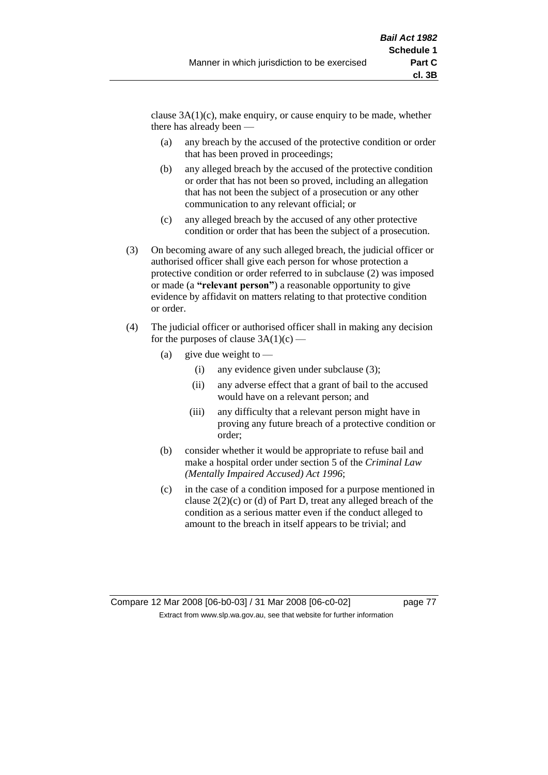clause  $3A(1)(c)$ , make enquiry, or cause enquiry to be made, whether there has already been —

- (a) any breach by the accused of the protective condition or order that has been proved in proceedings;
- (b) any alleged breach by the accused of the protective condition or order that has not been so proved, including an allegation that has not been the subject of a prosecution or any other communication to any relevant official; or
- (c) any alleged breach by the accused of any other protective condition or order that has been the subject of a prosecution.
- (3) On becoming aware of any such alleged breach, the judicial officer or authorised officer shall give each person for whose protection a protective condition or order referred to in subclause (2) was imposed or made (a **"relevant person"**) a reasonable opportunity to give evidence by affidavit on matters relating to that protective condition or order.
- (4) The judicial officer or authorised officer shall in making any decision for the purposes of clause  $3A(1)(c)$  —
	- (a) give due weight to  $-$ 
		- (i) any evidence given under subclause (3);
		- (ii) any adverse effect that a grant of bail to the accused would have on a relevant person; and
		- (iii) any difficulty that a relevant person might have in proving any future breach of a protective condition or order;
	- (b) consider whether it would be appropriate to refuse bail and make a hospital order under section 5 of the *Criminal Law (Mentally Impaired Accused) Act 1996*;
	- (c) in the case of a condition imposed for a purpose mentioned in clause 2(2)(c) or (d) of Part D, treat any alleged breach of the condition as a serious matter even if the conduct alleged to amount to the breach in itself appears to be trivial; and

Compare 12 Mar 2008 [06-b0-03] / 31 Mar 2008 [06-c0-02] page 77 Extract from www.slp.wa.gov.au, see that website for further information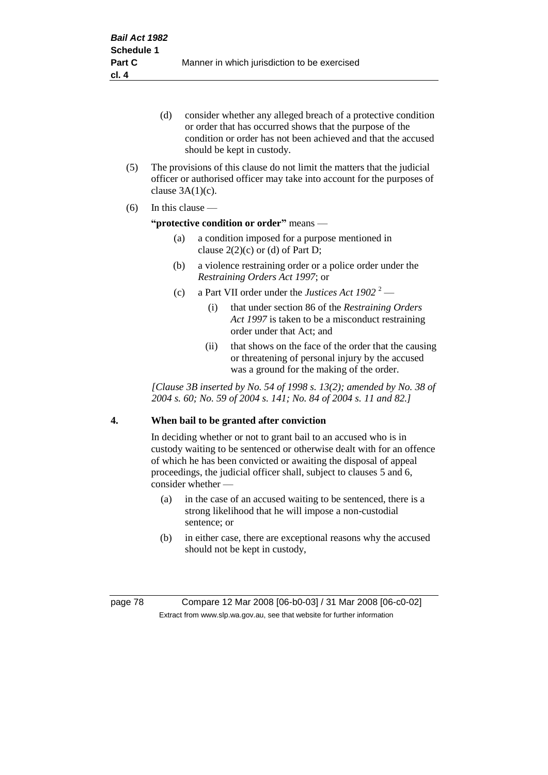- (d) consider whether any alleged breach of a protective condition or order that has occurred shows that the purpose of the condition or order has not been achieved and that the accused should be kept in custody.
- (5) The provisions of this clause do not limit the matters that the judicial officer or authorised officer may take into account for the purposes of clause  $3A(1)(c)$ .
- (6) In this clause —

#### **"protective condition or order"** means —

- (a) a condition imposed for a purpose mentioned in clause  $2(2)(c)$  or (d) of Part D;
- (b) a violence restraining order or a police order under the *Restraining Orders Act 1997*; or
- (c) a Part VII order under the *Justices Act*  $1902^{2}$ 
	- (i) that under section 86 of the *Restraining Orders Act 1997* is taken to be a misconduct restraining order under that Act; and
	- (ii) that shows on the face of the order that the causing or threatening of personal injury by the accused was a ground for the making of the order.

*[Clause 3B inserted by No. 54 of 1998 s. 13(2); amended by No. 38 of 2004 s. 60; No. 59 of 2004 s. 141; No. 84 of 2004 s. 11 and 82.]*

#### **4. When bail to be granted after conviction**

In deciding whether or not to grant bail to an accused who is in custody waiting to be sentenced or otherwise dealt with for an offence of which he has been convicted or awaiting the disposal of appeal proceedings, the judicial officer shall, subject to clauses 5 and 6, consider whether -

- (a) in the case of an accused waiting to be sentenced, there is a strong likelihood that he will impose a non-custodial sentence; or
- (b) in either case, there are exceptional reasons why the accused should not be kept in custody,

page 78 Compare 12 Mar 2008 [06-b0-03] / 31 Mar 2008 [06-c0-02] Extract from www.slp.wa.gov.au, see that website for further information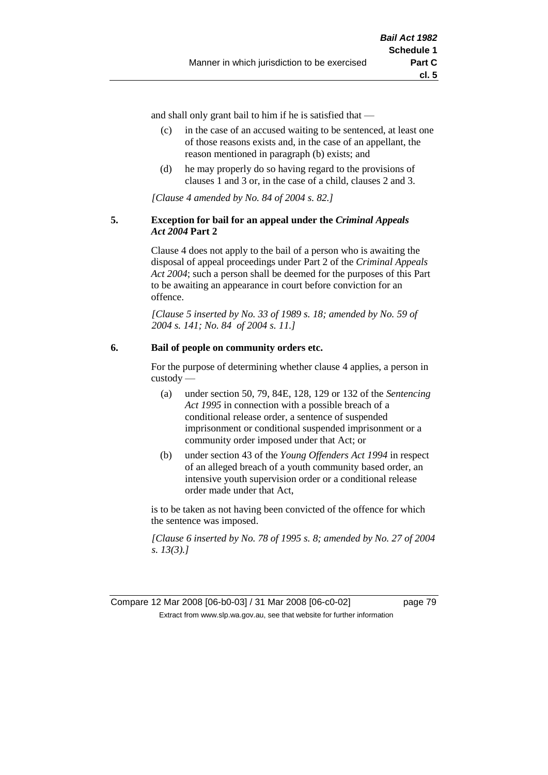**cl. 5**

and shall only grant bail to him if he is satisfied that —

- (c) in the case of an accused waiting to be sentenced, at least one of those reasons exists and, in the case of an appellant, the reason mentioned in paragraph (b) exists; and
- (d) he may properly do so having regard to the provisions of clauses 1 and 3 or, in the case of a child, clauses 2 and 3.

*[Clause 4 amended by No. 84 of 2004 s. 82.]*

#### **5. Exception for bail for an appeal under the** *Criminal Appeals Act 2004* **Part 2**

Clause 4 does not apply to the bail of a person who is awaiting the disposal of appeal proceedings under Part 2 of the *Criminal Appeals Act 2004*; such a person shall be deemed for the purposes of this Part to be awaiting an appearance in court before conviction for an offence.

*[Clause 5 inserted by No. 33 of 1989 s. 18; amended by No. 59 of 2004 s. 141; No. 84 of 2004 s. 11.]*

### **6. Bail of people on community orders etc.**

For the purpose of determining whether clause 4 applies, a person in custody —

- (a) under section 50, 79, 84E, 128, 129 or 132 of the *Sentencing Act 1995* in connection with a possible breach of a conditional release order, a sentence of suspended imprisonment or conditional suspended imprisonment or a community order imposed under that Act; or
- (b) under section 43 of the *Young Offenders Act 1994* in respect of an alleged breach of a youth community based order, an intensive youth supervision order or a conditional release order made under that Act,

is to be taken as not having been convicted of the offence for which the sentence was imposed.

*[Clause 6 inserted by No. 78 of 1995 s. 8; amended by No. 27 of 2004 s. 13(3).]*

Compare 12 Mar 2008 [06-b0-03] / 31 Mar 2008 [06-c0-02] page 79 Extract from www.slp.wa.gov.au, see that website for further information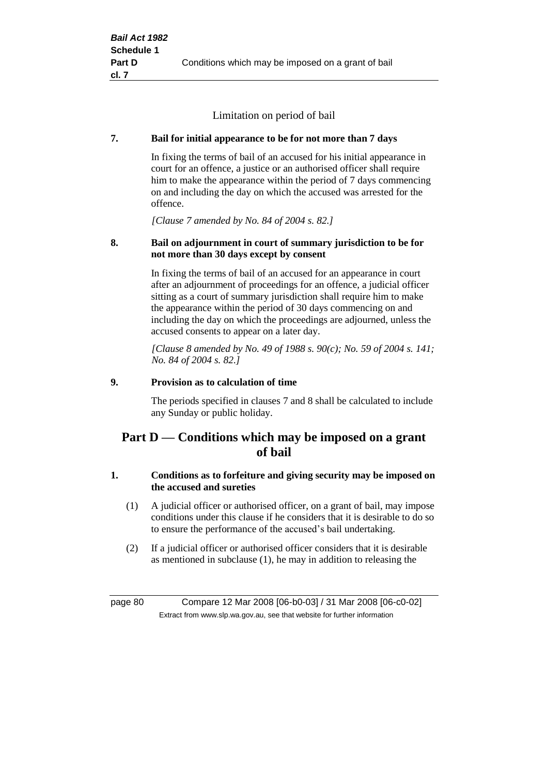Limitation on period of bail

### **7. Bail for initial appearance to be for not more than 7 days**

In fixing the terms of bail of an accused for his initial appearance in court for an offence, a justice or an authorised officer shall require him to make the appearance within the period of 7 days commencing on and including the day on which the accused was arrested for the offence.

*[Clause 7 amended by No. 84 of 2004 s. 82.]*

#### **8. Bail on adjournment in court of summary jurisdiction to be for not more than 30 days except by consent**

In fixing the terms of bail of an accused for an appearance in court after an adjournment of proceedings for an offence, a judicial officer sitting as a court of summary jurisdiction shall require him to make the appearance within the period of 30 days commencing on and including the day on which the proceedings are adjourned, unless the accused consents to appear on a later day.

*[Clause 8 amended by No. 49 of 1988 s. 90(c); No. 59 of 2004 s. 141; No. 84 of 2004 s. 82.]*

#### **9. Provision as to calculation of time**

The periods specified in clauses 7 and 8 shall be calculated to include any Sunday or public holiday.

# **Part D — Conditions which may be imposed on a grant of bail**

### **1. Conditions as to forfeiture and giving security may be imposed on the accused and sureties**

- (1) A judicial officer or authorised officer, on a grant of bail, may impose conditions under this clause if he considers that it is desirable to do so to ensure the performance of the accused's bail undertaking.
- (2) If a judicial officer or authorised officer considers that it is desirable as mentioned in subclause (1), he may in addition to releasing the

page 80 Compare 12 Mar 2008 [06-b0-03] / 31 Mar 2008 [06-c0-02] Extract from www.slp.wa.gov.au, see that website for further information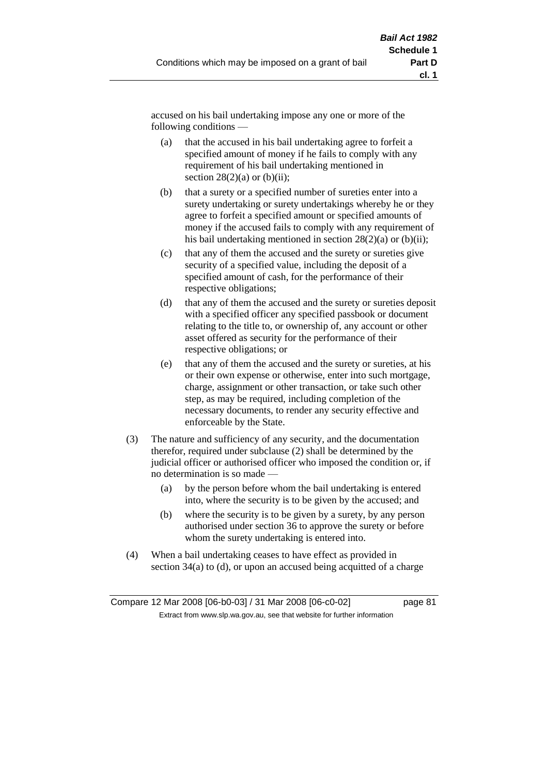accused on his bail undertaking impose any one or more of the following conditions —

- (a) that the accused in his bail undertaking agree to forfeit a specified amount of money if he fails to comply with any requirement of his bail undertaking mentioned in section  $28(2)(a)$  or  $(b)(ii)$ ;
- (b) that a surety or a specified number of sureties enter into a surety undertaking or surety undertakings whereby he or they agree to forfeit a specified amount or specified amounts of money if the accused fails to comply with any requirement of his bail undertaking mentioned in section  $28(2)(a)$  or (b)(ii);
- (c) that any of them the accused and the surety or sureties give security of a specified value, including the deposit of a specified amount of cash, for the performance of their respective obligations;
- (d) that any of them the accused and the surety or sureties deposit with a specified officer any specified passbook or document relating to the title to, or ownership of, any account or other asset offered as security for the performance of their respective obligations; or
- (e) that any of them the accused and the surety or sureties, at his or their own expense or otherwise, enter into such mortgage, charge, assignment or other transaction, or take such other step, as may be required, including completion of the necessary documents, to render any security effective and enforceable by the State.
- (3) The nature and sufficiency of any security, and the documentation therefor, required under subclause (2) shall be determined by the judicial officer or authorised officer who imposed the condition or, if no determination is so made —
	- (a) by the person before whom the bail undertaking is entered into, where the security is to be given by the accused; and
	- (b) where the security is to be given by a surety, by any person authorised under section 36 to approve the surety or before whom the surety undertaking is entered into.
- (4) When a bail undertaking ceases to have effect as provided in section 34(a) to (d), or upon an accused being acquitted of a charge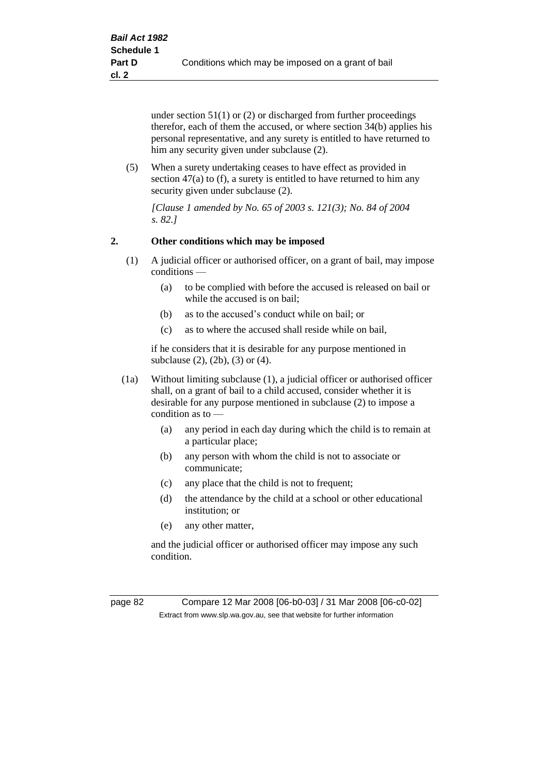under section 51(1) or (2) or discharged from further proceedings therefor, each of them the accused, or where section 34(b) applies his personal representative, and any surety is entitled to have returned to him any security given under subclause (2).

(5) When a surety undertaking ceases to have effect as provided in section 47(a) to (f), a surety is entitled to have returned to him any security given under subclause (2).

*[Clause 1 amended by No. 65 of 2003 s. 121(3); No. 84 of 2004 s. 82.]*

#### **2. Other conditions which may be imposed**

- (1) A judicial officer or authorised officer, on a grant of bail, may impose conditions —
	- (a) to be complied with before the accused is released on bail or while the accused is on bail;
	- (b) as to the accused's conduct while on bail; or
	- (c) as to where the accused shall reside while on bail,

if he considers that it is desirable for any purpose mentioned in subclause (2), (2b), (3) or (4).

- (1a) Without limiting subclause (1), a judicial officer or authorised officer shall, on a grant of bail to a child accused, consider whether it is desirable for any purpose mentioned in subclause (2) to impose a condition as to —
	- (a) any period in each day during which the child is to remain at a particular place;
	- (b) any person with whom the child is not to associate or communicate;
	- (c) any place that the child is not to frequent;
	- (d) the attendance by the child at a school or other educational institution; or
	- (e) any other matter,

and the judicial officer or authorised officer may impose any such condition.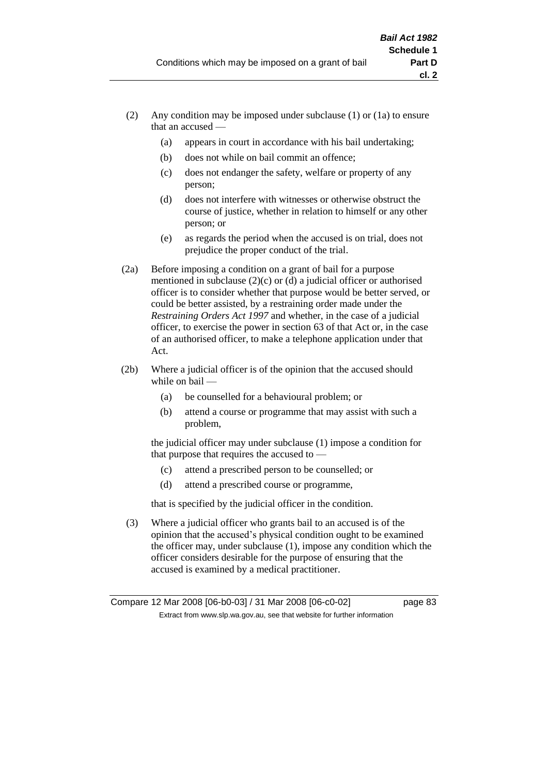- (2) Any condition may be imposed under subclause (1) or (1a) to ensure that an accused —
	- (a) appears in court in accordance with his bail undertaking;
	- (b) does not while on bail commit an offence;
	- (c) does not endanger the safety, welfare or property of any person;
	- (d) does not interfere with witnesses or otherwise obstruct the course of justice, whether in relation to himself or any other person; or
	- (e) as regards the period when the accused is on trial, does not prejudice the proper conduct of the trial.
- (2a) Before imposing a condition on a grant of bail for a purpose mentioned in subclause (2)(c) or (d) a judicial officer or authorised officer is to consider whether that purpose would be better served, or could be better assisted, by a restraining order made under the *Restraining Orders Act 1997* and whether, in the case of a judicial officer, to exercise the power in section 63 of that Act or, in the case of an authorised officer, to make a telephone application under that Act.
- (2b) Where a judicial officer is of the opinion that the accused should while on bail -
	- (a) be counselled for a behavioural problem; or
	- (b) attend a course or programme that may assist with such a problem,

the judicial officer may under subclause (1) impose a condition for that purpose that requires the accused to —

- (c) attend a prescribed person to be counselled; or
- (d) attend a prescribed course or programme,

that is specified by the judicial officer in the condition.

(3) Where a judicial officer who grants bail to an accused is of the opinion that the accused's physical condition ought to be examined the officer may, under subclause (1), impose any condition which the officer considers desirable for the purpose of ensuring that the accused is examined by a medical practitioner.

Compare 12 Mar 2008 [06-b0-03] / 31 Mar 2008 [06-c0-02] page 83 Extract from www.slp.wa.gov.au, see that website for further information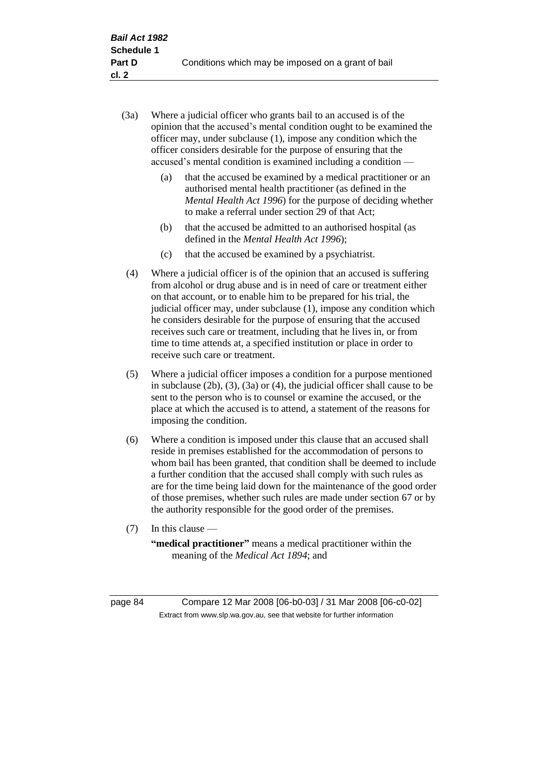- (3a) Where a judicial officer who grants bail to an accused is of the opinion that the accused's mental condition ought to be examined the officer may, under subclause (1), impose any condition which the officer considers desirable for the purpose of ensuring that the accused's mental condition is examined including a condition —
	- (a) that the accused be examined by a medical practitioner or an authorised mental health practitioner (as defined in the *Mental Health Act 1996*) for the purpose of deciding whether to make a referral under section 29 of that Act;
	- (b) that the accused be admitted to an authorised hospital (as defined in the *Mental Health Act 1996*);
	- (c) that the accused be examined by a psychiatrist.
- (4) Where a judicial officer is of the opinion that an accused is suffering from alcohol or drug abuse and is in need of care or treatment either on that account, or to enable him to be prepared for his trial, the judicial officer may, under subclause (1), impose any condition which he considers desirable for the purpose of ensuring that the accused receives such care or treatment, including that he lives in, or from time to time attends at, a specified institution or place in order to receive such care or treatment.
- (5) Where a judicial officer imposes a condition for a purpose mentioned in subclause (2b), (3), (3a) or (4), the judicial officer shall cause to be sent to the person who is to counsel or examine the accused, or the place at which the accused is to attend, a statement of the reasons for imposing the condition.
- (6) Where a condition is imposed under this clause that an accused shall reside in premises established for the accommodation of persons to whom bail has been granted, that condition shall be deemed to include a further condition that the accused shall comply with such rules as are for the time being laid down for the maintenance of the good order of those premises, whether such rules are made under section 67 or by the authority responsible for the good order of the premises.
- (7) In this clause —

**"medical practitioner"** means a medical practitioner within the meaning of the *Medical Act 1894*; and

page 84 Compare 12 Mar 2008 [06-b0-03] / 31 Mar 2008 [06-c0-02] Extract from www.slp.wa.gov.au, see that website for further information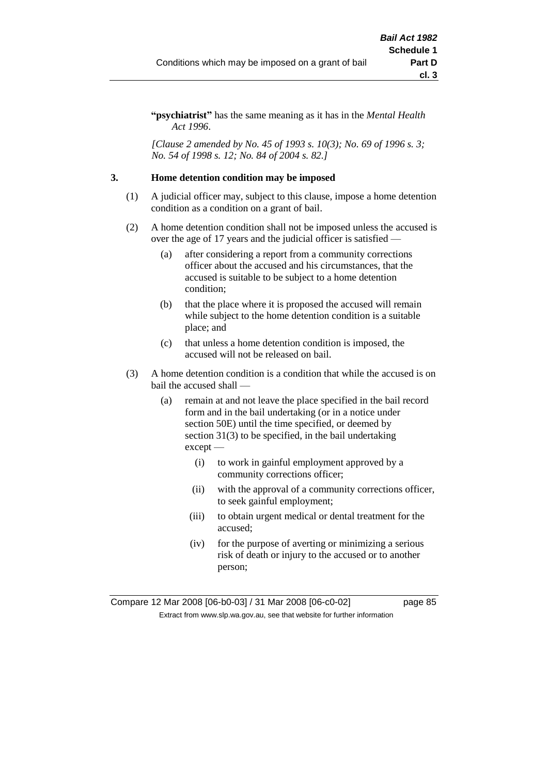**"psychiatrist"** has the same meaning as it has in the *Mental Health Act 1996*.

*[Clause 2 amended by No. 45 of 1993 s. 10(3); No. 69 of 1996 s. 3; No. 54 of 1998 s. 12; No. 84 of 2004 s. 82.]*

#### **3. Home detention condition may be imposed**

- (1) A judicial officer may, subject to this clause, impose a home detention condition as a condition on a grant of bail.
- (2) A home detention condition shall not be imposed unless the accused is over the age of 17 years and the judicial officer is satisfied —
	- (a) after considering a report from a community corrections officer about the accused and his circumstances, that the accused is suitable to be subject to a home detention condition;
	- (b) that the place where it is proposed the accused will remain while subject to the home detention condition is a suitable place; and
	- (c) that unless a home detention condition is imposed, the accused will not be released on bail.
- (3) A home detention condition is a condition that while the accused is on bail the accused shall —
	- (a) remain at and not leave the place specified in the bail record form and in the bail undertaking (or in a notice under section 50E) until the time specified, or deemed by section 31(3) to be specified, in the bail undertaking except —
		- (i) to work in gainful employment approved by a community corrections officer;
		- (ii) with the approval of a community corrections officer, to seek gainful employment;
		- (iii) to obtain urgent medical or dental treatment for the accused;
		- (iv) for the purpose of averting or minimizing a serious risk of death or injury to the accused or to another person;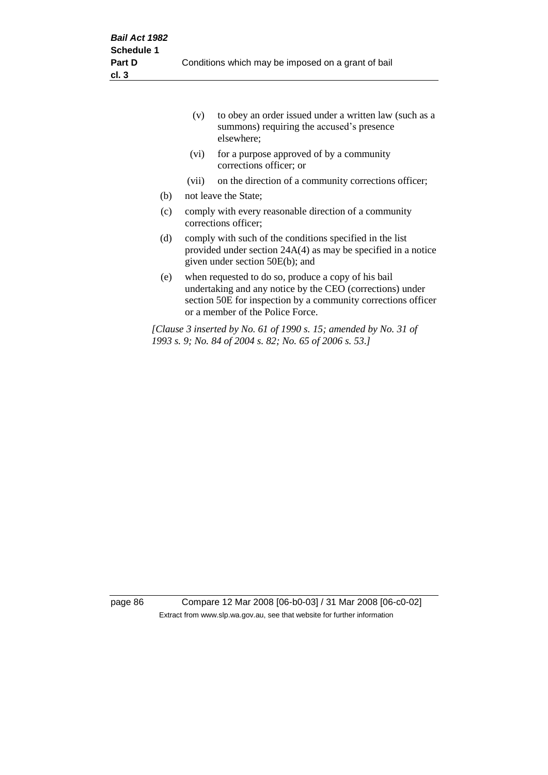|     | (v)                                                                                                                                                            | to obey an order issued under a written law (such as a<br>summons) requiring the accused's presence<br>elsewhere;                                                                                                     |  |
|-----|----------------------------------------------------------------------------------------------------------------------------------------------------------------|-----------------------------------------------------------------------------------------------------------------------------------------------------------------------------------------------------------------------|--|
|     | (vi)                                                                                                                                                           | for a purpose approved of by a community<br>corrections officer; or                                                                                                                                                   |  |
|     | (vii)                                                                                                                                                          | on the direction of a community corrections officer;                                                                                                                                                                  |  |
| (b) |                                                                                                                                                                | not leave the State;                                                                                                                                                                                                  |  |
| (c) | comply with every reasonable direction of a community<br>corrections officer;                                                                                  |                                                                                                                                                                                                                       |  |
| (d) | comply with such of the conditions specified in the list<br>provided under section $24A(4)$ as may be specified in a notice<br>given under section 50E(b); and |                                                                                                                                                                                                                       |  |
| (e) |                                                                                                                                                                | when requested to do so, produce a copy of his bail<br>undertaking and any notice by the CEO (corrections) under<br>section 50E for inspection by a community corrections officer<br>or a member of the Police Force. |  |
|     |                                                                                                                                                                | [Clause 3 inserted by No. 61 of 1990 s. 15; amended by No. 31 of<br>1993 s. 9; No. 84 of 2004 s. 82; No. 65 of 2006 s. 53.]                                                                                           |  |

page 86 Compare 12 Mar 2008 [06-b0-03] / 31 Mar 2008 [06-c0-02] Extract from www.slp.wa.gov.au, see that website for further information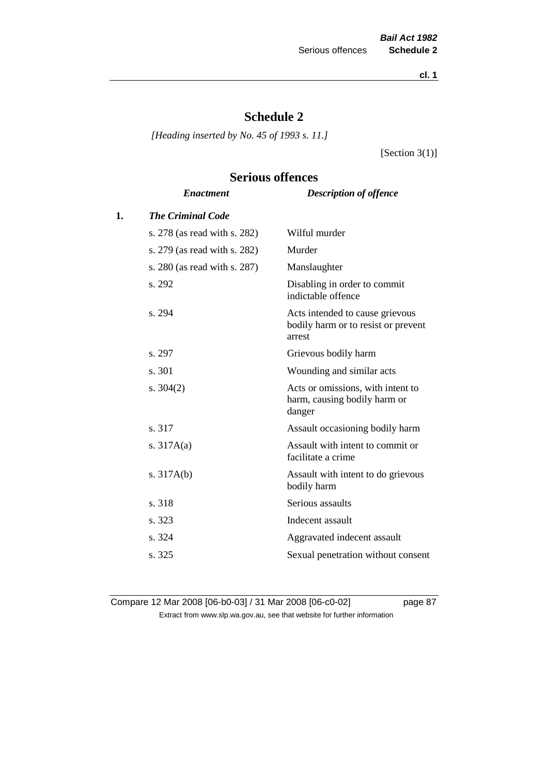**cl. 1**

# **Schedule 2**

*[Heading inserted by No. 45 of 1993 s. 11.]*

[Section 3(1)]

# **Serious offences**

|    | <b>Enactment</b>             | <b>Description of offence</b>                                                    |
|----|------------------------------|----------------------------------------------------------------------------------|
| 1. | <b>The Criminal Code</b>     |                                                                                  |
|    | s. 278 (as read with s. 282) | Wilful murder                                                                    |
|    | s. 279 (as read with s. 282) | Murder                                                                           |
|    | s. 280 (as read with s. 287) | Manslaughter                                                                     |
|    | s. 292                       | Disabling in order to commit<br>indictable offence                               |
|    | s. 294                       | Acts intended to cause grievous<br>bodily harm or to resist or prevent<br>arrest |
|    | s. 297                       | Grievous bodily harm                                                             |
|    | s. 301                       | Wounding and similar acts                                                        |
|    | s. $304(2)$                  | Acts or omissions, with intent to<br>harm, causing bodily harm or<br>danger      |
|    | s. 317                       | Assault occasioning bodily harm                                                  |
|    | s. $317A(a)$                 | Assault with intent to commit or<br>facilitate a crime                           |
|    | s. $317A(b)$                 | Assault with intent to do grievous<br>bodily harm                                |
|    | s. 318                       | Serious assaults                                                                 |
|    | s. 323                       | Indecent assault                                                                 |
|    | s. 324                       | Aggravated indecent assault                                                      |
|    | s. 325                       | Sexual penetration without consent                                               |
|    |                              |                                                                                  |

Compare 12 Mar 2008 [06-b0-03] / 31 Mar 2008 [06-c0-02] page 87 Extract from www.slp.wa.gov.au, see that website for further information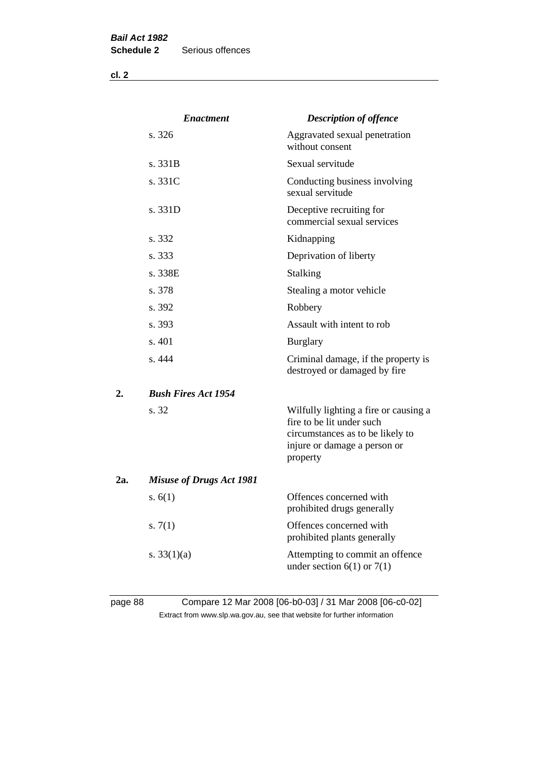**cl. 2**

|     | <b>Enactment</b>                | <b>Description of offence</b>                                                                                                                      |
|-----|---------------------------------|----------------------------------------------------------------------------------------------------------------------------------------------------|
|     | s. 326                          | Aggravated sexual penetration<br>without consent                                                                                                   |
|     | s. 331B                         | Sexual servitude                                                                                                                                   |
|     | s. 331C                         | Conducting business involving<br>sexual servitude                                                                                                  |
|     | s. 331D                         | Deceptive recruiting for<br>commercial sexual services                                                                                             |
|     | s. 332                          | Kidnapping                                                                                                                                         |
|     | s. 333                          | Deprivation of liberty                                                                                                                             |
|     | s. 338E                         | Stalking                                                                                                                                           |
|     | s. 378                          | Stealing a motor vehicle                                                                                                                           |
|     | s. 392                          | Robbery                                                                                                                                            |
|     | s. 393                          | Assault with intent to rob                                                                                                                         |
|     | s. 401                          | <b>Burglary</b>                                                                                                                                    |
|     | s. 444                          | Criminal damage, if the property is<br>destroyed or damaged by fire                                                                                |
| 2.  | <b>Bush Fires Act 1954</b>      |                                                                                                                                                    |
|     | s. 32                           | Wilfully lighting a fire or causing a<br>fire to be lit under such<br>circumstances as to be likely to<br>injure or damage a person or<br>property |
| 2a. | <b>Misuse of Drugs Act 1981</b> |                                                                                                                                                    |
|     | s. $6(1)$                       | Offences concerned with<br>prohibited drugs generally                                                                                              |
|     | s. $7(1)$                       | Offences concerned with<br>prohibited plants generally                                                                                             |
|     | s. $33(1)(a)$                   | Attempting to commit an offence<br>under section $6(1)$ or $7(1)$                                                                                  |
|     |                                 |                                                                                                                                                    |

# page 88 Compare 12 Mar 2008 [06-b0-03] / 31 Mar 2008 [06-c0-02] Extract from www.slp.wa.gov.au, see that website for further information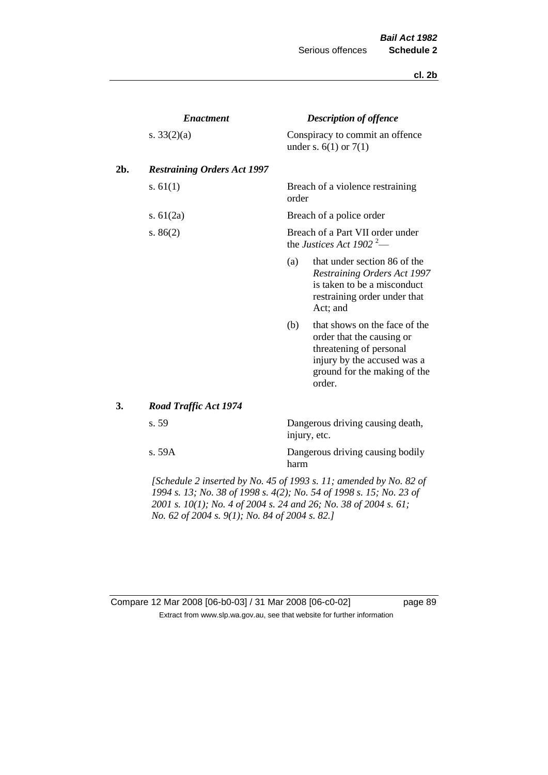#### **cl. 2b**

|     | <b>Enactment</b>                                                      |                                                                          | <b>Description of offence</b>                                                                                                                                  |  |  |
|-----|-----------------------------------------------------------------------|--------------------------------------------------------------------------|----------------------------------------------------------------------------------------------------------------------------------------------------------------|--|--|
|     | s. $33(2)(a)$                                                         |                                                                          | Conspiracy to commit an offence<br>under s. $6(1)$ or $7(1)$                                                                                                   |  |  |
| 2b. | <b>Restraining Orders Act 1997</b>                                    |                                                                          |                                                                                                                                                                |  |  |
|     | s. $61(1)$                                                            | order                                                                    | Breach of a violence restraining                                                                                                                               |  |  |
|     | s. $61(2a)$                                                           |                                                                          | Breach of a police order                                                                                                                                       |  |  |
|     | s. $86(2)$                                                            | Breach of a Part VII order under<br>the Justices Act 1902 <sup>2</sup> — |                                                                                                                                                                |  |  |
|     |                                                                       | (a)                                                                      | that under section 86 of the<br><b>Restraining Orders Act 1997</b><br>is taken to be a misconduct<br>restraining order under that<br>Act; and                  |  |  |
|     |                                                                       | (b)                                                                      | that shows on the face of the<br>order that the causing or<br>threatening of personal<br>injury by the accused was a<br>ground for the making of the<br>order. |  |  |
| 3.  | <b>Road Traffic Act 1974</b>                                          |                                                                          |                                                                                                                                                                |  |  |
|     | s. 59                                                                 | Dangerous driving causing death,<br>injury, etc.                         |                                                                                                                                                                |  |  |
|     | s. 59A                                                                | harm                                                                     | Dangerous driving causing bodily                                                                                                                               |  |  |
|     | $I$ Schodule 2 inserted by No. 45 of 1002 s. 11; amended by No. 82 of |                                                                          |                                                                                                                                                                |  |  |

*[Schedule 2 inserted by No. 45 of 1993 s. 11; amended by No. 82 of 1994 s. 13; No. 38 of 1998 s. 4(2); No. 54 of 1998 s. 15; No. 23 of 2001 s. 10(1); No. 4 of 2004 s. 24 and 26; No. 38 of 2004 s. 61; No. 62 of 2004 s. 9(1); No. 84 of 2004 s. 82.]* 

| Compare 12 Mar 2008 [06-b0-03] / 31 Mar 2008 [06-c0-02]                  |
|--------------------------------------------------------------------------|
| Extract from www.slp.wa.gov.au, see that website for further information |

page 89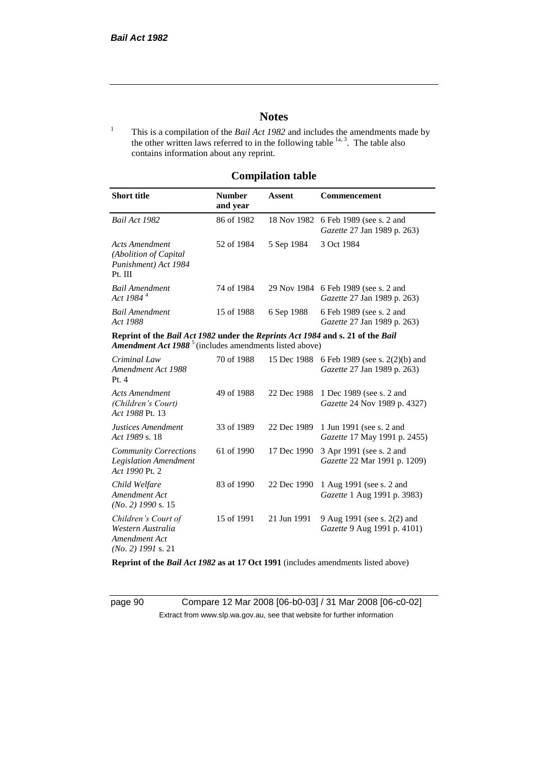# **Notes**

<sup>1</sup> This is a compilation of the *Bail Act 1982* and includes the amendments made by the other written laws referred to in the following table  $\frac{1}{a}$ , The table also contains information about any reprint.

## **Compilation table**

| <b>Short title</b>                                                                                                                                   | <b>Number</b><br>and year | Assent     | Commencement                                                               |
|------------------------------------------------------------------------------------------------------------------------------------------------------|---------------------------|------------|----------------------------------------------------------------------------|
| Bail Act 1982                                                                                                                                        | 86 of 1982                |            | 18 Nov 1982 6 Feb 1989 (see s. 2 and<br>Gazette 27 Jan 1989 p. 263)        |
| Acts Amendment<br>(Abolition of Capital)<br>Punishment) Act 1984<br>Pt. III                                                                          | 52 of 1984                | 5 Sep 1984 | 3 Oct 1984                                                                 |
| <b>Bail Amendment</b><br>Act 1984 <sup>4</sup>                                                                                                       | 74 of 1984                |            | 29 Nov 1984 6 Feb 1989 (see s. 2 and<br><i>Gazette</i> 27 Jan 1989 p. 263) |
| <b>Bail Amendment</b><br>Act 1988                                                                                                                    | 15 of 1988                | 6 Sep 1988 | 6 Feb 1989 (see s. 2 and<br><i>Gazette</i> 27 Jan 1989 p. 263)             |
| Reprint of the Bail Act 1982 under the Reprints Act 1984 and s. 21 of the Bail<br>Amendment Act 1988 <sup>5</sup> (includes amendments listed above) |                           |            |                                                                            |
| Criminal Law<br>Amendment Act 1988                                                                                                                   | 70 of 1988                |            | 15 Dec 1988 6 Feb 1989 (see s. 2(2)(b) and<br>Gazette 27 Jan 1989 p. 263). |

| Amendment Act 1988<br>Pt.4                                                        |            | 10.0001700  | $\sigma$ 1 co 1,000 (500 $\sigma$ = $(2/10)$ and<br>Gazette 27 Jan 1989 p. 263) |
|-----------------------------------------------------------------------------------|------------|-------------|---------------------------------------------------------------------------------|
| Acts Amendment<br>(Children's Court)<br>Act 1988 Pt. 13                           | 49 of 1988 | 22 Dec 1988 | 1 Dec 1989 (see s. 2 and<br>Gazette 24 Nov 1989 p. 4327)                        |
| Justices Amendment<br>Act 1989 s. 18                                              | 33 of 1989 |             | 22 Dec 1989 1 Jun 1991 (see s. 2 and<br><i>Gazette</i> 17 May 1991 p. 2455)     |
| <b>Community Corrections</b><br><b>Legislation Amendment</b><br>Act 1990 Pt. 2    | 61 of 1990 | 17 Dec 1990 | 3 Apr 1991 (see s. 2 and<br>Gazette 22 Mar 1991 p. 1209)                        |
| Child Welfare<br>Amendment Act<br>$(No. 2)$ 1990 s. 15                            | 83 of 1990 | 22 Dec 1990 | 1 Aug 1991 (see s. 2 and<br>Gazette 1 Aug 1991 p. 3983)                         |
| Children's Court of<br>Western Australia<br>Amendment Act<br>$(No. 2)$ 1991 s. 21 | 15 of 1991 | 21 Jun 1991 | 9 Aug 1991 (see s. 2(2) and<br>Gazette 9 Aug 1991 p. 4101)                      |

**Reprint of the** *Bail Act 1982* **as at 17 Oct 1991** (includes amendments listed above)

page 90 Compare 12 Mar 2008 [06-b0-03] / 31 Mar 2008 [06-c0-02] Extract from www.slp.wa.gov.au, see that website for further information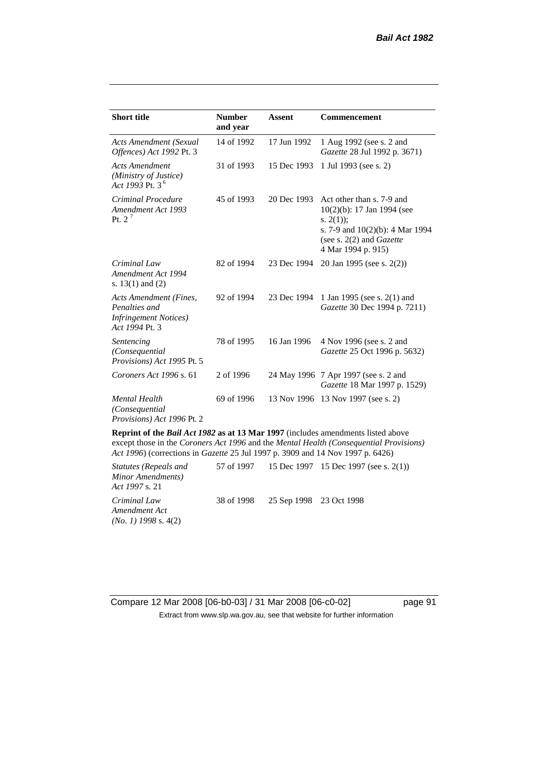| <b>Short title</b>                                                                         | <b>Number</b><br>and year | <b>Assent</b> | <b>Commencement</b>                                                                                                                                                        |
|--------------------------------------------------------------------------------------------|---------------------------|---------------|----------------------------------------------------------------------------------------------------------------------------------------------------------------------------|
| Acts Amendment (Sexual<br>Offences) Act 1992 Pt. 3                                         | 14 of 1992                | 17 Jun 1992   | 1 Aug 1992 (see s. 2 and<br>Gazette 28 Jul 1992 p. 3671)                                                                                                                   |
| <b>Acts Amendment</b><br>(Ministry of Justice)<br>Act 1993 Pt. 3 <sup>6</sup>              | 31 of 1993                | 15 Dec 1993   | 1 Jul 1993 (see s. 2)                                                                                                                                                      |
| Criminal Procedure<br>Amendment Act 1993<br>Pt. $2^7$                                      | 45 of 1993                | 20 Dec 1993   | Act other than s. 7-9 and<br>$10(2)(b)$ : 17 Jan 1994 (see<br>s. $2(1)$ ;<br>s. 7-9 and $10(2)(b)$ : 4 Mar 1994<br>(see s. $2(2)$ and <i>Gazette</i><br>4 Mar 1994 p. 915) |
| Criminal Law<br>Amendment Act 1994<br>s. $13(1)$ and $(2)$                                 | 82 of 1994                | 23 Dec 1994   | 20 Jan 1995 (see s. 2(2))                                                                                                                                                  |
| Acts Amendment (Fines,<br>Penalties and<br><b>Infringement Notices</b> )<br>Act 1994 Pt. 3 | 92 of 1994                | 23 Dec 1994   | 1 Jan 1995 (see s. 2(1) and<br>Gazette 30 Dec 1994 p. 7211)                                                                                                                |
| Sentencing<br>(Consequential<br>Provisions) Act 1995 Pt. 5                                 | 78 of 1995                | 16 Jan 1996   | 4 Nov 1996 (see s. 2 and<br>Gazette 25 Oct 1996 p. 5632)                                                                                                                   |
| Coroners Act 1996 s. 61                                                                    | 2 of 1996                 |               | 24 May 1996 7 Apr 1997 (see s. 2 and<br>Gazette 18 Mar 1997 p. 1529)                                                                                                       |
| <b>Mental Health</b><br>(Consequential<br>Provisions) Act 1996 Pt. 2                       | 69 of 1996                |               | 13 Nov 1996 13 Nov 1997 (see s. 2)                                                                                                                                         |

**Reprint of the** *Bail Act 1982* **as at 13 Mar 1997** (includes amendments listed above except those in the *Coroners Act 1996* and the *Mental Health (Consequential Provisions) Act 1996*) (corrections in *Gazette* 25 Jul 1997 p. 3909 and 14 Nov 1997 p. 6426)

*Statutes (Repeals and Minor Amendments) Act 1997* s. 21 57 of 1997 15 Dec 1997 15 Dec 1997 (see s. 2(1)) *Criminal Law Amendment Act (No. 1) 1998* s. 4(2) 38 of 1998 25 Sep 1998 23 Oct 1998

Compare 12 Mar 2008 [06-b0-03] / 31 Mar 2008 [06-c0-02] page 91 Extract from www.slp.wa.gov.au, see that website for further information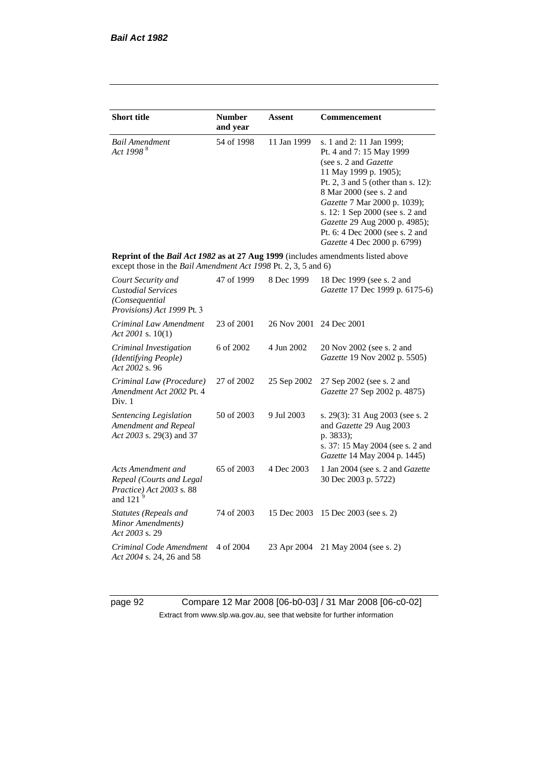| <b>Short title</b>                                                                                                                                 | <b>Number</b><br>and year | Assent      | Commencement                                                                                                                                                                                                                                                                                                                                            |
|----------------------------------------------------------------------------------------------------------------------------------------------------|---------------------------|-------------|---------------------------------------------------------------------------------------------------------------------------------------------------------------------------------------------------------------------------------------------------------------------------------------------------------------------------------------------------------|
| <b>Bail Amendment</b><br>Act 1998 <sup>8</sup>                                                                                                     | 54 of 1998                | 11 Jan 1999 | s. 1 and 2: 11 Jan 1999;<br>Pt. 4 and 7: 15 May 1999<br>(see s. 2 and <i>Gazette</i> )<br>11 May 1999 p. 1905);<br>Pt. 2, 3 and 5 (other than s. 12):<br>8 Mar 2000 (see s. 2 and<br>Gazette 7 Mar 2000 p. 1039);<br>s. 12: 1 Sep 2000 (see s. 2 and<br>Gazette 29 Aug 2000 p. 4985);<br>Pt. 6: 4 Dec 2000 (see s. 2 and<br>Gazette 4 Dec 2000 p. 6799) |
| Reprint of the Bail Act 1982 as at 27 Aug 1999 (includes amendments listed above<br>except those in the Bail Amendment Act 1998 Pt. 2, 3, 5 and 6) |                           |             |                                                                                                                                                                                                                                                                                                                                                         |
| Court Security and<br><b>Custodial Services</b><br>(Consequential<br>Provisions) Act 1999 Pt. 3                                                    | 47 of 1999                | 8 Dec 1999  | 18 Dec 1999 (see s. 2 and<br>Gazette 17 Dec 1999 p. 6175-6)                                                                                                                                                                                                                                                                                             |
| Criminal Law Amendment<br>Act 2001 s. $10(1)$                                                                                                      | 23 of 2001                | 26 Nov 2001 | 24 Dec 2001                                                                                                                                                                                                                                                                                                                                             |
| Criminal Investigation<br>(Identifying People)<br>Act 2002 s. 96                                                                                   | 6 of 2002                 | 4 Jun 2002  | 20 Nov 2002 (see s. 2 and<br>Gazette 19 Nov 2002 p. 5505)                                                                                                                                                                                                                                                                                               |
| Criminal Law (Procedure)<br>Amendment Act 2002 Pt. 4<br>Div. 1                                                                                     | 27 of 2002                | 25 Sep 2002 | 27 Sep 2002 (see s. 2 and<br>Gazette 27 Sep 2002 p. 4875)                                                                                                                                                                                                                                                                                               |
| Sentencing Legislation<br>Amendment and Repeal<br>Act 2003 s. 29(3) and 37                                                                         | 50 of 2003                | 9 Jul 2003  | s. 29(3): 31 Aug 2003 (see s. 2)<br>and Gazette 29 Aug 2003<br>p. 3833);<br>s. 37: 15 May 2004 (see s. 2 and<br>Gazette 14 May 2004 p. 1445)                                                                                                                                                                                                            |
| Acts Amendment and<br>Repeal (Courts and Legal<br>Practice) Act 2003 s. 88<br>and 121 $9$                                                          | 65 of 2003                | 4 Dec 2003  | 1 Jan 2004 (see s. 2 and Gazette<br>30 Dec 2003 p. 5722)                                                                                                                                                                                                                                                                                                |
| <b>Statutes (Repeals and</b><br>Minor Amendments)<br>Act 2003 s. 29                                                                                | 74 of 2003                | 15 Dec 2003 | 15 Dec 2003 (see s. 2)                                                                                                                                                                                                                                                                                                                                  |
| Criminal Code Amendment<br>Act 2004 s. 24, 26 and 58                                                                                               | 4 of 2004                 | 23 Apr 2004 | 21 May 2004 (see s. 2)                                                                                                                                                                                                                                                                                                                                  |

page 92 Compare 12 Mar 2008 [06-b0-03] / 31 Mar 2008 [06-c0-02] Extract from www.slp.wa.gov.au, see that website for further information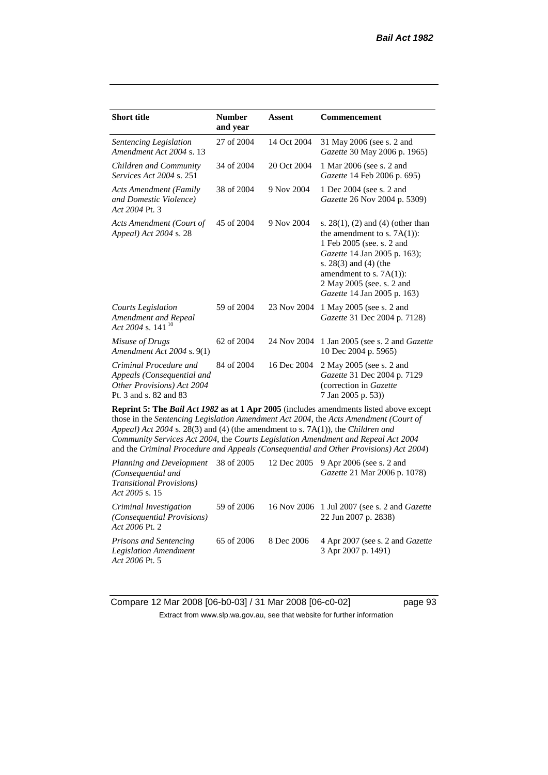| <b>Short title</b>                                                                                                                                                                                                                                                       | <b>Number</b><br>and year | <b>Assent</b> | <b>Commencement</b>                                                                                                                                                                                                                                      |  |
|--------------------------------------------------------------------------------------------------------------------------------------------------------------------------------------------------------------------------------------------------------------------------|---------------------------|---------------|----------------------------------------------------------------------------------------------------------------------------------------------------------------------------------------------------------------------------------------------------------|--|
| Sentencing Legislation<br>Amendment Act 2004 s. 13                                                                                                                                                                                                                       | 27 of 2004                | 14 Oct 2004   | 31 May 2006 (see s. 2 and<br>Gazette 30 May 2006 p. 1965)                                                                                                                                                                                                |  |
| Children and Community<br>Services Act 2004 s. 251                                                                                                                                                                                                                       | 34 of 2004                | 20 Oct 2004   | 1 Mar 2006 (see s. 2 and<br>Gazette 14 Feb 2006 p. 695)                                                                                                                                                                                                  |  |
| <b>Acts Amendment (Family</b><br>and Domestic Violence)<br>Act 2004 Pt. 3                                                                                                                                                                                                | 38 of 2004                | 9 Nov 2004    | 1 Dec 2004 (see s. 2 and<br>Gazette 26 Nov 2004 p. 5309)                                                                                                                                                                                                 |  |
| Acts Amendment (Court of<br>Appeal) Act 2004 s. 28                                                                                                                                                                                                                       | 45 of 2004                | 9 Nov 2004    | s. $28(1)$ , (2) and (4) (other than<br>the amendment to s. $7A(1)$ :<br>1 Feb 2005 (see. s. 2 and<br>Gazette 14 Jan 2005 p. 163);<br>s. $28(3)$ and $(4)$ (the<br>amendment to s. $7A(1)$ :<br>2 May 2005 (see. s. 2 and<br>Gazette 14 Jan 2005 p. 163) |  |
| <b>Courts Legislation</b><br>Amendment and Repeal<br>Act 2004 s. 141 <sup>10</sup>                                                                                                                                                                                       | 59 of 2004                | 23 Nov 2004   | 1 May 2005 (see s. 2 and<br>Gazette 31 Dec 2004 p. 7128)                                                                                                                                                                                                 |  |
| Misuse of Drugs<br>Amendment Act 2004 s. 9(1)                                                                                                                                                                                                                            | 62 of 2004                | 24 Nov 2004   | 1 Jan 2005 (see s. 2 and <i>Gazette</i><br>10 Dec 2004 p. 5965)                                                                                                                                                                                          |  |
| Criminal Procedure and<br>Appeals (Consequential and<br>Other Provisions) Act 2004<br>Pt. 3 and s. 82 and 83                                                                                                                                                             | 84 of 2004                | 16 Dec 2004   | 2 May 2005 (see s. 2 and<br>Gazette 31 Dec 2004 p. 7129<br>(correction in Gazette<br>7 Jan 2005 p. 53))                                                                                                                                                  |  |
| <b>Reprint 5: The Bail Act 1982 as at 1 Apr 2005</b> (includes amendments listed above except<br>those in the Sentencing Legislation Amendment Act 2004, the Acts Amendment (Court of<br>Appeal) Act 2004 s. 28(3) and (4) (the amendment to s. 7A(1)), the Children and |                           |               |                                                                                                                                                                                                                                                          |  |

*Community Services Act 2004*, the *Courts Legislation Amendment and Repeal Act 2004* and the *Criminal Procedure and Appeals (Consequential and Other Provisions) Act 2004*)

| Planning and Development<br>(Consequential and<br><b>Transitional Provisions</b> )<br>Act 2005 s. 15 | 38 of 2005 |            | 12 Dec 2005 9 Apr 2006 (see s. 2 and<br><i>Gazette</i> 21 Mar 2006 p. 1078) |
|------------------------------------------------------------------------------------------------------|------------|------------|-----------------------------------------------------------------------------|
| Criminal Investigation<br>(Consequential Provisions)<br>Act 2006 Pt. 2                               | 59 of 2006 |            | 16 Nov 2006 1 Jul 2007 (see s. 2 and <i>Gazette</i><br>22 Jun 2007 p. 2838) |
| <i>Prisons and Sentencing</i><br><b>Legislation Amendment</b><br>Act 2006 Pt. 5                      | 65 of 2006 | 8 Dec 2006 | 4 Apr 2007 (see s. 2 and <i>Gazette</i><br>3 Apr 2007 p. 1491)              |

Compare 12 Mar 2008 [06-b0-03] / 31 Mar 2008 [06-c0-02] page 93 Extract from www.slp.wa.gov.au, see that website for further information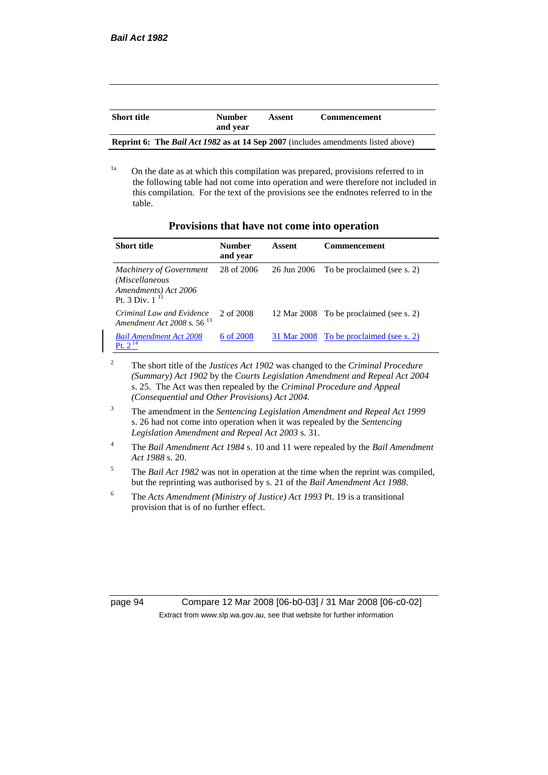| <b>Short title</b>                                                                       | <b>Number</b><br>and vear | Assent | <b>Commencement</b> |  |
|------------------------------------------------------------------------------------------|---------------------------|--------|---------------------|--|
| <b>Reprint 6: The Bail Act 1982 as at 14 Sep 2007</b> (includes amendments listed above) |                           |        |                     |  |

<sup>1a</sup> On the date as at which this compilation was prepared, provisions referred to in the following table had not come into operation and were therefore not included in this compilation. For the text of the provisions see the endnotes referred to in the table.

| Provisions that have not come into operation |  |  |  |
|----------------------------------------------|--|--|--|
|----------------------------------------------|--|--|--|

| <b>Short title</b>                                                                              | Number<br>and year | Assent      | <b>Commencement</b>                     |
|-------------------------------------------------------------------------------------------------|--------------------|-------------|-----------------------------------------|
| <b>Machinery of Government</b><br>(Miscellaneous<br>Amendments) Act 2006<br>Pt. 3 Div. $1^{11}$ | 28 of 2006         | 26 Jun 2006 | To be proclaimed (see s. 2)             |
| Criminal Law and Evidence<br>Amendment Act 2008 s. 56 <sup>13</sup>                             | 2 of 2008          |             | 12 Mar 2008 To be proclaimed (see s. 2) |
| <b>Bail Amendment Act 2008</b><br><b>Pt.</b> $2^{14}$                                           | 6 of 2008          |             | 31 Mar 2008 To be proclaimed (see s. 2) |

<sup>2</sup> The short title of the *Justices Act 1902* was changed to the *Criminal Procedure (Summary) Act 1902* by the *Courts Legislation Amendment and Repeal Act 2004*  s. 25. The Act was then repealed by the *Criminal Procedure and Appeal (Consequential and Other Provisions) Act 2004.*

- <sup>3</sup> The amendment in the *Sentencing Legislation Amendment and Repeal Act 1999* s. 26 had not come into operation when it was repealed by the *Sentencing Legislation Amendment and Repeal Act 2003* s. 31.
- <sup>4</sup> The *Bail Amendment Act 1984* s. 10 and 11 were repealed by the *Bail Amendment Act 1988* s. 20.
- <sup>5</sup> The *Bail Act 1982* was not in operation at the time when the reprint was compiled, but the reprinting was authorised by s. 21 of the *Bail Amendment Act 1988*.
- <sup>6</sup> The *Acts Amendment (Ministry of Justice) Act 1993* Pt. 19 is a transitional provision that is of no further effect.

page 94 Compare 12 Mar 2008 [06-b0-03] / 31 Mar 2008 [06-c0-02] Extract from www.slp.wa.gov.au, see that website for further information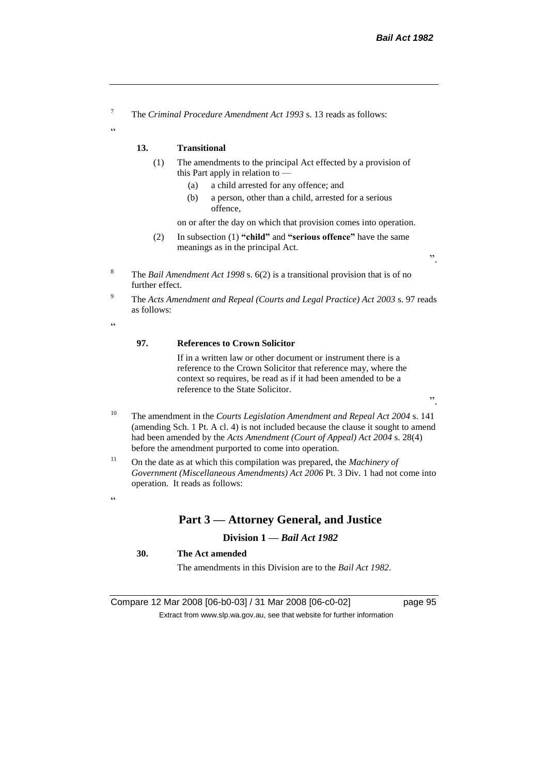<sup>7</sup> The *Criminal Procedure Amendment Act 1993* s. 13 reads as follows:

#### **13. Transitional**

- (1) The amendments to the principal Act effected by a provision of this Part apply in relation to —
	- (a) a child arrested for any offence; and
	- (b) a person, other than a child, arrested for a serious offence,

on or after the day on which that provision comes into operation.

- (2) In subsection (1) **"child"** and **"serious offence"** have the same meanings as in the principal Act.
- <sup>8</sup> The *Bail Amendment Act 1998* s. 6(2) is a transitional provision that is of no further effect.
- <sup>9</sup> The *Acts Amendment and Repeal (Courts and Legal Practice) Act 2003* s. 97 reads as follows:

 $\epsilon$ 

 $\alpha$ 

#### **97. References to Crown Solicitor**

If in a written law or other document or instrument there is a reference to the Crown Solicitor that reference may, where the context so requires, be read as if it had been amended to be a reference to the State Solicitor.

".

".

- <sup>10</sup> The amendment in the *Courts Legislation Amendment and Repeal Act 2004* s. 141 (amending Sch. 1 Pt. A cl. 4) is not included because the clause it sought to amend had been amended by the *Acts Amendment (Court of Appeal) Act 2004* s. 28(4) before the amendment purported to come into operation.
- <sup>11</sup> On the date as at which this compilation was prepared, the *Machinery of Government (Miscellaneous Amendments) Act 2006* Pt. 3 Div. 1 had not come into operation. It reads as follows:

#### $\alpha$

#### **Part 3 — Attorney General, and Justice**

#### **Division 1 —** *Bail Act 1982*

#### **30. The Act amended**

The amendments in this Division are to the *Bail Act 1982*.

Compare 12 Mar 2008 [06-b0-03] / 31 Mar 2008 [06-c0-02] page 95 Extract from www.slp.wa.gov.au, see that website for further information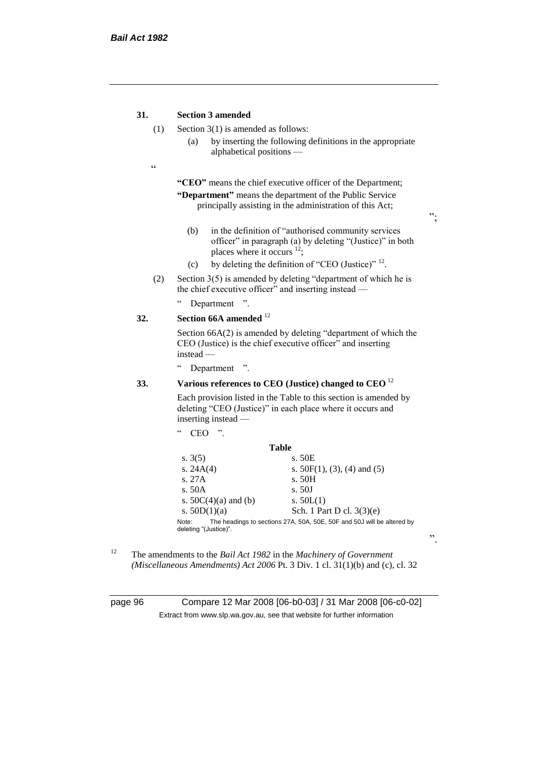#### **31. Section 3 amended**

- (1) Section 3(1) is amended as follows:
	- (a) by inserting the following definitions in the appropriate alphabetical positions —
- $\epsilon$

**"CEO"** means the chief executive officer of the Department; **"Department"** means the department of the Public Service principally assisting in the administration of this Act;

";

".

- (b) in the definition of "authorised community services officer" in paragraph (a) by deleting "(Justice)" in both places where it occurs <sup>12</sup>;
- (c) by deleting the definition of "CEO (Justice)"  $^{12}$ .
- (2) Section  $3(5)$  is amended by deleting "department of which he is the chief executive officer" and inserting instead —
	- " Department ".

#### **32. Section 66A amended** <sup>12</sup>

Section 66A(2) is amended by deleting "department of which the CEO (Justice) is the chief executive officer" and inserting instead —

" Department ".

"  $CEO$  "

#### **33. Various references to CEO (Justice) changed to CEO** <sup>12</sup>

Each provision listed in the Table to this section is amended by deleting "CEO (Justice)" in each place where it occurs and inserting instead —

| <b>Table</b><br>s. 50E<br>s. $3(5)$<br>s. $24A(4)$<br>s. $50F(1)$ , (3), (4) and (5)<br>s. 27A<br>s. 50H<br>s. 50A<br>s. 50J<br>s. $50C(4)(a)$ and (b)<br>s. $50L(1)$ |  |
|-----------------------------------------------------------------------------------------------------------------------------------------------------------------------|--|
|                                                                                                                                                                       |  |
|                                                                                                                                                                       |  |
|                                                                                                                                                                       |  |
|                                                                                                                                                                       |  |
|                                                                                                                                                                       |  |
|                                                                                                                                                                       |  |
| Sch. 1 Part D cl. $3(3)(e)$<br>s. $50D(1)(a)$                                                                                                                         |  |
| The headings to sections 27A, 50A, 50E, 50F and 50J will be altered by<br>Note:<br>deleting "(Justice)".                                                              |  |

<sup>12</sup> The amendments to the *Bail Act 1982* in the *Machinery of Government (Miscellaneous Amendments) Act 2006* Pt. 3 Div. 1 cl. 31(1)(b) and (c), cl. 32

page 96 Compare 12 Mar 2008 [06-b0-03] / 31 Mar 2008 [06-c0-02] Extract from www.slp.wa.gov.au, see that website for further information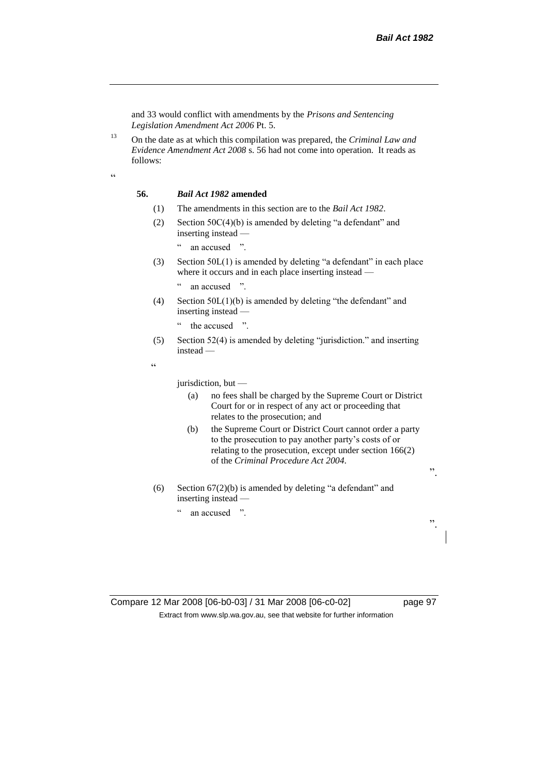and 33 would conflict with amendments by the *Prisons and Sentencing Legislation Amendment Act 2006* Pt. 5.

<sup>13</sup> On the date as at which this compilation was prepared, the *Criminal Law and Evidence Amendment Act 2008* s. 56 had not come into operation. It reads as follows:

 $\alpha$ 

#### **56.** *Bail Act 1982* **amended**

- (1) The amendments in this section are to the *Bail Act 1982*.
- (2) Section 50C(4)(b) is amended by deleting "a defendant" and inserting instead —
	- " an accused ".
- (3) Section 50L(1) is amended by deleting "a defendant" in each place where it occurs and in each place inserting instead —
	- " an accused ".
- (4) Section 50L(1)(b) is amended by deleting "the defendant" and inserting instead —
	- " the accused ".
- (5) Section 52(4) is amended by deleting "jurisdiction." and inserting instead —

 $\epsilon$ 

jurisdiction, but —

- (a) no fees shall be charged by the Supreme Court or District Court for or in respect of any act or proceeding that relates to the prosecution; and
- (b) the Supreme Court or District Court cannot order a party to the prosecution to pay another party's costs of or relating to the prosecution, except under section 166(2) of the *Criminal Procedure Act 2004*.
- (6) Section 67(2)(b) is amended by deleting "a defendant" and inserting instead —
	- " an accused ".

Compare 12 Mar 2008 [06-b0-03] / 31 Mar 2008 [06-c0-02] page 97 Extract from www.slp.wa.gov.au, see that website for further information

".

".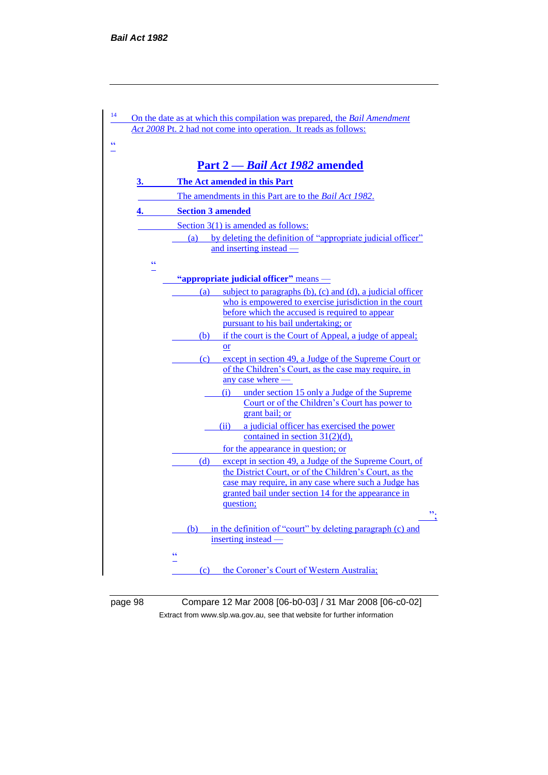| 14                        | On the date as at which this compilation was prepared, the Bail Amendment<br>Act 2008 Pt. 2 had not come into operation. It reads as follows:                                                                                                       |
|---------------------------|-----------------------------------------------------------------------------------------------------------------------------------------------------------------------------------------------------------------------------------------------------|
| ۷Ć                        |                                                                                                                                                                                                                                                     |
|                           | Part 2 - Bail Act 1982 amended                                                                                                                                                                                                                      |
| 3.                        | The Act amended in this Part                                                                                                                                                                                                                        |
|                           | The amendments in this Part are to the <i>Bail Act 1982</i> .                                                                                                                                                                                       |
| 4.                        | <b>Section 3 amended</b>                                                                                                                                                                                                                            |
|                           | Section $3(1)$ is amended as follows:                                                                                                                                                                                                               |
|                           | by deleting the definition of "appropriate judicial officer"<br>(a)<br>and inserting instead —                                                                                                                                                      |
| $\pmb{\zeta} \pmb{\zeta}$ |                                                                                                                                                                                                                                                     |
|                           | "appropriate judicial officer" means -                                                                                                                                                                                                              |
|                           | subject to paragraphs $(b)$ , $(c)$ and $(d)$ , a judicial officer<br>(a)<br>who is empowered to exercise jurisdiction in the court<br>before which the accused is required to appear<br>pursuant to his bail undertaking; or                       |
|                           | if the court is the Court of Appeal, a judge of appeal;<br>(b)                                                                                                                                                                                      |
|                           | <b>or</b>                                                                                                                                                                                                                                           |
|                           | except in section 49, a Judge of the Supreme Court or<br>(c)<br>of the Children's Court, as the case may require, in<br>any case where —                                                                                                            |
|                           | under section 15 only a Judge of the Supreme<br>(i)<br>Court or of the Children's Court has power to<br>grant bail; or                                                                                                                              |
|                           | (ii) a judicial officer has exercised the power<br>contained in section $31(2)(d)$ ,                                                                                                                                                                |
|                           | for the appearance in question; or                                                                                                                                                                                                                  |
|                           | except in section 49, a Judge of the Supreme Court, of<br>(d)<br>the District Court, or of the Children's Court, as the<br>case may require, in any case where such a Judge has<br>granted bail under section 14 for the appearance in<br>question; |
|                           | $\overline{\mathcal{P}}$<br>in the definition of "court" by deleting paragraph (c) and<br>(b)<br>inserting instead —                                                                                                                                |
|                           | $\epsilon$<br>the Coroner's Court of Western Australia;<br>(c)                                                                                                                                                                                      |

page 98 Compare 12 Mar 2008 [06-b0-03] / 31 Mar 2008 [06-c0-02] Extract from www.slp.wa.gov.au, see that website for further information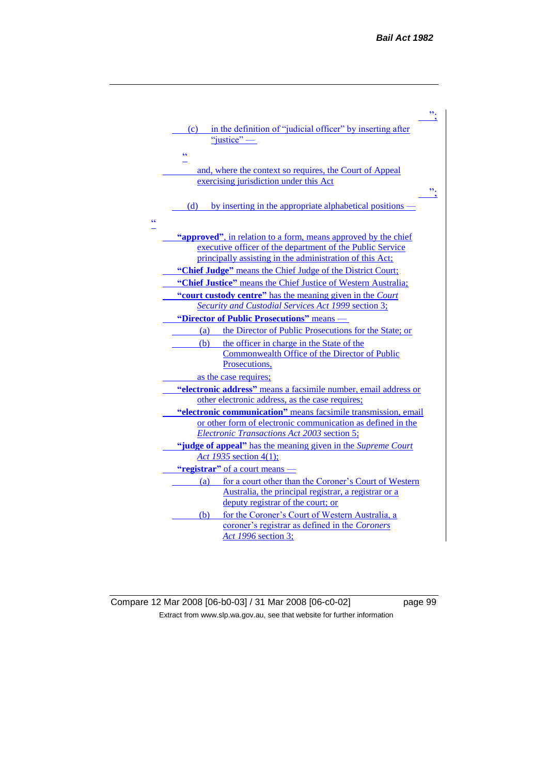

Compare 12 Mar 2008 [06-b0-03] / 31 Mar 2008 [06-c0-02] page 99 Extract from www.slp.wa.gov.au, see that website for further information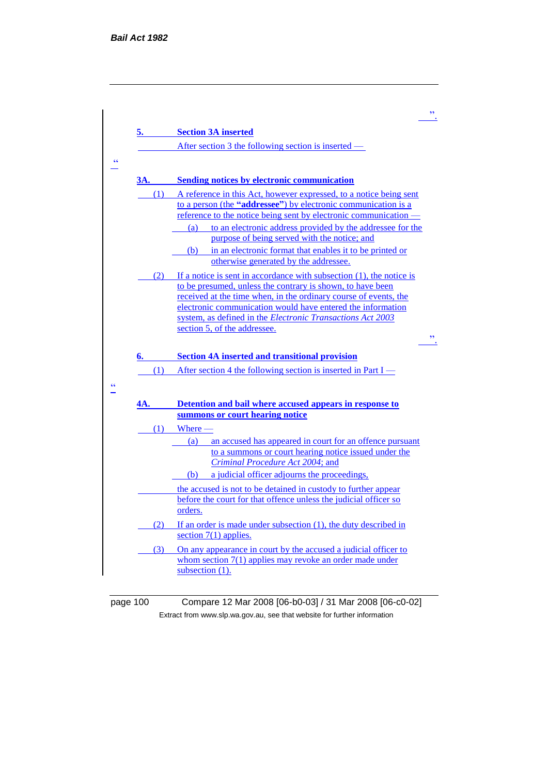

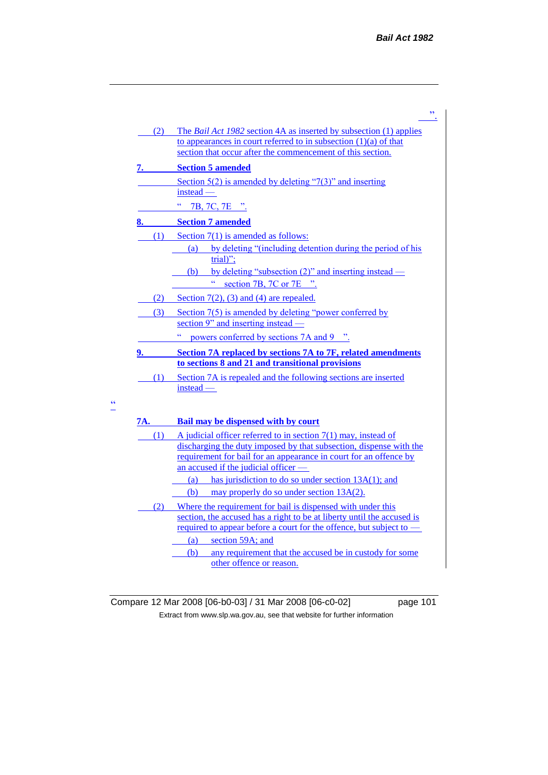|     | ,,                                                                                                                                                                                                                                                                                                                   |
|-----|----------------------------------------------------------------------------------------------------------------------------------------------------------------------------------------------------------------------------------------------------------------------------------------------------------------------|
| (2) | The <i>Bail Act 1982</i> section 4A as inserted by subsection (1) applies<br>to appearances in court referred to in subsection $(1)(a)$ of that<br>section that occur after the commencement of this section.                                                                                                        |
|     | <b>Section 5 amended</b>                                                                                                                                                                                                                                                                                             |
|     | Section $5(2)$ is amended by deleting "7(3)" and inserting<br>instead —                                                                                                                                                                                                                                              |
|     | ćć<br>7B, 7C, 7E ".                                                                                                                                                                                                                                                                                                  |
|     | <b>Section 7 amended</b>                                                                                                                                                                                                                                                                                             |
| (1) | Section $7(1)$ is amended as follows:<br>(a) by deleting "(including detention during the period of his<br>$trial$ ";                                                                                                                                                                                                |
|     | (b) by deleting "subsection $(2)$ " and inserting instead —<br>section 7B, 7C or 7E "                                                                                                                                                                                                                                |
| (2) | Section $7(2)$ , (3) and (4) are repealed.                                                                                                                                                                                                                                                                           |
| (3) | Section 7(5) is amended by deleting "power conferred by<br>section 9 $"$ and inserting instead —                                                                                                                                                                                                                     |
|     | ¢¢<br>powers conferred by sections 7A and 9 ".                                                                                                                                                                                                                                                                       |
| 9.  | Section 7A replaced by sections 7A to 7F, related amendments<br>to sections 8 and 21 and transitional provisions                                                                                                                                                                                                     |
| (1) | Section 7A is repealed and the following sections are inserted<br>instead —                                                                                                                                                                                                                                          |
| 7A. | Bail may be dispensed with by court                                                                                                                                                                                                                                                                                  |
| (1) | A judicial officer referred to in section $7(1)$ may, instead of<br>discharging the duty imposed by that subsection, dispense with the<br>requirement for bail for an appearance in court for an offence by<br>an accused if the judicial officer -<br>has jurisdiction to do so under section $13A(1)$ ; and<br>(a) |
|     | (b)<br>may properly do so under section 13A(2).                                                                                                                                                                                                                                                                      |
| (2) | Where the requirement for bail is dispensed with under this<br>section, the accused has a right to be at liberty until the accused is<br><u>required to appear before a court for the offence, but subject to —</u><br>(a) section 59A; and                                                                          |
|     | (b)<br>any requirement that the accused be in custody for some<br>other offence or reason.                                                                                                                                                                                                                           |

 $\frac{1}{1}$ 

Compare 12 Mar 2008 [06-b0-03] / 31 Mar 2008 [06-c0-02] page 101 Extract from www.slp.wa.gov.au, see that website for further information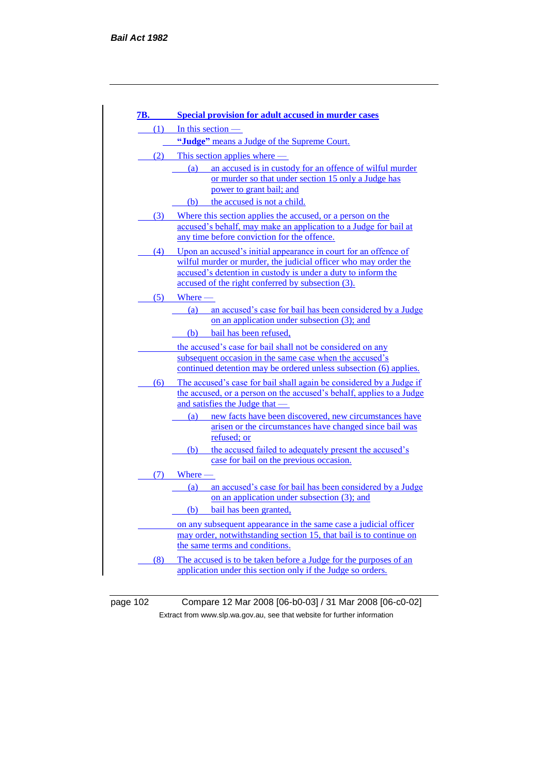| 7B. | <b>Special provision for adult accused in murder cases</b>                                                                                  |
|-----|---------------------------------------------------------------------------------------------------------------------------------------------|
| (1) | In this section $-$                                                                                                                         |
|     | "Judge" means a Judge of the Supreme Court.                                                                                                 |
|     | $(2)$ This section applies where —                                                                                                          |
|     | an accused is in custody for an offence of wilful murder<br>(a)                                                                             |
|     | or murder so that under section 15 only a Judge has<br>power to grant bail; and                                                             |
|     | the accused is not a child.<br>(b)                                                                                                          |
| (3) | Where this section applies the accused, or a person on the                                                                                  |
|     | accused's behalf, may make an application to a Judge for bail at                                                                            |
|     | any time before conviction for the offence.                                                                                                 |
| (4) | Upon an accused's initial appearance in court for an offence of                                                                             |
|     | wilful murder or murder, the judicial officer who may order the                                                                             |
|     | accused's detention in custody is under a duty to inform the<br>accused of the right conferred by subsection (3).                           |
| (5) | $Where$ —                                                                                                                                   |
|     | (a)<br>an accused's case for bail has been considered by a Judge                                                                            |
|     | on an application under subsection (3); and                                                                                                 |
|     | (b)<br>bail has been refused,                                                                                                               |
|     | the accused's case for bail shall not be considered on any                                                                                  |
|     | subsequent occasion in the same case when the accused's                                                                                     |
|     | continued detention may be ordered unless subsection (6) applies.                                                                           |
| (6) | The accused's case for bail shall again be considered by a Judge if<br>the accused, or a person on the accused's behalf, applies to a Judge |
|     | and satisfies the Judge that —                                                                                                              |
|     | new facts have been discovered, new circumstances have<br>(a)                                                                               |
|     | arisen or the circumstances have changed since bail was                                                                                     |
|     | refused; or<br>the accused failed to adequately present the accused's<br>(b)                                                                |
|     | case for bail on the previous occasion.                                                                                                     |
| (7) | Where -                                                                                                                                     |
|     | an accused's case for bail has been considered by a Judge<br>(a)                                                                            |
|     | on an application under subsection (3); and                                                                                                 |
|     | bail has been granted,<br>(b)                                                                                                               |
|     | on any subsequent appearance in the same case a judicial officer                                                                            |
|     | may order, notwithstanding section 15, that bail is to continue on<br>the same terms and conditions.                                        |
|     | The accused is to be taken before a Judge for the purposes of an                                                                            |
| (8) |                                                                                                                                             |

page 102 Compare 12 Mar 2008 [06-b0-03] / 31 Mar 2008 [06-c0-02] Extract from www.slp.wa.gov.au, see that website for further information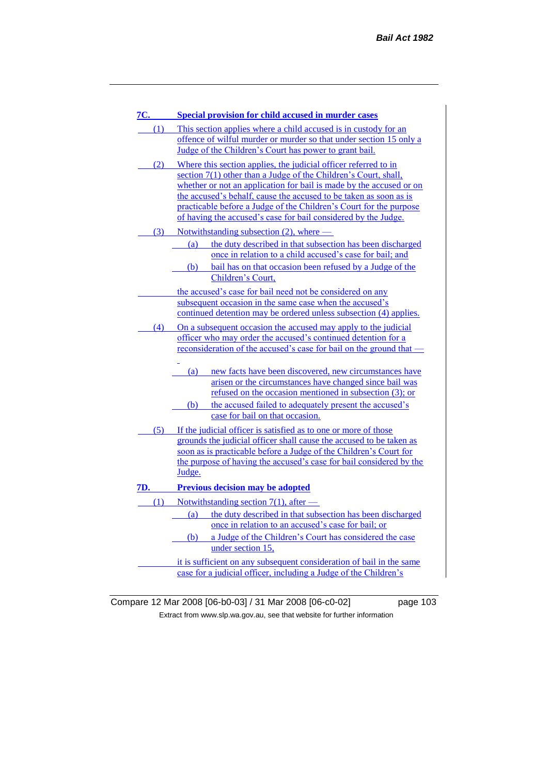| 7C. | <b>Special provision for child accused in murder cases</b>                                                                                                                                                                                                                                                                                                                                                             |
|-----|------------------------------------------------------------------------------------------------------------------------------------------------------------------------------------------------------------------------------------------------------------------------------------------------------------------------------------------------------------------------------------------------------------------------|
| (1) | This section applies where a child accused is in custody for an<br>offence of wilful murder or murder so that under section 15 only a<br>Judge of the Children's Court has power to grant bail.                                                                                                                                                                                                                        |
| (2) | Where this section applies, the judicial officer referred to in<br>section 7(1) other than a Judge of the Children's Court, shall,<br>whether or not an application for bail is made by the accused or on<br>the accused's behalf, cause the accused to be taken as soon as is<br>practicable before a Judge of the Children's Court for the purpose<br>of having the accused's case for bail considered by the Judge. |
| (3) | Notwithstanding subsection (2), where -<br>the duty described in that subsection has been discharged<br>(a)<br>once in relation to a child accused's case for bail; and                                                                                                                                                                                                                                                |
|     | (b) bail has on that occasion been refused by a Judge of the<br>Children's Court,<br>the accused's case for bail need not be considered on any                                                                                                                                                                                                                                                                         |
|     | subsequent occasion in the same case when the accused's<br>continued detention may be ordered unless subsection (4) applies.                                                                                                                                                                                                                                                                                           |
| (4) | On a subsequent occasion the accused may apply to the judicial<br>officer who may order the accused's continued detention for a<br>reconsideration of the accused's case for bail on the ground that -                                                                                                                                                                                                                 |
|     | new facts have been discovered, new circumstances have<br>(a)<br>arisen or the circumstances have changed since bail was<br>refused on the occasion mentioned in subsection (3); or<br>the accused failed to adequately present the accused's<br>(b)                                                                                                                                                                   |
|     | case for bail on that occasion.                                                                                                                                                                                                                                                                                                                                                                                        |
| (5) | If the judicial officer is satisfied as to one or more of those<br>grounds the judicial officer shall cause the accused to be taken as<br>soon as is practicable before a Judge of the Children's Court for<br>the purpose of having the accused's case for bail considered by the<br>Judge.                                                                                                                           |
| 7D. | <b>Previous decision may be adopted</b>                                                                                                                                                                                                                                                                                                                                                                                |
| (1) | Notwithstanding section $7(1)$ , after —                                                                                                                                                                                                                                                                                                                                                                               |
|     | the duty described in that subsection has been discharged<br>(a)<br>once in relation to an accused's case for bail; or<br>a Judge of the Children's Court has considered the case<br>(b)                                                                                                                                                                                                                               |
|     | under section 15,                                                                                                                                                                                                                                                                                                                                                                                                      |
|     | it is sufficient on any subsequent consideration of bail in the same<br>case for a judicial officer, including a Judge of the Children's                                                                                                                                                                                                                                                                               |

Compare 12 Mar 2008 [06-b0-03] / 31 Mar 2008 [06-c0-02] page 103 Extract from www.slp.wa.gov.au, see that website for further information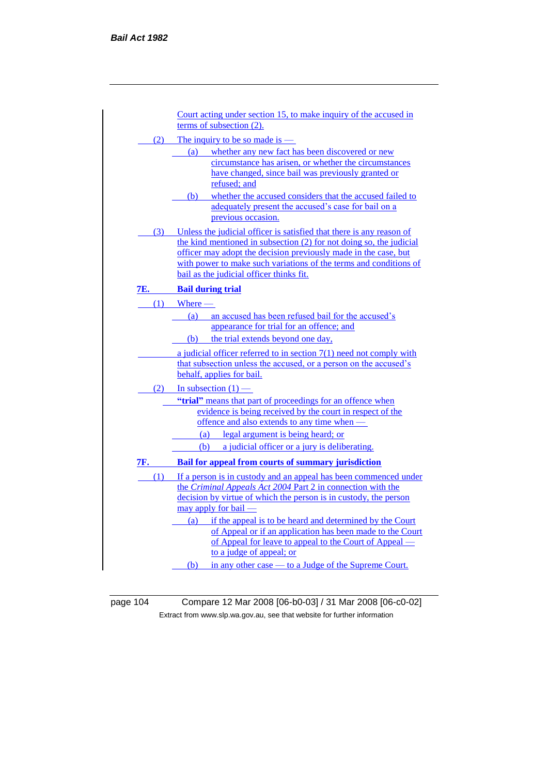|     | Court acting under section 15, to make inquiry of the accused in                                                                          |
|-----|-------------------------------------------------------------------------------------------------------------------------------------------|
|     | terms of subsection (2).                                                                                                                  |
|     | (2) The inquiry to be so made is $-$                                                                                                      |
|     | whether any new fact has been discovered or new<br>(a)                                                                                    |
|     | circumstance has arisen, or whether the circumstances                                                                                     |
|     | have changed, since bail was previously granted or                                                                                        |
|     | refused; and                                                                                                                              |
|     | whether the accused considers that the accused failed to<br>(b)<br>adequately present the accused's case for bail on a                    |
|     | previous occasion.                                                                                                                        |
|     | (3) Unless the judicial officer is satisfied that there is any reason of                                                                  |
|     | the kind mentioned in subsection (2) for not doing so, the judicial                                                                       |
|     | officer may adopt the decision previously made in the case, but                                                                           |
|     | with power to make such variations of the terms and conditions of<br>bail as the judicial officer thinks fit.                             |
|     |                                                                                                                                           |
| 7E. | <b>Bail during trial</b>                                                                                                                  |
| (1) | $Where$ —                                                                                                                                 |
|     | $\left( \mathbf{a}\right)$<br>an accused has been refused bail for the accused's<br>appearance for trial for an offence; and              |
|     | (b) the trial extends beyond one day,                                                                                                     |
|     |                                                                                                                                           |
|     | a judicial officer referred to in section $7(1)$ need not comply with<br>that subsection unless the accused, or a person on the accused's |
|     | behalf, applies for bail.                                                                                                                 |
|     | $(2)$ In subsection $(1)$ —                                                                                                               |
|     | "trial" means that part of proceedings for an offence when                                                                                |
|     | evidence is being received by the court in respect of the                                                                                 |
|     | offence and also extends to any time when -                                                                                               |
|     | (a) legal argument is being heard; or                                                                                                     |
|     | (b) a judicial officer or a jury is deliberating.                                                                                         |
| 7F. | Bail for appeal from courts of summary jurisdiction                                                                                       |
|     | (1) If a person is in custody and an appeal has been commenced under                                                                      |
|     | the Criminal Appeals Act 2004 Part 2 in connection with the                                                                               |
|     | decision by virtue of which the person is in custody, the person<br>may apply for bail -                                                  |
|     | (a) if the appeal is to be heard and determined by the Court                                                                              |
|     | of Appeal or if an application has been made to the Court                                                                                 |
|     | of Appeal for leave to appeal to the Court of Appeal —                                                                                    |
|     | to a judge of appeal; or                                                                                                                  |
|     | (b) in any other case — to a Judge of the Supreme Court.                                                                                  |
|     |                                                                                                                                           |

page 104 Compare 12 Mar 2008 [06-b0-03] / 31 Mar 2008 [06-c0-02] Extract from www.slp.wa.gov.au, see that website for further information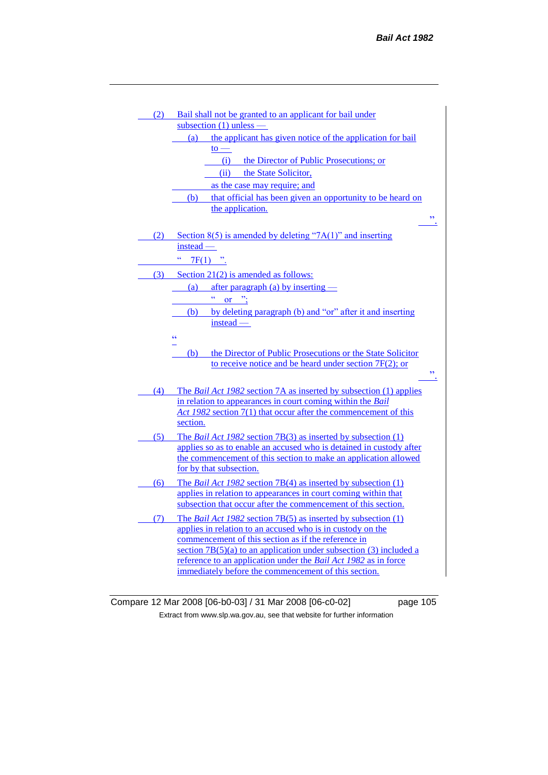| (2) | Bail shall not be granted to an applicant for bail under                                                                |
|-----|-------------------------------------------------------------------------------------------------------------------------|
|     | subsection $(1)$ unless —                                                                                               |
|     | the applicant has given notice of the application for bail<br>(a)                                                       |
|     | $\mathsf{to}$ —                                                                                                         |
|     | (i)<br>the Director of Public Prosecutions; or                                                                          |
|     | the State Solicitor,<br>(ii)                                                                                            |
|     | as the case may require; and                                                                                            |
|     | that official has been given an opportunity to be heard on<br>(b)                                                       |
|     | the application.                                                                                                        |
|     | $\overline{\phantom{a}}$                                                                                                |
| (2) | Section $8(5)$ is amended by deleting "7A(1)" and inserting                                                             |
|     | $instead -$                                                                                                             |
|     | ćć                                                                                                                      |
|     | $7F(1)$ ".                                                                                                              |
| (3) | Section $21(2)$ is amended as follows:                                                                                  |
|     | (a)<br>after paragraph (a) by inserting $-$                                                                             |
|     | or $\dddot{ }$ :                                                                                                        |
|     | by deleting paragraph (b) and "or" after it and inserting<br>(b)                                                        |
|     | instead —                                                                                                               |
|     | $\pmb{\zeta} \pmb{\zeta}$                                                                                               |
|     | the Director of Public Prosecutions or the State Solicitor<br>(b)                                                       |
|     |                                                                                                                         |
|     |                                                                                                                         |
|     | to receive notice and be heard under section 7F(2); or<br>,,                                                            |
|     |                                                                                                                         |
| (4) | The Bail Act 1982 section 7A as inserted by subsection (1) applies                                                      |
|     | in relation to appearances in court coming within the Bail                                                              |
|     | Act 1982 section 7(1) that occur after the commencement of this                                                         |
|     | section.                                                                                                                |
| (5) | The <i>Bail Act 1982</i> section 7B(3) as inserted by subsection (1)                                                    |
|     | applies so as to enable an accused who is detained in custody after                                                     |
|     | the commencement of this section to make an application allowed                                                         |
|     | for by that subsection.                                                                                                 |
| (6) | The <i>Bail Act 1982</i> section $7B(4)$ as inserted by subsection $(1)$                                                |
|     | applies in relation to appearances in court coming within that                                                          |
|     | subsection that occur after the commencement of this section.                                                           |
| (7) | The <i>Bail Act 1982</i> section $7B(5)$ as inserted by subsection $(1)$                                                |
|     | applies in relation to an accused who is in custody on the                                                              |
|     | commencement of this section as if the reference in                                                                     |
|     | section $7B(5)(a)$ to an application under subsection (3) included a                                                    |
|     | reference to an application under the Bail Act 1982 as in force<br>immediately before the commencement of this section. |

Compare 12 Mar 2008 [06-b0-03] / 31 Mar 2008 [06-c0-02] page 105 Extract from www.slp.wa.gov.au, see that website for further information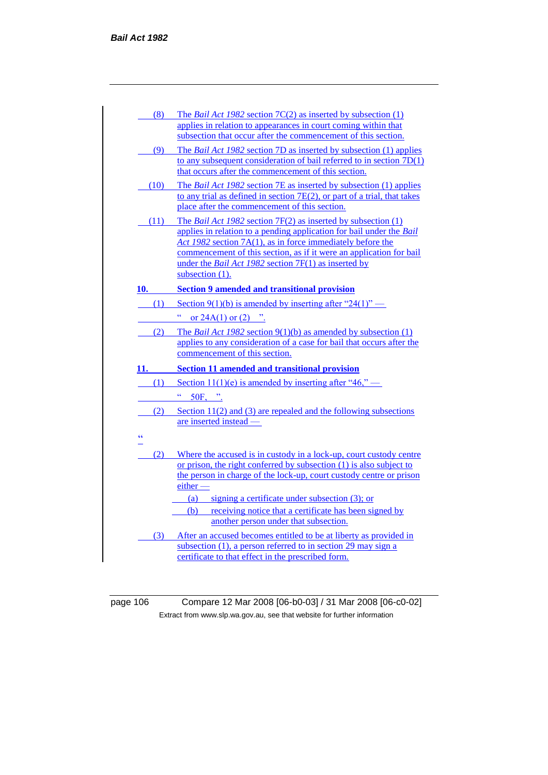| (8)  | The <i>Bail Act 1982</i> section $7C(2)$ as inserted by subsection $(1)$<br>applies in relation to appearances in court coming within that<br>subsection that occur after the commencement of this section.                                                                                                                                                      |
|------|------------------------------------------------------------------------------------------------------------------------------------------------------------------------------------------------------------------------------------------------------------------------------------------------------------------------------------------------------------------|
| (9)  | The <i>Bail Act 1982</i> section 7D as inserted by subsection (1) applies<br>to any subsequent consideration of bail referred to in section $7D(1)$<br>that occurs after the commencement of this section.                                                                                                                                                       |
| (10) | The <i>Bail Act 1982</i> section 7E as inserted by subsection (1) applies<br>to any trial as defined in section 7E(2), or part of a trial, that takes<br>place after the commencement of this section.                                                                                                                                                           |
| (11) | The <i>Bail Act 1982</i> section $7F(2)$ as inserted by subsection $(1)$<br>applies in relation to a pending application for bail under the Bail<br>Act 1982 section 7A(1), as in force immediately before the<br>commencement of this section, as if it were an application for bail<br>under the Bail Act 1982 section 7F(1) as inserted by<br>subsection (1). |
|      | 10. Section 9 amended and transitional provision                                                                                                                                                                                                                                                                                                                 |
| (1)  | Section 9(1)(b) is amended by inserting after "24(1)" —                                                                                                                                                                                                                                                                                                          |
|      | ćć<br>or $24A(1)$ or $(2)$ ".                                                                                                                                                                                                                                                                                                                                    |
| (2)  | The <i>Bail Act 1982</i> section $9(1)(b)$ as amended by subsection $(1)$<br>applies to any consideration of a case for bail that occurs after the<br>commencement of this section.                                                                                                                                                                              |
| 11.  | <b>Section 11 amended and transitional provision</b>                                                                                                                                                                                                                                                                                                             |
| (1)  | Section 11(1)(e) is amended by inserting after "46," —                                                                                                                                                                                                                                                                                                           |
|      | 50F, ".                                                                                                                                                                                                                                                                                                                                                          |
| (2)  | Section $11(2)$ and (3) are repealed and the following subsections<br>are inserted instead —                                                                                                                                                                                                                                                                     |
| ćć   |                                                                                                                                                                                                                                                                                                                                                                  |
|      | (2) Where the accused is in custody in a lock-up, court custody centre<br>or prison, the right conferred by subsection (1) is also subject to<br>the person in charge of the lock-up, court custody centre or prison<br>$either$ $-$<br>signing a certificate under subsection (3); or<br>(a)                                                                    |
|      |                                                                                                                                                                                                                                                                                                                                                                  |
|      | (b) receiving notice that a certificate has been signed by<br>another person under that subsection.                                                                                                                                                                                                                                                              |

page 106 Compare 12 Mar 2008 [06-b0-03] / 31 Mar 2008 [06-c0-02] Extract from www.slp.wa.gov.au, see that website for further information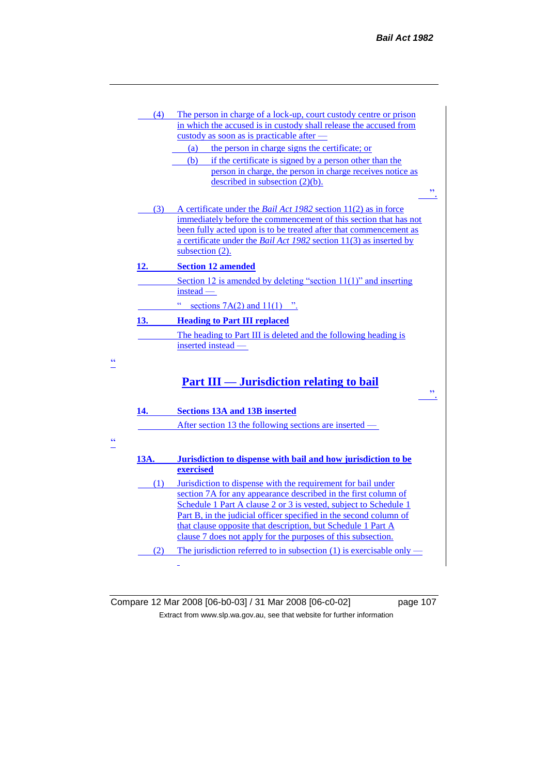| (4)  | The person in charge of a lock-up, court custody centre or prison                                                                                 |                          |
|------|---------------------------------------------------------------------------------------------------------------------------------------------------|--------------------------|
|      | in which the accused is in custody shall release the accused from                                                                                 |                          |
|      | custody as soon as is practicable after -                                                                                                         |                          |
|      | the person in charge signs the certificate; or<br>(a)                                                                                             |                          |
|      | if the certificate is signed by a person other than the<br>(b)                                                                                    |                          |
|      | person in charge, the person in charge receives notice as                                                                                         |                          |
|      | described in subsection $(2)(b)$ .                                                                                                                | $\overline{\phantom{a}}$ |
| (3)  | A certificate under the <i>Bail Act 1982</i> section 11(2) as in force                                                                            |                          |
|      | immediately before the commencement of this section that has not                                                                                  |                          |
|      | been fully acted upon is to be treated after that commencement as                                                                                 |                          |
|      | a certificate under the <i>Bail Act 1982</i> section 11(3) as inserted by                                                                         |                          |
|      | subsection $(2)$ .                                                                                                                                |                          |
| 12.  | <b>Section 12 amended</b>                                                                                                                         |                          |
|      | Section 12 is amended by deleting "section $11(1)$ " and inserting                                                                                |                          |
|      | $instead -$                                                                                                                                       |                          |
|      | ćć<br>sections $7A(2)$ and $11(1)$ ".                                                                                                             |                          |
| 13.  | <b>Heading to Part III replaced</b>                                                                                                               |                          |
|      | The heading to Part III is deleted and the following heading is                                                                                   |                          |
|      | inserted instead -                                                                                                                                |                          |
| 14.  | <b>Part III — Jurisdiction relating to bail</b><br><b>Sections 13A and 13B inserted</b><br>After section 13 the following sections are inserted — | $\overline{\phantom{a}}$ |
|      |                                                                                                                                                   |                          |
| 13A. | Jurisdiction to dispense with bail and how jurisdiction to be                                                                                     |                          |
|      | exercised                                                                                                                                         |                          |
| (1)  | Jurisdiction to dispense with the requirement for bail under                                                                                      |                          |
|      | section 7A for any appearance described in the first column of                                                                                    |                          |
|      | Schedule 1 Part A clause 2 or 3 is vested, subject to Schedule 1                                                                                  |                          |
|      |                                                                                                                                                   |                          |
|      | Part B, in the judicial officer specified in the second column of                                                                                 |                          |
|      | that clause opposite that description, but Schedule 1 Part A                                                                                      |                          |
|      | clause 7 does not apply for the purposes of this subsection.                                                                                      |                          |
| (2)  | The jurisdiction referred to in subsection $(1)$ is exercisable only –                                                                            |                          |

 $\frac{1}{1}$ 

 $\frac{ac}{2}$ 

Compare 12 Mar 2008 [06-b0-03] / 31 Mar 2008 [06-c0-02] page 107 Extract from www.slp.wa.gov.au, see that website for further information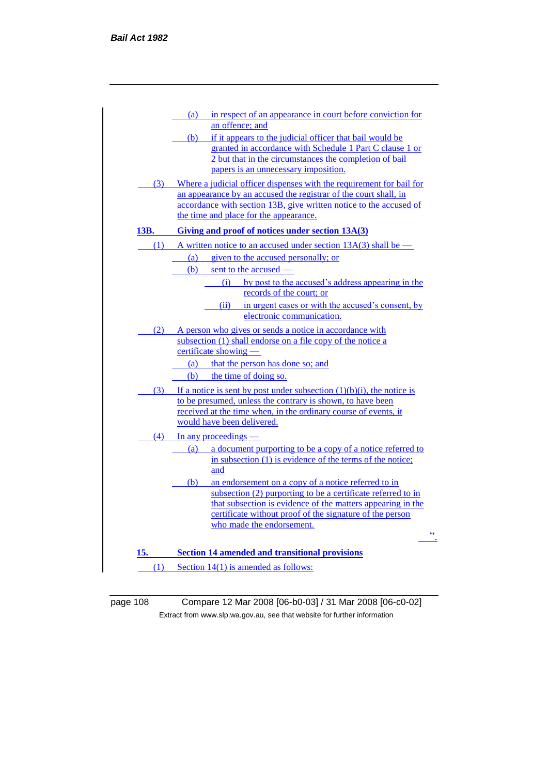|      | (a) in respect of an appearance in court before conviction for<br>an offence; and                                             |
|------|-------------------------------------------------------------------------------------------------------------------------------|
|      | (b) if it appears to the judicial officer that bail would be                                                                  |
|      | granted in accordance with Schedule 1 Part C clause 1 or                                                                      |
|      | 2 but that in the circumstances the completion of bail                                                                        |
|      | papers is an unnecessary imposition.                                                                                          |
| (3)  | Where a judicial officer dispenses with the requirement for bail for                                                          |
|      | an appearance by an accused the registrar of the court shall, in                                                              |
|      | accordance with section 13B, give written notice to the accused of                                                            |
|      | the time and place for the appearance.                                                                                        |
| 13B. | Giving and proof of notices under section 13A(3)                                                                              |
|      | (1) A written notice to an accused under section $13A(3)$ shall be —                                                          |
|      | (a) given to the accused personally; or                                                                                       |
|      | (b) sent to the accused —                                                                                                     |
|      | (i) by post to the accused's address appearing in the                                                                         |
|      | records of the court; or                                                                                                      |
|      | in urgent cases or with the accused's consent, by<br>(ii)                                                                     |
|      | electronic communication.                                                                                                     |
| (2)  | A person who gives or sends a notice in accordance with                                                                       |
|      | subsection (1) shall endorse on a file copy of the notice a<br>certificate showing —                                          |
|      |                                                                                                                               |
|      | (a) that the person has done so; and                                                                                          |
|      | (b) the time of doing so.                                                                                                     |
|      | (3) If a notice is sent by post under subsection $(1)(b)(i)$ , the notice is                                                  |
|      | to be presumed, unless the contrary is shown, to have been<br>received at the time when, in the ordinary course of events, it |
|      | would have been delivered.                                                                                                    |
|      | $(4)$ In any proceedings —                                                                                                    |
|      | (a) a document purporting to be a copy of a notice referred to                                                                |
|      | in subsection $(1)$ is evidence of the terms of the notice;                                                                   |
|      | and                                                                                                                           |
|      | (b) an endorsement on a copy of a notice referred to in                                                                       |
|      | subsection (2) purporting to be a certificate referred to in                                                                  |
|      | that subsection is evidence of the matters appearing in the                                                                   |
|      | certificate without proof of the signature of the person<br>who made the endorsement.                                         |
|      | ,                                                                                                                             |
|      |                                                                                                                               |
| 15.  | <b>Section 14 amended and transitional provisions</b>                                                                         |
|      | $(1)$ Section 14(1) is amended as follows:                                                                                    |
|      |                                                                                                                               |

page 108 Compare 12 Mar 2008 [06-b0-03] / 31 Mar 2008 [06-c0-02] Extract from www.slp.wa.gov.au, see that website for further information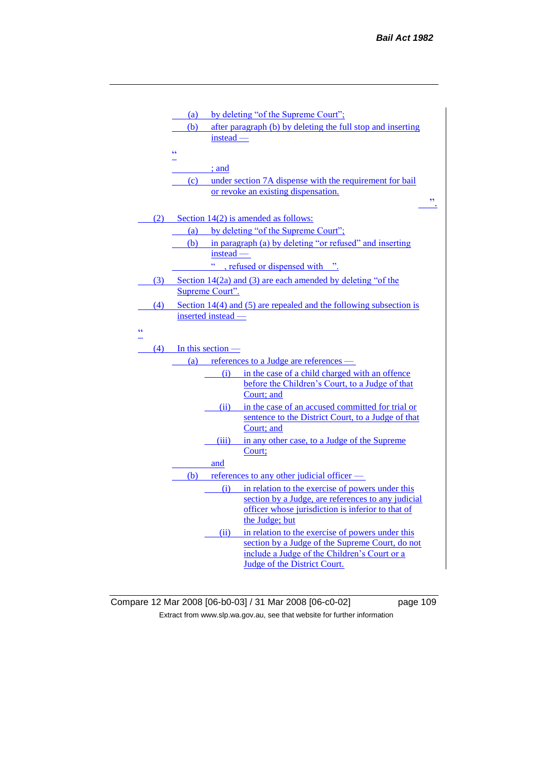|    |     | (a)                     |                    | by deleting "of the Supreme Court";                                                             |  |
|----|-----|-------------------------|--------------------|-------------------------------------------------------------------------------------------------|--|
|    |     | (b)                     |                    | after paragraph (b) by deleting the full stop and inserting                                     |  |
|    |     |                         | instead -          |                                                                                                 |  |
|    |     | ćζ                      |                    |                                                                                                 |  |
|    |     |                         | $:$ and            |                                                                                                 |  |
|    |     | (c)                     |                    | under section 7A dispense with the requirement for bail                                         |  |
|    |     |                         |                    | or revoke an existing dispensation.                                                             |  |
|    |     |                         |                    |                                                                                                 |  |
|    | (2) |                         |                    | Section $14(2)$ is amended as follows:                                                          |  |
|    |     | (a)                     |                    | by deleting "of the Supreme Court";                                                             |  |
|    |     | (b)                     |                    | in paragraph (a) by deleting "or refused" and inserting                                         |  |
|    |     |                         | $instead -$<br>ćć  |                                                                                                 |  |
|    |     |                         |                    | , refused or dispensed with ".                                                                  |  |
|    | (3) |                         |                    | Section $14(2a)$ and (3) are each amended by deleting "of the                                   |  |
|    |     |                         | Supreme Court".    |                                                                                                 |  |
|    | (4) |                         |                    | Section $14(4)$ and $(5)$ are repealed and the following subsection is                          |  |
|    |     |                         | inserted instead — |                                                                                                 |  |
| ۷Ć |     |                         |                    |                                                                                                 |  |
|    |     |                         |                    |                                                                                                 |  |
|    |     | $(4)$ In this section – |                    |                                                                                                 |  |
|    |     |                         |                    |                                                                                                 |  |
|    |     |                         | (i)                | (a) references to a Judge are references —<br>in the case of a child charged with an offence    |  |
|    |     |                         |                    | before the Children's Court, to a Judge of that                                                 |  |
|    |     |                         |                    | Court; and                                                                                      |  |
|    |     |                         | (ii)               | in the case of an accused committed for trial or                                                |  |
|    |     |                         |                    | sentence to the District Court, to a Judge of that                                              |  |
|    |     |                         |                    | Court; and                                                                                      |  |
|    |     |                         | (iii)              | in any other case, to a Judge of the Supreme                                                    |  |
|    |     |                         |                    | Court;                                                                                          |  |
|    |     |                         | and                |                                                                                                 |  |
|    |     |                         |                    | (b) references to any other judicial officer $\overline{\phantom{a}}$                           |  |
|    |     |                         | (i)                | in relation to the exercise of powers under this                                                |  |
|    |     |                         |                    | section by a Judge, are references to any judicial                                              |  |
|    |     |                         |                    | officer whose jurisdiction is inferior to that of                                               |  |
|    |     |                         |                    | the Judge; but                                                                                  |  |
|    |     |                         | (ii)               | in relation to the exercise of powers under this                                                |  |
|    |     |                         |                    | section by a Judge of the Supreme Court, do not<br>include a Judge of the Children's Court or a |  |

Compare 12 Mar 2008 [06-b0-03] / 31 Mar 2008 [06-c0-02] page 109 Extract from www.slp.wa.gov.au, see that website for further information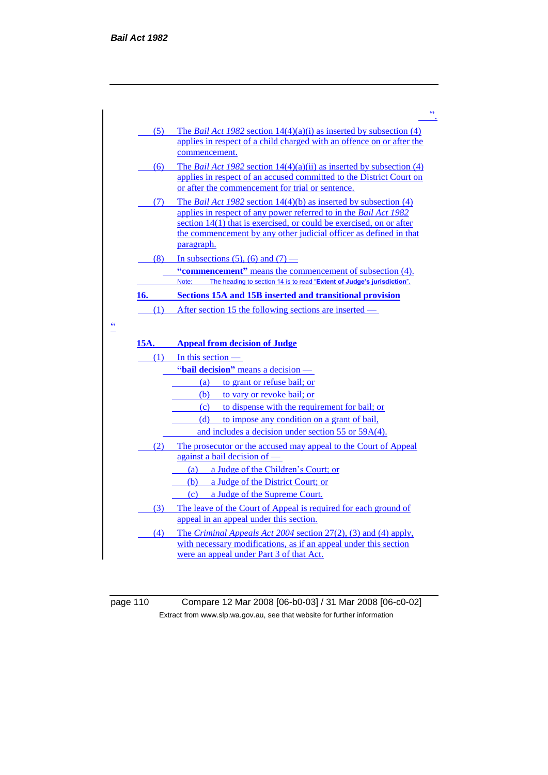| (5)<br>commencement.<br>The <i>Bail Act 1982</i> section $14(4)(a)(ii)$ as inserted by subsection (4)<br>(6)<br>or after the commencement for trial or sentence.<br>The <i>Bail Act 1982</i> section $14(4)(b)$ as inserted by subsection (4)<br>(7)<br>applies in respect of any power referred to in the Bail Act 1982<br>section $14(1)$ that is exercised, or could be exercised, on or after<br>paragraph.<br>(8)<br>In subsections (5), (6) and (7) —<br>"commencement" means the commencement of subsection (4).<br>The heading to section 14 is to read "Extent of Judge's jurisdiction".<br>Note:<br>Sections 15A and 15B inserted and transitional provision<br>After section 15 the following sections are inserted –<br>(1)<br><b>Appeal from decision of Judge</b><br>(1)<br>In this section $-$<br>"bail decision" means a decision -<br>(a) to grant or refuse bail; or<br>to vary or revoke bail; or<br>(b)<br>(c)<br>to dispense with the requirement for bail; or<br>(d) to impose any condition on a grant of bail,<br>and includes a decision under section 55 or 59A(4).<br>(2) The prosecutor or the accused may appeal to the Court of Appeal<br>against a bail decision of —<br>a Judge of the Children's Court; or<br>(a)<br>(b)<br>a Judge of the District Court; or<br>a Judge of the Supreme Court.<br>(c)<br>The leave of the Court of Appeal is required for each ground of<br>(3)<br>appeal in an appeal under this section.<br>The <i>Criminal Appeals Act 2004</i> section $27(2)$ , (3) and (4) apply,<br>(4)<br>with necessary modifications, as if an appeal under this section<br>were an appeal under Part 3 of that Act. |      |                                                                                                                                                       |
|-----------------------------------------------------------------------------------------------------------------------------------------------------------------------------------------------------------------------------------------------------------------------------------------------------------------------------------------------------------------------------------------------------------------------------------------------------------------------------------------------------------------------------------------------------------------------------------------------------------------------------------------------------------------------------------------------------------------------------------------------------------------------------------------------------------------------------------------------------------------------------------------------------------------------------------------------------------------------------------------------------------------------------------------------------------------------------------------------------------------------------------------------------------------------------------------------------------------------------------------------------------------------------------------------------------------------------------------------------------------------------------------------------------------------------------------------------------------------------------------------------------------------------------------------------------------------------------------------------------------------------------------------------------------|------|-------------------------------------------------------------------------------------------------------------------------------------------------------|
|                                                                                                                                                                                                                                                                                                                                                                                                                                                                                                                                                                                                                                                                                                                                                                                                                                                                                                                                                                                                                                                                                                                                                                                                                                                                                                                                                                                                                                                                                                                                                                                                                                                                 |      | The <i>Bail Act 1982</i> section $14(4)(a)(i)$ as inserted by subsection (4)<br>applies in respect of a child charged with an offence on or after the |
|                                                                                                                                                                                                                                                                                                                                                                                                                                                                                                                                                                                                                                                                                                                                                                                                                                                                                                                                                                                                                                                                                                                                                                                                                                                                                                                                                                                                                                                                                                                                                                                                                                                                 |      |                                                                                                                                                       |
|                                                                                                                                                                                                                                                                                                                                                                                                                                                                                                                                                                                                                                                                                                                                                                                                                                                                                                                                                                                                                                                                                                                                                                                                                                                                                                                                                                                                                                                                                                                                                                                                                                                                 |      | applies in respect of an accused committed to the District Court on                                                                                   |
|                                                                                                                                                                                                                                                                                                                                                                                                                                                                                                                                                                                                                                                                                                                                                                                                                                                                                                                                                                                                                                                                                                                                                                                                                                                                                                                                                                                                                                                                                                                                                                                                                                                                 |      |                                                                                                                                                       |
|                                                                                                                                                                                                                                                                                                                                                                                                                                                                                                                                                                                                                                                                                                                                                                                                                                                                                                                                                                                                                                                                                                                                                                                                                                                                                                                                                                                                                                                                                                                                                                                                                                                                 |      | the commencement by any other judicial officer as defined in that                                                                                     |
|                                                                                                                                                                                                                                                                                                                                                                                                                                                                                                                                                                                                                                                                                                                                                                                                                                                                                                                                                                                                                                                                                                                                                                                                                                                                                                                                                                                                                                                                                                                                                                                                                                                                 |      |                                                                                                                                                       |
|                                                                                                                                                                                                                                                                                                                                                                                                                                                                                                                                                                                                                                                                                                                                                                                                                                                                                                                                                                                                                                                                                                                                                                                                                                                                                                                                                                                                                                                                                                                                                                                                                                                                 |      |                                                                                                                                                       |
|                                                                                                                                                                                                                                                                                                                                                                                                                                                                                                                                                                                                                                                                                                                                                                                                                                                                                                                                                                                                                                                                                                                                                                                                                                                                                                                                                                                                                                                                                                                                                                                                                                                                 |      |                                                                                                                                                       |
|                                                                                                                                                                                                                                                                                                                                                                                                                                                                                                                                                                                                                                                                                                                                                                                                                                                                                                                                                                                                                                                                                                                                                                                                                                                                                                                                                                                                                                                                                                                                                                                                                                                                 |      |                                                                                                                                                       |
|                                                                                                                                                                                                                                                                                                                                                                                                                                                                                                                                                                                                                                                                                                                                                                                                                                                                                                                                                                                                                                                                                                                                                                                                                                                                                                                                                                                                                                                                                                                                                                                                                                                                 | 16.  |                                                                                                                                                       |
|                                                                                                                                                                                                                                                                                                                                                                                                                                                                                                                                                                                                                                                                                                                                                                                                                                                                                                                                                                                                                                                                                                                                                                                                                                                                                                                                                                                                                                                                                                                                                                                                                                                                 |      |                                                                                                                                                       |
|                                                                                                                                                                                                                                                                                                                                                                                                                                                                                                                                                                                                                                                                                                                                                                                                                                                                                                                                                                                                                                                                                                                                                                                                                                                                                                                                                                                                                                                                                                                                                                                                                                                                 | 15A. |                                                                                                                                                       |
|                                                                                                                                                                                                                                                                                                                                                                                                                                                                                                                                                                                                                                                                                                                                                                                                                                                                                                                                                                                                                                                                                                                                                                                                                                                                                                                                                                                                                                                                                                                                                                                                                                                                 |      |                                                                                                                                                       |
|                                                                                                                                                                                                                                                                                                                                                                                                                                                                                                                                                                                                                                                                                                                                                                                                                                                                                                                                                                                                                                                                                                                                                                                                                                                                                                                                                                                                                                                                                                                                                                                                                                                                 |      |                                                                                                                                                       |
|                                                                                                                                                                                                                                                                                                                                                                                                                                                                                                                                                                                                                                                                                                                                                                                                                                                                                                                                                                                                                                                                                                                                                                                                                                                                                                                                                                                                                                                                                                                                                                                                                                                                 |      |                                                                                                                                                       |
|                                                                                                                                                                                                                                                                                                                                                                                                                                                                                                                                                                                                                                                                                                                                                                                                                                                                                                                                                                                                                                                                                                                                                                                                                                                                                                                                                                                                                                                                                                                                                                                                                                                                 |      |                                                                                                                                                       |
|                                                                                                                                                                                                                                                                                                                                                                                                                                                                                                                                                                                                                                                                                                                                                                                                                                                                                                                                                                                                                                                                                                                                                                                                                                                                                                                                                                                                                                                                                                                                                                                                                                                                 |      |                                                                                                                                                       |
|                                                                                                                                                                                                                                                                                                                                                                                                                                                                                                                                                                                                                                                                                                                                                                                                                                                                                                                                                                                                                                                                                                                                                                                                                                                                                                                                                                                                                                                                                                                                                                                                                                                                 |      |                                                                                                                                                       |
|                                                                                                                                                                                                                                                                                                                                                                                                                                                                                                                                                                                                                                                                                                                                                                                                                                                                                                                                                                                                                                                                                                                                                                                                                                                                                                                                                                                                                                                                                                                                                                                                                                                                 |      |                                                                                                                                                       |
|                                                                                                                                                                                                                                                                                                                                                                                                                                                                                                                                                                                                                                                                                                                                                                                                                                                                                                                                                                                                                                                                                                                                                                                                                                                                                                                                                                                                                                                                                                                                                                                                                                                                 |      |                                                                                                                                                       |
|                                                                                                                                                                                                                                                                                                                                                                                                                                                                                                                                                                                                                                                                                                                                                                                                                                                                                                                                                                                                                                                                                                                                                                                                                                                                                                                                                                                                                                                                                                                                                                                                                                                                 |      |                                                                                                                                                       |
|                                                                                                                                                                                                                                                                                                                                                                                                                                                                                                                                                                                                                                                                                                                                                                                                                                                                                                                                                                                                                                                                                                                                                                                                                                                                                                                                                                                                                                                                                                                                                                                                                                                                 |      |                                                                                                                                                       |
|                                                                                                                                                                                                                                                                                                                                                                                                                                                                                                                                                                                                                                                                                                                                                                                                                                                                                                                                                                                                                                                                                                                                                                                                                                                                                                                                                                                                                                                                                                                                                                                                                                                                 |      |                                                                                                                                                       |
|                                                                                                                                                                                                                                                                                                                                                                                                                                                                                                                                                                                                                                                                                                                                                                                                                                                                                                                                                                                                                                                                                                                                                                                                                                                                                                                                                                                                                                                                                                                                                                                                                                                                 |      |                                                                                                                                                       |
|                                                                                                                                                                                                                                                                                                                                                                                                                                                                                                                                                                                                                                                                                                                                                                                                                                                                                                                                                                                                                                                                                                                                                                                                                                                                                                                                                                                                                                                                                                                                                                                                                                                                 |      |                                                                                                                                                       |
|                                                                                                                                                                                                                                                                                                                                                                                                                                                                                                                                                                                                                                                                                                                                                                                                                                                                                                                                                                                                                                                                                                                                                                                                                                                                                                                                                                                                                                                                                                                                                                                                                                                                 |      |                                                                                                                                                       |

page 110 Compare 12 Mar 2008 [06-b0-03] / 31 Mar 2008 [06-c0-02] Extract from www.slp.wa.gov.au, see that website for further information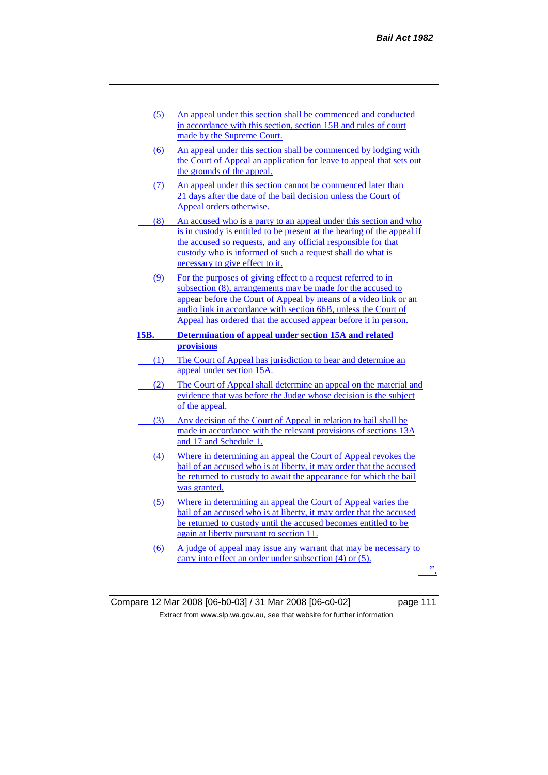- (5) An appeal under this section shall be commenced and conducted in accordance with this section, section 15B and rules of court made by the Supreme Court.
- (6) An appeal under this section shall be commenced by lodging with the Court of Appeal an application for leave to appeal that sets out the grounds of the appeal.
- (7) An appeal under this section cannot be commenced later than 21 days after the date of the bail decision unless the Court of Appeal orders otherwise.
- (8) An accused who is a party to an appeal under this section and who is in custody is entitled to be present at the hearing of the appeal if the accused so requests, and any official responsible for that custody who is informed of such a request shall do what is necessary to give effect to it.
- (9) For the purposes of giving effect to a request referred to in subsection (8), arrangements may be made for the accused to appear before the Court of Appeal by means of a video link or an audio link in accordance with section 66B, unless the Court of Appeal has ordered that the accused appear before it in person.
- **15B. Determination of appeal under section 15A and related provisions**
	- (1) The Court of Appeal has jurisdiction to hear and determine an appeal under section 15A.
	- (2) The Court of Appeal shall determine an appeal on the material and evidence that was before the Judge whose decision is the subject of the appeal.
- (3) Any decision of the Court of Appeal in relation to bail shall be made in accordance with the relevant provisions of sections 13A and 17 and Schedule 1.
- (4) Where in determining an appeal the Court of Appeal revokes the bail of an accused who is at liberty, it may order that the accused be returned to custody to await the appearance for which the bail was granted.
- (5) Where in determining an appeal the Court of Appeal varies the bail of an accused who is at liberty, it may order that the accused be returned to custody until the accused becomes entitled to be again at liberty pursuant to section 11.
- (6) A judge of appeal may issue any warrant that may be necessary to carry into effect an order under subsection (4) or (5).

 $\mathbf{r}$ 

Compare 12 Mar 2008 [06-b0-03] / 31 Mar 2008 [06-c0-02] page 111 Extract from www.slp.wa.gov.au, see that website for further information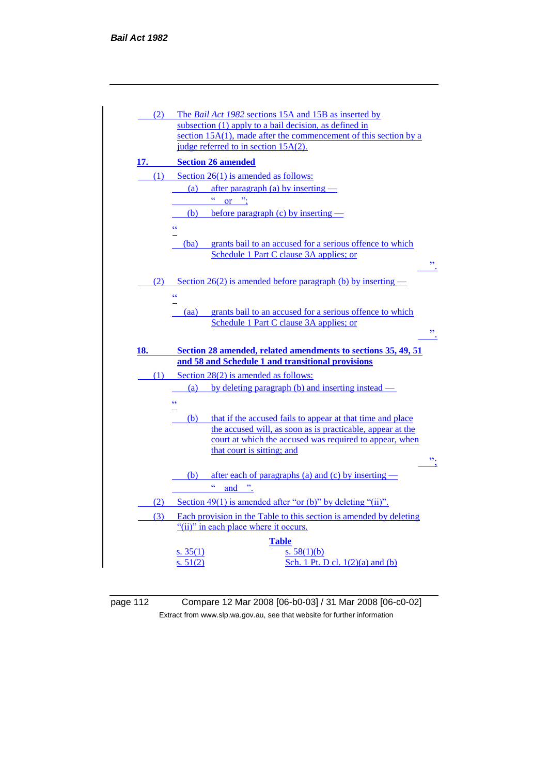

page 112 Compare 12 Mar 2008 [06-b0-03] / 31 Mar 2008 [06-c0-02] Extract from www.slp.wa.gov.au, see that website for further information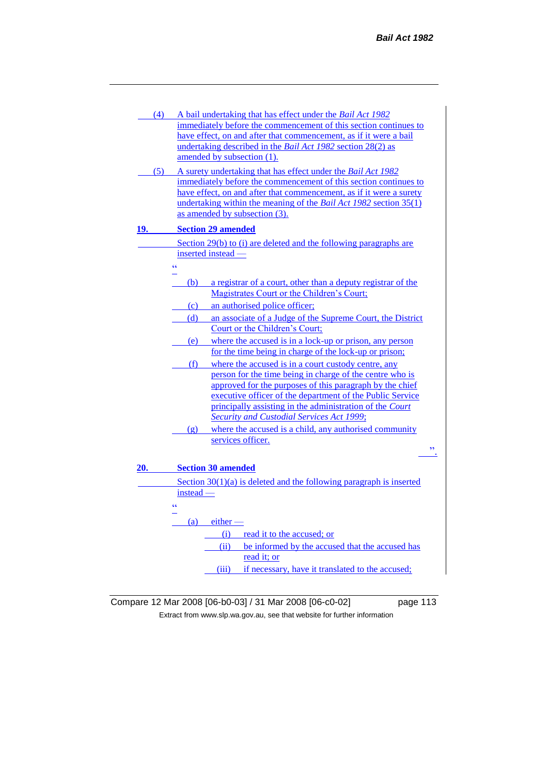| (4) |                       | A bail undertaking that has effect under the Bail Act 1982                                                                       |
|-----|-----------------------|----------------------------------------------------------------------------------------------------------------------------------|
|     |                       | immediately before the commencement of this section continues to                                                                 |
|     |                       | have effect, on and after that commencement, as if it were a bail                                                                |
|     |                       | undertaking described in the Bail Act 1982 section 28(2) as                                                                      |
|     |                       | amended by subsection (1).                                                                                                       |
| (5) |                       | A surety undertaking that has effect under the Bail Act 1982<br>immediately before the commencement of this section continues to |
|     |                       | have effect, on and after that commencement, as if it were a surety                                                              |
|     |                       | undertaking within the meaning of the <i>Bail Act 1982</i> section 35(1)                                                         |
|     |                       | as amended by subsection (3).                                                                                                    |
| 19. |                       | <b>Section 29 amended</b>                                                                                                        |
|     |                       | Section 29(b) to (i) are deleted and the following paragraphs are                                                                |
|     |                       | inserted instead -                                                                                                               |
|     | $\epsilon$            |                                                                                                                                  |
|     |                       |                                                                                                                                  |
|     | (b)                   | a registrar of a court, other than a deputy registrar of the<br>Magistrates Court or the Children's Court;                       |
|     |                       | an authorised police officer;                                                                                                    |
|     | (c)                   |                                                                                                                                  |
|     | (d)                   | an associate of a Judge of the Supreme Court, the District<br>Court or the Children's Court;                                     |
|     |                       |                                                                                                                                  |
|     |                       | (e) where the accused is in a lock-up or prison, any person<br>for the time being in charge of the lock-up or prison;            |
|     |                       |                                                                                                                                  |
|     | (f)                   | where the accused is in a court custody centre, any                                                                              |
|     |                       | person for the time being in charge of the centre who is<br>approved for the purposes of this paragraph by the chief             |
|     |                       | executive officer of the department of the Public Service                                                                        |
|     |                       | principally assisting in the administration of the Court                                                                         |
|     |                       | Security and Custodial Services Act 1999;                                                                                        |
|     | $\left( \rho \right)$ | where the accused is a child, any authorised community                                                                           |
|     |                       | services officer.                                                                                                                |
|     |                       | ,,                                                                                                                               |
| 20. |                       | <b>Section 30 amended</b>                                                                                                        |
|     |                       |                                                                                                                                  |
|     | instead -             | Section $30(1)(a)$ is deleted and the following paragraph is inserted                                                            |
|     |                       |                                                                                                                                  |
|     | ۷Ć                    |                                                                                                                                  |
|     | (a)                   | $either$ —                                                                                                                       |
|     |                       | read it to the accused; or<br>(i)                                                                                                |
|     |                       | be informed by the accused that the accused has<br>(ii)                                                                          |
|     |                       | read it; or                                                                                                                      |

(iii) if necessary, have it translated to the accused;

Compare 12 Mar 2008 [06-b0-03] / 31 Mar 2008 [06-c0-02] page 113 Extract from www.slp.wa.gov.au, see that website for further information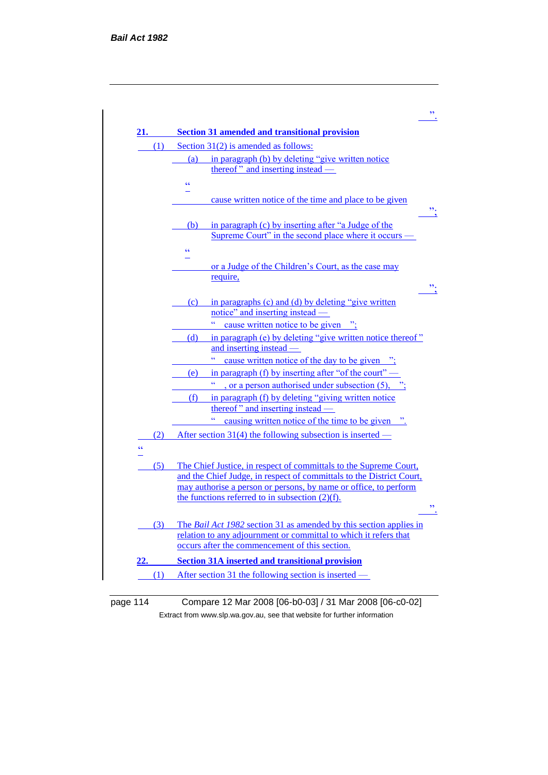

# page 114 Compare 12 Mar 2008 [06-b0-03] / 31 Mar 2008 [06-c0-02] Extract from www.slp.wa.gov.au, see that website for further information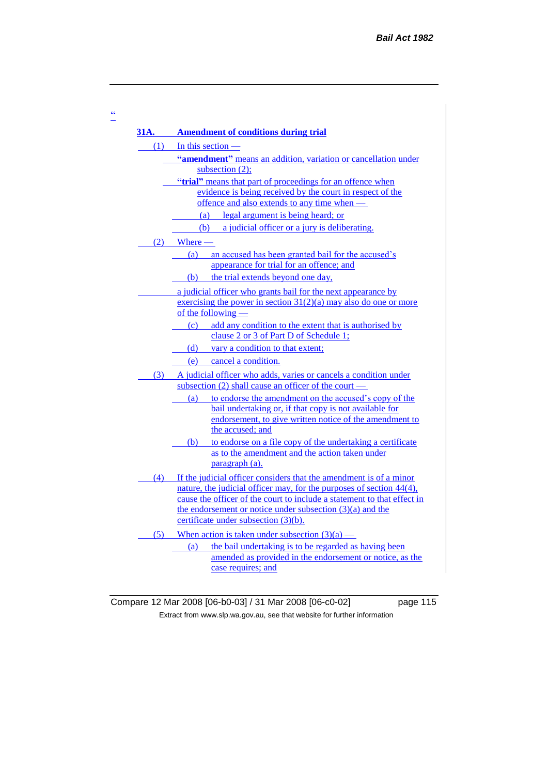|     | 31A. Amendment of conditions during trial<br>$(1)$ In this section —                                                     |
|-----|--------------------------------------------------------------------------------------------------------------------------|
|     | "amendment" means an addition, variation or cancellation under                                                           |
|     | subsection $(2)$ ;                                                                                                       |
|     | "trial" means that part of proceedings for an offence when                                                               |
|     | evidence is being received by the court in respect of the                                                                |
|     | offence and also extends to any time when —                                                                              |
|     | (a) legal argument is being heard; or                                                                                    |
|     | (b) a judicial officer or a jury is deliberating.                                                                        |
|     | $(2)$ Where —                                                                                                            |
|     | an accused has been granted bail for the accused's<br>(a)                                                                |
|     | appearance for trial for an offence; and                                                                                 |
|     | the trial extends beyond one day,<br>(b)                                                                                 |
|     | a judicial officer who grants bail for the next appearance by                                                            |
|     | exercising the power in section $31(2)(a)$ may also do one or more<br>of the following —                                 |
|     |                                                                                                                          |
|     | (c) add any condition to the extent that is authorised by<br>clause 2 or 3 of Part D of Schedule 1;                      |
|     | (d) vary a condition to that extent;                                                                                     |
|     | (e)<br>cancel a condition.                                                                                               |
|     | (3) A judicial officer who adds, varies or cancels a condition under                                                     |
|     | subsection (2) shall cause an officer of the court $-$                                                                   |
|     | to endorse the amendment on the accused's copy of the<br>(a)                                                             |
|     | bail undertaking or, if that copy is not available for                                                                   |
|     | endorsement, to give written notice of the amendment to<br>the accused: and                                              |
|     | to endorse on a file copy of the undertaking a certificate                                                               |
|     | (b)<br>as to the amendment and the action taken under                                                                    |
|     | paragraph (a).                                                                                                           |
| (4) | If the judicial officer considers that the amendment is of a minor                                                       |
|     | nature, the judicial officer may, for the purposes of section 44(4),                                                     |
|     | cause the officer of the court to include a statement to that effect in                                                  |
|     | the endorsement or notice under subsection $(3)(a)$ and the                                                              |
|     | certificate under subsection $(3)(b)$ .                                                                                  |
|     |                                                                                                                          |
| (5) | When action is taken under subsection $(3)(a)$ —                                                                         |
|     | the bail undertaking is to be regarded as having been<br>(a)<br>amended as provided in the endorsement or notice, as the |

Compare 12 Mar 2008 [06-b0-03] / 31 Mar 2008 [06-c0-02] page 115 Extract from www.slp.wa.gov.au, see that website for further information

"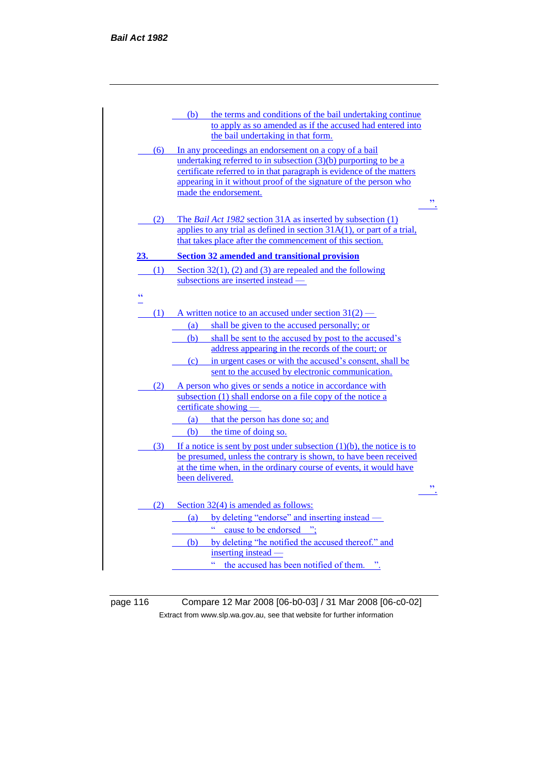| $\overline{\mathbf{z}}$  |
|--------------------------|
|                          |
|                          |
|                          |
|                          |
|                          |
| $\overline{\phantom{a}}$ |

page 116 Compare 12 Mar 2008 [06-b0-03] / 31 Mar 2008 [06-c0-02] Extract from www.slp.wa.gov.au, see that website for further information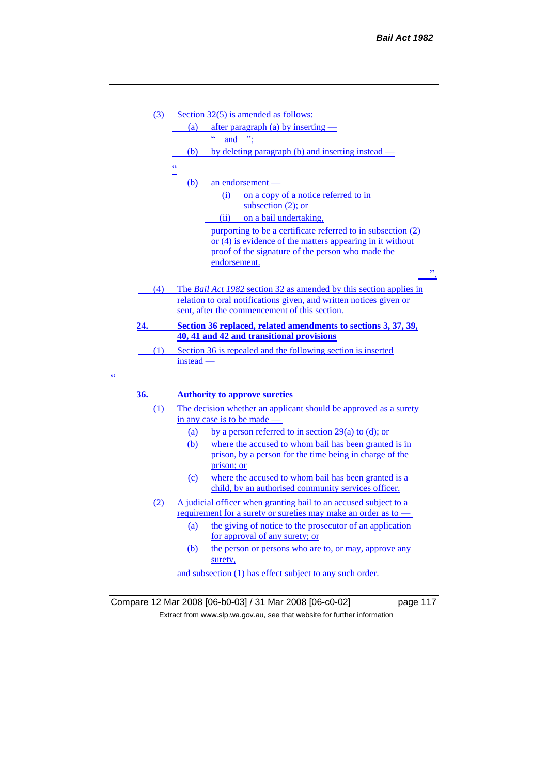| (3) | Section $32(5)$ is amended as follows:                                    |
|-----|---------------------------------------------------------------------------|
|     | after paragraph (a) by inserting -<br>(a)                                 |
|     | ćć<br>and $\therefore$                                                    |
|     | by deleting paragraph (b) and inserting instead –<br>(b)                  |
|     | ۷Ć                                                                        |
|     | an endorsement -<br>(b)                                                   |
|     | on a copy of a notice referred to in<br>(i)                               |
|     | subsection $(2)$ ; or                                                     |
|     | (ii) on a bail undertaking.                                               |
|     | purporting to be a certificate referred to in subsection (2)              |
|     | or $(4)$ is evidence of the matters appearing in it without               |
|     | proof of the signature of the person who made the                         |
|     | endorsement.<br>$\overline{\phantom{a}}$                                  |
|     |                                                                           |
| (4) | The <i>Bail Act 1982</i> section 32 as amended by this section applies in |
|     | relation to oral notifications given, and written notices given or        |
|     | sent, after the commencement of this section.                             |
| 24. | Section 36 replaced, related amendments to sections 3, 37, 39,            |
|     | 40, 41 and 42 and transitional provisions                                 |
| (1) | Section 36 is repealed and the following section is inserted              |
|     | $instead -$                                                               |
|     |                                                                           |
| 36. | <b>Authority to approve sureties</b>                                      |
| (1) | The decision whether an applicant should be approved as a surety          |
|     | in any case is to be made -                                               |
|     | by a person referred to in section $29(a)$ to (d); or<br>(a)              |
|     | where the accused to whom bail has been granted is in<br>(b)              |
|     | prison, by a person for the time being in charge of the                   |
|     | prison; or                                                                |
|     | (c) where the accused to whom bail has been granted is a                  |
|     | child, by an authorised community services officer.                       |
| (2) | A judicial officer when granting bail to an accused subject to a          |
|     | requirement for a surety or sureties may make an order as to -            |
|     | the giving of notice to the prosecutor of an application<br>(a)           |
|     | for approval of any surety; or                                            |
|     | the person or persons who are to, or may, approve any<br>(b)              |
|     | surety,                                                                   |
|     | and subsection (1) has effect subject to any such order.                  |

Compare 12 Mar 2008 [06-b0-03] / 31 Mar 2008 [06-c0-02] page 117 Extract from www.slp.wa.gov.au, see that website for further information

 $\frac{cc}{\Box}$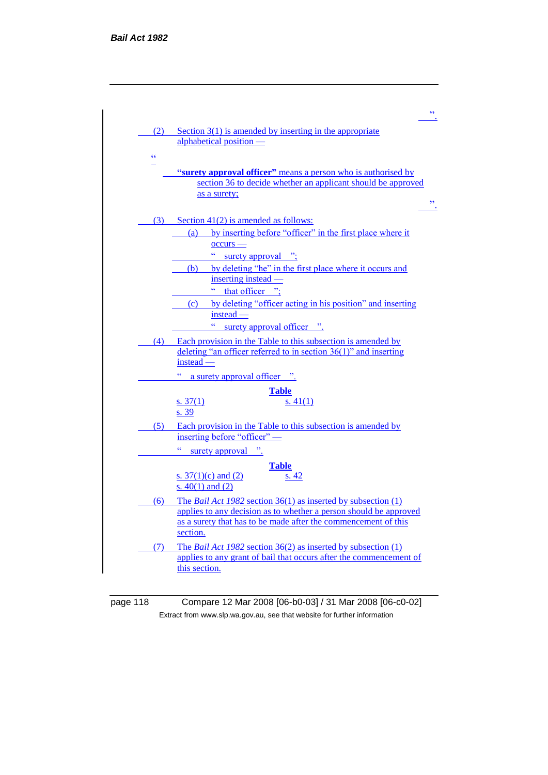

| page 118 | Compare 12 Mar 2008 [06-b0-03] / 31 Mar 2008 [06-c0-02]                  |
|----------|--------------------------------------------------------------------------|
|          | Extract from www.slp.wa.gov.au, see that website for further information |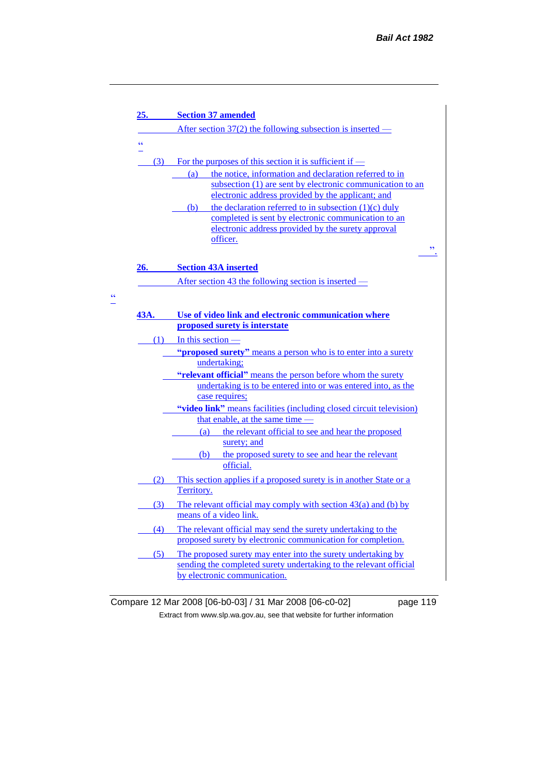| <u>25.</u> | <b>Section 37 amended</b>                                                                                                                                                                                                                                                                                                                                                                                                              |
|------------|----------------------------------------------------------------------------------------------------------------------------------------------------------------------------------------------------------------------------------------------------------------------------------------------------------------------------------------------------------------------------------------------------------------------------------------|
|            | After section $37(2)$ the following subsection is inserted —                                                                                                                                                                                                                                                                                                                                                                           |
| $\epsilon$ |                                                                                                                                                                                                                                                                                                                                                                                                                                        |
| (3)        | For the purposes of this section it is sufficient if $-$<br>the notice, information and declaration referred to in<br>(a)<br>subsection (1) are sent by electronic communication to an<br>electronic address provided by the applicant; and<br>the declaration referred to in subsection $(1)(c)$ duly<br>(b)<br>completed is sent by electronic communication to an<br>electronic address provided by the surety approval<br>officer. |
| 26.        | <b>Section 43A inserted</b>                                                                                                                                                                                                                                                                                                                                                                                                            |
|            | After section 43 the following section is inserted –                                                                                                                                                                                                                                                                                                                                                                                   |
|            | "proposed surety" means a person who is to enter into a surety<br>undertaking;                                                                                                                                                                                                                                                                                                                                                         |
|            | $(1)$ In this section -                                                                                                                                                                                                                                                                                                                                                                                                                |
|            | "relevant official" means the person before whom the surety<br>undertaking is to be entered into or was entered into, as the<br>case requires;                                                                                                                                                                                                                                                                                         |
|            | "video link" means facilities (including closed circuit television)                                                                                                                                                                                                                                                                                                                                                                    |
|            | that enable, at the same time -                                                                                                                                                                                                                                                                                                                                                                                                        |
|            | the relevant official to see and hear the proposed<br>(a)<br>surety; and                                                                                                                                                                                                                                                                                                                                                               |
|            | the proposed surety to see and hear the relevant<br>(b)<br>official.                                                                                                                                                                                                                                                                                                                                                                   |
| (2)        | This section applies if a proposed surety is in another State or a<br>Territory.                                                                                                                                                                                                                                                                                                                                                       |
| (3)        | The relevant official may comply with section $43(a)$ and (b) by<br>means of a video link.                                                                                                                                                                                                                                                                                                                                             |
| (4)        | The relevant official may send the surety undertaking to the<br>proposed surety by electronic communication for completion.                                                                                                                                                                                                                                                                                                            |
| (5)        | The proposed surety may enter into the surety undertaking by<br>sending the completed surety undertaking to the relevant official<br>by electronic communication.                                                                                                                                                                                                                                                                      |

 $\frac{cc}{\Box}$ 

Compare 12 Mar 2008 [06-b0-03] / 31 Mar 2008 [06-c0-02] page 119 Extract from www.slp.wa.gov.au, see that website for further information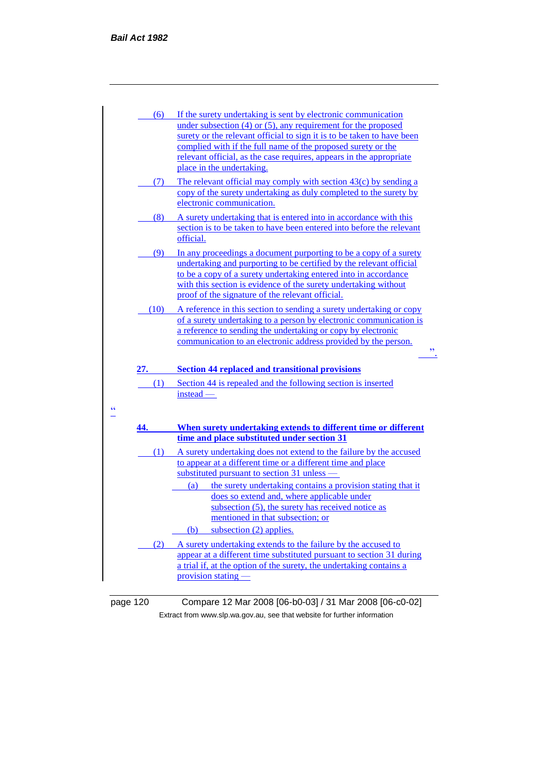|            | (6)                                                                                                                                                                                                                                 | If the surety undertaking is sent by electronic communication                                                                                                                                                                                                                                                                      |
|------------|-------------------------------------------------------------------------------------------------------------------------------------------------------------------------------------------------------------------------------------|------------------------------------------------------------------------------------------------------------------------------------------------------------------------------------------------------------------------------------------------------------------------------------------------------------------------------------|
|            |                                                                                                                                                                                                                                     | under subsection $(4)$ or $(5)$ , any requirement for the proposed<br>surety or the relevant official to sign it is to be taken to have been                                                                                                                                                                                       |
|            |                                                                                                                                                                                                                                     | complied with if the full name of the proposed surety or the<br>relevant official, as the case requires, appears in the appropriate<br>place in the undertaking.                                                                                                                                                                   |
|            | (7)                                                                                                                                                                                                                                 | The relevant official may comply with section 43(c) by sending a<br>copy of the surety undertaking as duly completed to the surety by<br>electronic communication.                                                                                                                                                                 |
|            | (8)                                                                                                                                                                                                                                 | A surety undertaking that is entered into in accordance with this<br>section is to be taken to have been entered into before the relevant<br>official.                                                                                                                                                                             |
|            | (9)                                                                                                                                                                                                                                 | In any proceedings a document purporting to be a copy of a surety<br>undertaking and purporting to be certified by the relevant official<br>to be a copy of a surety undertaking entered into in accordance<br>with this section is evidence of the surety undertaking without<br>proof of the signature of the relevant official. |
|            | (10)                                                                                                                                                                                                                                | A reference in this section to sending a surety undertaking or copy<br>of a surety undertaking to a person by electronic communication is<br>a reference to sending the undertaking or copy by electronic<br>communication to an electronic address provided by the person.<br>,,                                                  |
|            | <b>27.</b> The contract of the contract of the contract of the contract of the contract of the contract of the contract of the contract of the contract of the contract of the contract of the contract of the contract of the cont | <b>Section 44 replaced and transitional provisions</b>                                                                                                                                                                                                                                                                             |
| $\epsilon$ | (1)                                                                                                                                                                                                                                 | Section 44 is repealed and the following section is inserted<br>$instead$ —                                                                                                                                                                                                                                                        |
|            | 44.                                                                                                                                                                                                                                 | When surety undertaking extends to different time or different<br>time and place substituted under section 31                                                                                                                                                                                                                      |
|            | (1)                                                                                                                                                                                                                                 | A surety undertaking does not extend to the failure by the accused<br>to appear at a different time or a different time and place<br>substituted pursuant to section 31 unless -                                                                                                                                                   |
|            |                                                                                                                                                                                                                                     | the surety undertaking contains a provision stating that it<br>(a)                                                                                                                                                                                                                                                                 |
|            |                                                                                                                                                                                                                                     | does so extend and, where applicable under<br>subsection (5), the surety has received notice as<br>mentioned in that subsection; or                                                                                                                                                                                                |
|            |                                                                                                                                                                                                                                     | subsection (2) applies.<br>(b)                                                                                                                                                                                                                                                                                                     |

page 120 Compare 12 Mar 2008 [06-b0-03] / 31 Mar 2008 [06-c0-02] Extract from www.slp.wa.gov.au, see that website for further information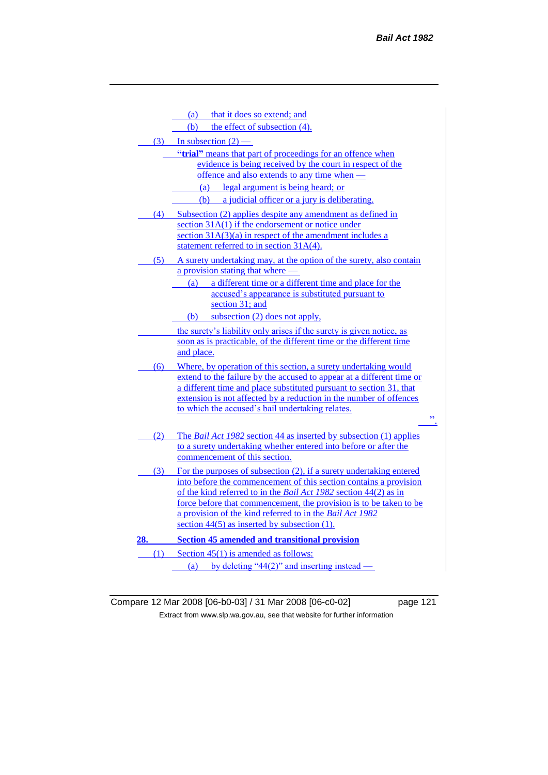|     |     | that it does so extend; and<br>(a)                                                                                                           |
|-----|-----|----------------------------------------------------------------------------------------------------------------------------------------------|
|     |     | the effect of subsection (4).<br>(b)                                                                                                         |
|     |     | $(3)$ In subsection $(2)$ —                                                                                                                  |
|     |     | "trial" means that part of proceedings for an offence when                                                                                   |
|     |     | evidence is being received by the court in respect of the                                                                                    |
|     |     | offence and also extends to any time when —                                                                                                  |
|     |     | legal argument is being heard; or<br>(a)                                                                                                     |
|     |     | a judicial officer or a jury is deliberating.<br>(b)                                                                                         |
|     | (4) | Subsection (2) applies despite any amendment as defined in                                                                                   |
|     |     | section $31A(1)$ if the endorsement or notice under                                                                                          |
|     |     | section $31A(3)(a)$ in respect of the amendment includes a                                                                                   |
|     |     | statement referred to in section 31A(4).                                                                                                     |
|     |     | (5) A surety undertaking may, at the option of the surety, also contain                                                                      |
|     |     | a provision stating that where —                                                                                                             |
|     |     | (a) a different time or a different time and place for the                                                                                   |
|     |     | accused's appearance is substituted pursuant to                                                                                              |
|     |     | section 31; and                                                                                                                              |
|     |     | subsection (2) does not apply,<br>(b)                                                                                                        |
|     |     | the surety's liability only arises if the surety is given notice, as                                                                         |
|     |     | soon as is practicable, of the different time or the different time<br>and place.                                                            |
|     |     |                                                                                                                                              |
|     | (6) | Where, by operation of this section, a surety undertaking would                                                                              |
|     |     | extend to the failure by the accused to appear at a different time or<br>a different time and place substituted pursuant to section 31, that |
|     |     | extension is not affected by a reduction in the number of offences                                                                           |
|     |     | to which the accused's bail undertaking relates.                                                                                             |
|     |     | ,,                                                                                                                                           |
|     | (2) | The <i>Bail Act 1982</i> section 44 as inserted by subsection (1) applies                                                                    |
|     |     | to a surety undertaking whether entered into before or after the                                                                             |
|     |     | commencement of this section.                                                                                                                |
|     | (3) | For the purposes of subsection (2), if a surety undertaking entered                                                                          |
|     |     | into before the commencement of this section contains a provision                                                                            |
|     |     | of the kind referred to in the Bail Act 1982 section 44(2) as in                                                                             |
|     |     | force before that commencement, the provision is to be taken to be                                                                           |
|     |     | a provision of the kind referred to in the Bail Act 1982                                                                                     |
|     |     | section $44(5)$ as inserted by subsection (1).                                                                                               |
| 28. |     | <b>Section 45 amended and transitional provision</b>                                                                                         |
|     |     | $(1)$ Section 45(1) is amended as follows:                                                                                                   |
|     |     | by deleting " $44(2)$ " and inserting instead<br>(a)                                                                                         |

Compare 12 Mar 2008 [06-b0-03] / 31 Mar 2008 [06-c0-02] page 121 Extract from www.slp.wa.gov.au, see that website for further information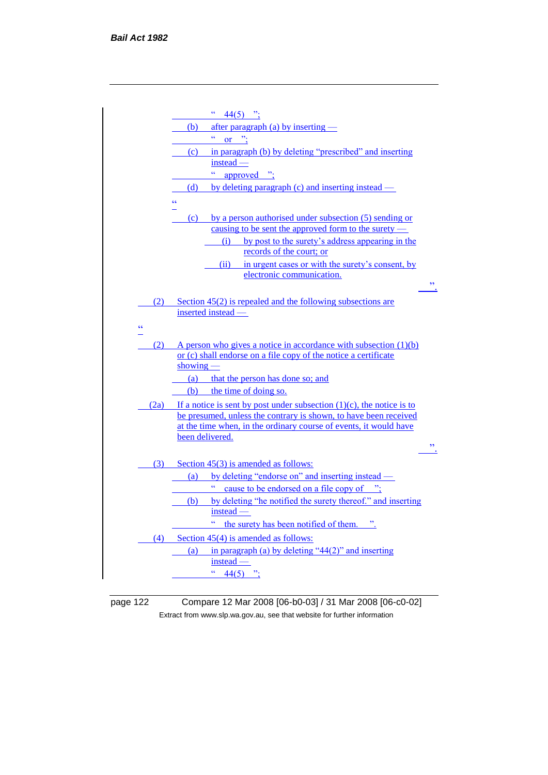

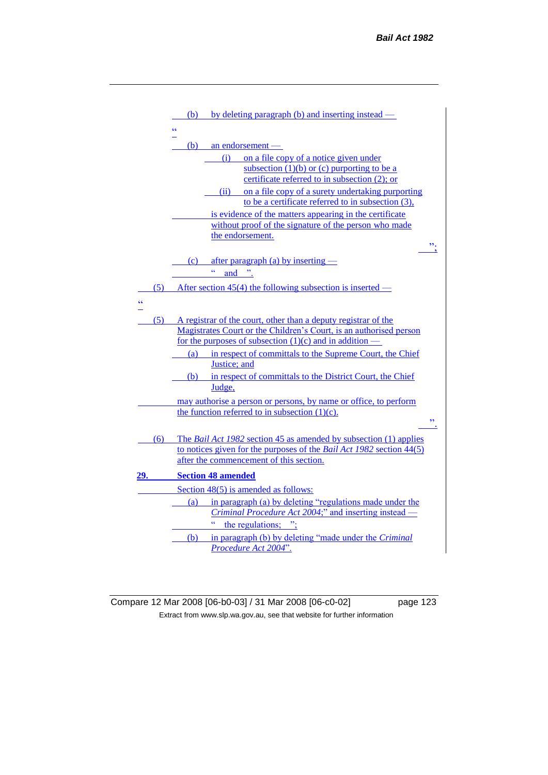|            |     | by deleting paragraph (b) and inserting instead —<br>(b)                                                                                          |  |
|------------|-----|---------------------------------------------------------------------------------------------------------------------------------------------------|--|
|            |     | сċ                                                                                                                                                |  |
|            |     | (b)<br>an endorsement $-$                                                                                                                         |  |
|            |     | on a file copy of a notice given under<br>(i)<br>subsection $(1)(b)$ or $(c)$ purporting to be a<br>certificate referred to in subsection (2); or |  |
|            |     | on a file copy of a surety undertaking purporting<br>(ii)                                                                                         |  |
|            |     | to be a certificate referred to in subsection (3),                                                                                                |  |
|            |     | is evidence of the matters appearing in the certificate<br>without proof of the signature of the person who made                                  |  |
|            |     | the endorsement.                                                                                                                                  |  |
|            |     | ".                                                                                                                                                |  |
|            |     | after paragraph (a) by inserting $-$<br>(c)                                                                                                       |  |
|            |     | ćć<br>and "                                                                                                                                       |  |
|            | (5) | After section 45(4) the following subsection is inserted —                                                                                        |  |
| $\epsilon$ |     |                                                                                                                                                   |  |
|            |     |                                                                                                                                                   |  |
|            | (5) | A registrar of the court, other than a deputy registrar of the<br>Magistrates Court or the Children's Court, is an authorised person              |  |
|            |     | for the purposes of subsection $(1)(c)$ and in addition —                                                                                         |  |
|            |     | in respect of committals to the Supreme Court, the Chief<br>(a)<br>Justice: and                                                                   |  |
|            |     | in respect of committals to the District Court, the Chief<br>(b)                                                                                  |  |
|            |     | Judge,                                                                                                                                            |  |
|            |     | may authorise a person or persons, by name or office, to perform                                                                                  |  |
|            |     | the function referred to in subsection $(1)(c)$ .                                                                                                 |  |
|            |     | $\overline{\phantom{a}}$                                                                                                                          |  |
|            | (6) | The <i>Bail Act 1982</i> section 45 as amended by subsection (1) applies                                                                          |  |
|            |     | to notices given for the purposes of the <i>Bail Act 1982</i> section $44(5)$<br>after the commencement of this section.                          |  |
| 29.        |     | <b>Section 48 amended</b>                                                                                                                         |  |
|            |     | Section 48(5) is amended as follows:                                                                                                              |  |
|            |     | in paragraph (a) by deleting "regulations made under the<br>(a)                                                                                   |  |
|            |     | <i>Criminal Procedure Act 2004;"</i> and inserting instead –                                                                                      |  |
|            |     | the regulations;                                                                                                                                  |  |
|            |     | in paragraph (b) by deleting "made under the Criminal<br>(b)                                                                                      |  |
|            |     | Procedure Act 2004"                                                                                                                               |  |

Compare 12 Mar 2008 [06-b0-03] / 31 Mar 2008 [06-c0-02] page 123 Extract from www.slp.wa.gov.au, see that website for further information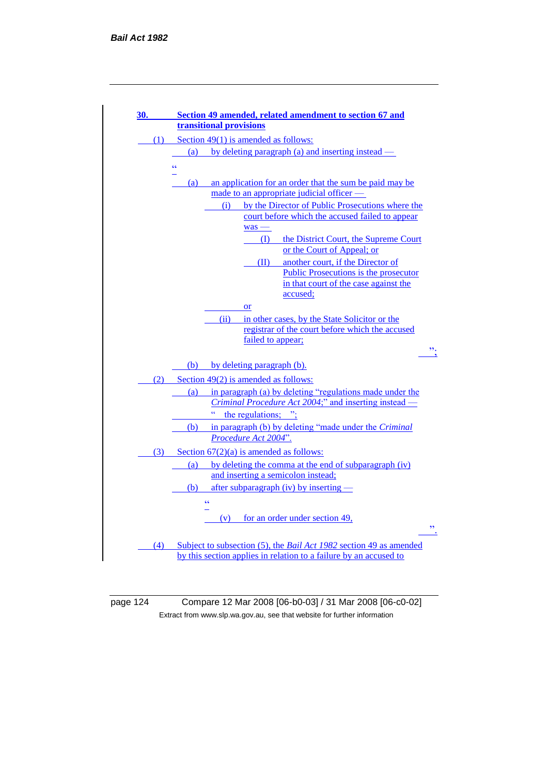

page 124 Compare 12 Mar 2008 [06-b0-03] / 31 Mar 2008 [06-c0-02] Extract from www.slp.wa.gov.au, see that website for further information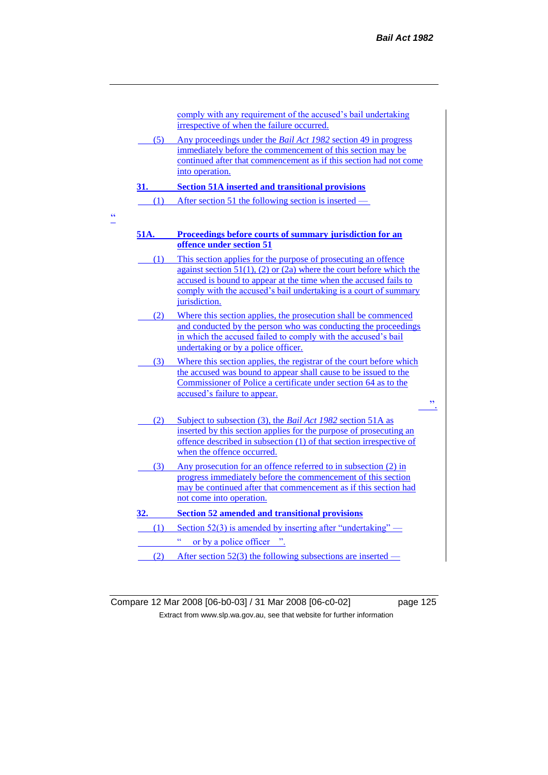comply with any requirement of the accused's bail undertaking irrespective of when the failure occurred.

(5) Any proceedings under the *Bail Act 1982* section 49 in progress immediately before the commencement of this section may be continued after that commencement as if this section had not come into operation.

#### **31. Section 51A inserted and transitional provisions**

(1) After section 51 the following section is inserted —

"

## **51A. Proceedings before courts of summary jurisdiction for an offence under section 51**

- (1) This section applies for the purpose of prosecuting an offence against section  $51(1)$ , (2) or (2a) where the court before which the accused is bound to appear at the time when the accused fails to comply with the accused's bail undertaking is a court of summary jurisdiction.
- (2) Where this section applies, the prosecution shall be commenced and conducted by the person who was conducting the proceedings in which the accused failed to comply with the accused's bail undertaking or by a police officer.
- (3) Where this section applies, the registrar of the court before which the accused was bound to appear shall cause to be issued to the Commissioner of Police a certificate under section 64 as to the accused's failure to appear.
- (2) Subject to subsection (3), the *Bail Act 1982* section 51A as inserted by this section applies for the purpose of prosecuting an offence described in subsection (1) of that section irrespective of when the offence occurred.
- (3) Any prosecution for an offence referred to in subsection (2) in progress immediately before the commencement of this section may be continued after that commencement as if this section had not come into operation.

### **32. Section 52 amended and transitional provisions**

- (1) Section 52(3) is amended by inserting after "undertaking"  $-$ " or by a police officer ".
- (2) After section 52(3) the following subsections are inserted —

Compare 12 Mar 2008 [06-b0-03] / 31 Mar 2008 [06-c0-02] page 125 Extract from www.slp.wa.gov.au, see that website for further information

 $\mathbf{r}$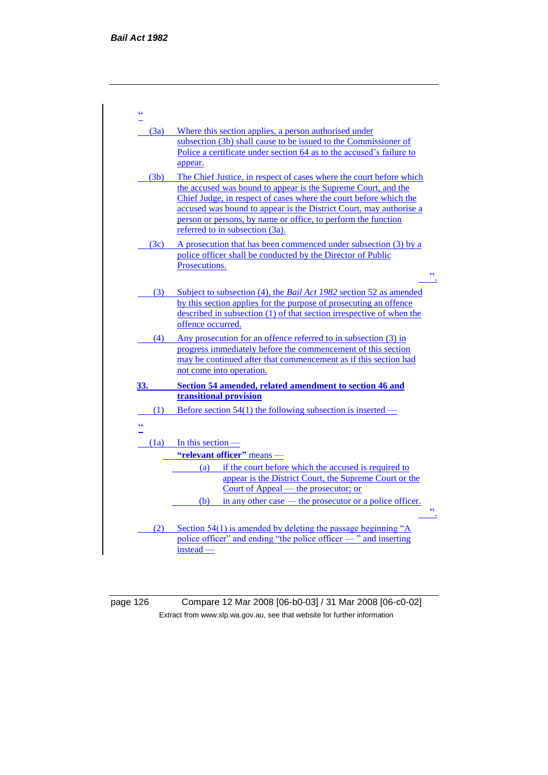| $\epsilon$ |                                                                                                                                                 |  |
|------------|-------------------------------------------------------------------------------------------------------------------------------------------------|--|
| (3a)       | Where this section applies, a person authorised under                                                                                           |  |
|            | subsection (3b) shall cause to be issued to the Commissioner of                                                                                 |  |
|            | Police a certificate under section 64 as to the accused's failure to<br>appear.                                                                 |  |
| (3b)       | The Chief Justice, in respect of cases where the court before which                                                                             |  |
|            | the accused was bound to appear is the Supreme Court, and the                                                                                   |  |
|            | Chief Judge, in respect of cases where the court before which the                                                                               |  |
|            | accused was bound to appear is the District Court, may authorise a<br>person or persons, by name or office, to perform the function             |  |
|            | referred to in subsection (3a).                                                                                                                 |  |
| (3c)       | A prosecution that has been commenced under subsection (3) by a                                                                                 |  |
|            | police officer shall be conducted by the Director of Public<br>Prosecutions.                                                                    |  |
|            | $\overline{\phantom{a}}$                                                                                                                        |  |
| (3)        | Subject to subsection (4), the <i>Bail Act 1982</i> section 52 as amended                                                                       |  |
|            | by this section applies for the purpose of prosecuting an offence                                                                               |  |
|            | described in subsection (1) of that section irrespective of when the<br>offence occurred.                                                       |  |
| (4)        | Any prosecution for an offence referred to in subsection (3) in                                                                                 |  |
|            | progress immediately before the commencement of this section                                                                                    |  |
|            | may be continued after that commencement as if this section had<br>not come into operation.                                                     |  |
| 33.        | Section 54 amended, related amendment to section 46 and                                                                                         |  |
|            | transitional provision                                                                                                                          |  |
| (1)        | Before section 54(1) the following subsection is inserted —                                                                                     |  |
| ćć         |                                                                                                                                                 |  |
|            | $(1a)$ In this section —                                                                                                                        |  |
|            | "relevant officer" means -                                                                                                                      |  |
|            | (a) if the court before which the accused is required to<br>appear is the District Court, the Supreme Court or the                              |  |
|            | Court of Appeal — the prosecutor; or                                                                                                            |  |
|            | in any other case — the prosecutor or a police officer.<br>(b)                                                                                  |  |
|            | $\overline{\mathbf{z}}$                                                                                                                         |  |
| (2)        | Section 54(1) is amended by deleting the passage beginning " $\overline{A}$<br>police officer" and ending "the police officer — " and inserting |  |
|            | instead -                                                                                                                                       |  |
|            |                                                                                                                                                 |  |

page 126 Compare 12 Mar 2008 [06-b0-03] / 31 Mar 2008 [06-c0-02] Extract from www.slp.wa.gov.au, see that website for further information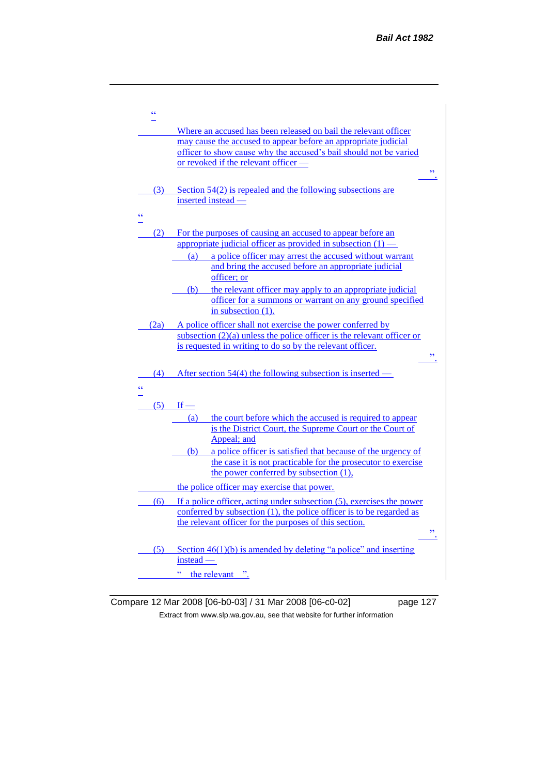

Compare 12 Mar 2008 [06-b0-03] / 31 Mar 2008 [06-c0-02] page 127 Extract from www.slp.wa.gov.au, see that website for further information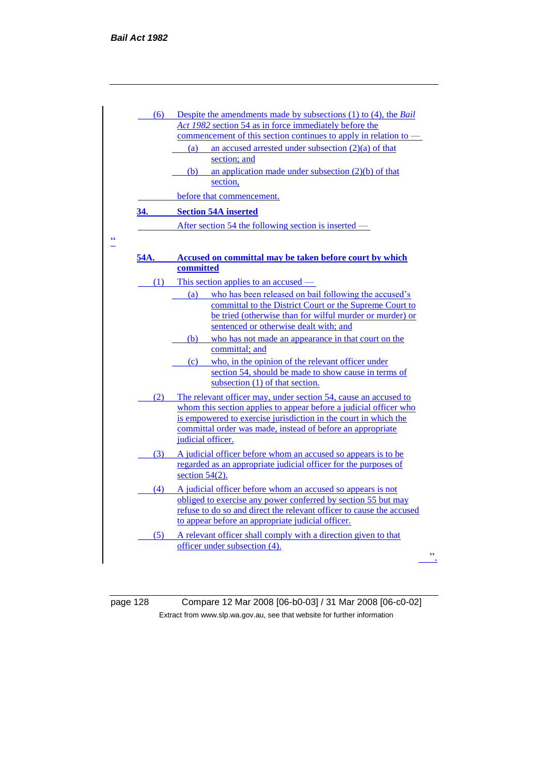|      | (6) Despite the amendments made by subsections $(1)$ to $(4)$ , the Bail                                                              |
|------|---------------------------------------------------------------------------------------------------------------------------------------|
|      | Act 1982 section 54 as in force immediately before the                                                                                |
|      | commencement of this section continues to apply in relation to –                                                                      |
|      | an accused arrested under subsection $(2)(a)$ of that<br>(a)                                                                          |
|      | section; and<br>an application made under subsection $(2)(b)$ of that                                                                 |
|      | (b)<br>section,                                                                                                                       |
|      | before that commencement.                                                                                                             |
| 34.  | <b>Section 54A inserted</b>                                                                                                           |
|      | After section 54 the following section is inserted —                                                                                  |
|      |                                                                                                                                       |
| 54A. | Accused on committal may be taken before court by which                                                                               |
|      | committed                                                                                                                             |
| (1)  | This section applies to an accused —                                                                                                  |
|      | who has been released on bail following the accused's<br>(a)                                                                          |
|      | committal to the District Court or the Supreme Court to<br>be tried (otherwise than for wilful murder or murder) or                   |
|      | sentenced or otherwise dealt with; and                                                                                                |
|      | who has not made an appearance in that court on the<br>(b)                                                                            |
|      | committal; and                                                                                                                        |
|      | who, in the opinion of the relevant officer under<br>(c)                                                                              |
|      | section 54, should be made to show cause in terms of                                                                                  |
|      | subsection (1) of that section.                                                                                                       |
| (2)  | The relevant officer may, under section 54, cause an accused to                                                                       |
|      | whom this section applies to appear before a judicial officer who<br>is empowered to exercise jurisdiction in the court in which the  |
|      | committal order was made, instead of before an appropriate                                                                            |
|      | judicial officer.                                                                                                                     |
|      | (3) A judicial officer before whom an accused so appears is to be                                                                     |
|      | regarded as an appropriate judicial officer for the purposes of                                                                       |
|      | section $54(2)$ .                                                                                                                     |
| (4)  | A judicial officer before whom an accused so appears is not                                                                           |
|      | obliged to exercise any power conferred by section 55 but may<br>refuse to do so and direct the relevant officer to cause the accused |
|      | to appear before an appropriate judicial officer.                                                                                     |
|      |                                                                                                                                       |
|      |                                                                                                                                       |
|      | (5) A relevant officer shall comply with a direction given to that<br>officer under subsection (4).                                   |

page 128 Compare 12 Mar 2008 [06-b0-03] / 31 Mar 2008 [06-c0-02] Extract from www.slp.wa.gov.au, see that website for further information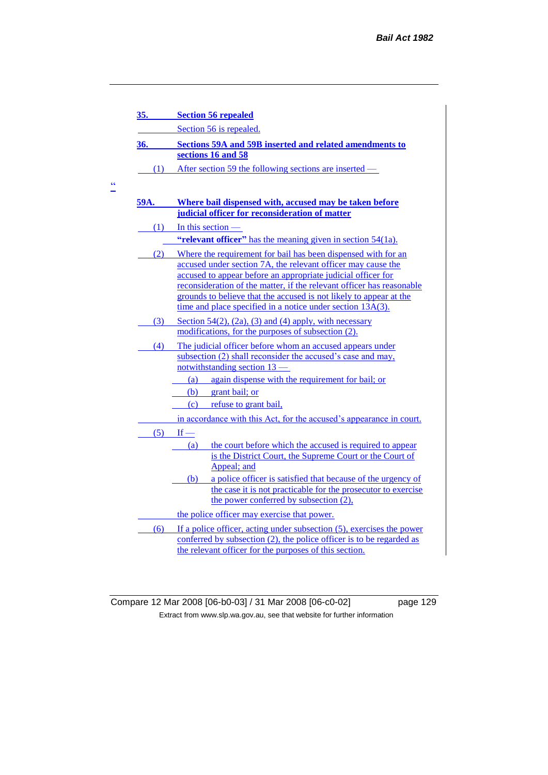| 35.  | <b>Section 56 repealed</b>                                                                                                                    |  |  |
|------|-----------------------------------------------------------------------------------------------------------------------------------------------|--|--|
|      | Section 56 is repealed.                                                                                                                       |  |  |
| 36.  | <b>Sections 59A and 59B inserted and related amendments to</b>                                                                                |  |  |
|      | sections 16 and 58                                                                                                                            |  |  |
| (1)  | After section 59 the following sections are inserted —                                                                                        |  |  |
|      |                                                                                                                                               |  |  |
| 59A. | Where bail dispensed with, accused may be taken before                                                                                        |  |  |
|      | judicial officer for reconsideration of matter                                                                                                |  |  |
|      | $(1)$ In this section —                                                                                                                       |  |  |
|      | "relevant officer" has the meaning given in section 54(1a).                                                                                   |  |  |
|      | (2) Where the requirement for bail has been dispensed with for an                                                                             |  |  |
|      | accused under section 7A, the relevant officer may cause the                                                                                  |  |  |
|      | accused to appear before an appropriate judicial officer for<br>reconsideration of the matter, if the relevant officer has reasonable         |  |  |
|      | grounds to believe that the accused is not likely to appear at the                                                                            |  |  |
|      | time and place specified in a notice under section 13A(3).                                                                                    |  |  |
| (3)  | Section $54(2)$ , $(2a)$ , $(3)$ and $(4)$ apply, with necessary                                                                              |  |  |
|      | modifications, for the purposes of subsection (2).                                                                                            |  |  |
| (4)  | The judicial officer before whom an accused appears under                                                                                     |  |  |
|      | subsection (2) shall reconsider the accused's case and may,                                                                                   |  |  |
|      | notwithstanding section $13$ –<br>again dispense with the requirement for bail; or<br>(a)                                                     |  |  |
|      | grant bail; or<br>(b)                                                                                                                         |  |  |
|      | (c) refuse to grant bail,                                                                                                                     |  |  |
|      | in accordance with this Act, for the accused's appearance in court.                                                                           |  |  |
|      | $(5)$ If —                                                                                                                                    |  |  |
|      | the court before which the accused is required to appear<br>(a)                                                                               |  |  |
|      | is the District Court, the Supreme Court or the Court of                                                                                      |  |  |
|      | Appeal; and                                                                                                                                   |  |  |
|      | a police officer is satisfied that because of the urgency of<br>(b)                                                                           |  |  |
|      | the case it is not practicable for the prosecutor to exercise<br>the power conferred by subsection (2),                                       |  |  |
|      |                                                                                                                                               |  |  |
|      | the police officer may exercise that power.                                                                                                   |  |  |
| (6)  | If a police officer, acting under subsection (5), exercises the power<br>conferred by subsection (2), the police officer is to be regarded as |  |  |
|      | the relevant officer for the purposes of this section.                                                                                        |  |  |

 $\frac{cc}{\sqrt{c}}$ 

Compare 12 Mar 2008 [06-b0-03] / 31 Mar 2008 [06-c0-02] page 129 Extract from www.slp.wa.gov.au, see that website for further information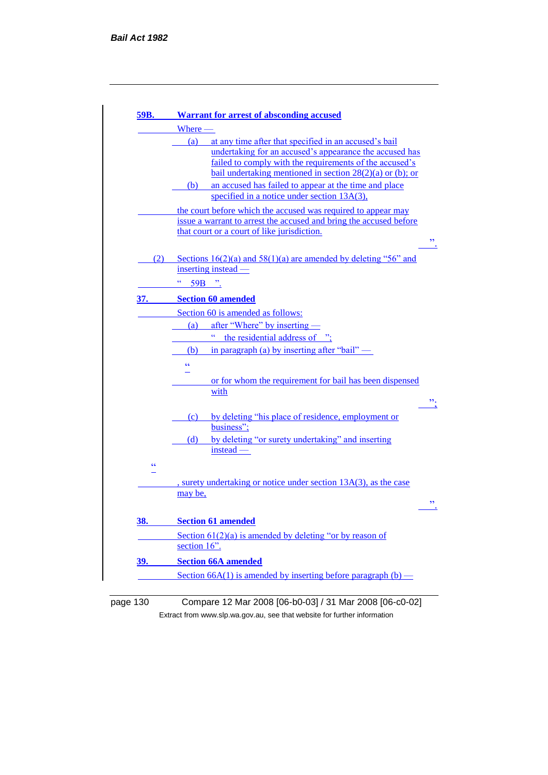| 59B.                                                                                                              | <b>Warrant for arrest of absconding accused</b>                            |
|-------------------------------------------------------------------------------------------------------------------|----------------------------------------------------------------------------|
|                                                                                                                   | Where -                                                                    |
|                                                                                                                   | (a)<br>at any time after that specified in an accused's bail               |
|                                                                                                                   | undertaking for an accused's appearance the accused has                    |
|                                                                                                                   | failed to comply with the requirements of the accused's                    |
|                                                                                                                   | bail undertaking mentioned in section $28(2)(a)$ or (b); or                |
|                                                                                                                   | an accused has failed to appear at the time and place<br>(b)               |
|                                                                                                                   | specified in a notice under section $13A(3)$ ,                             |
|                                                                                                                   | the court before which the accused was required to appear may              |
| issue a warrant to arrest the accused and bring the accused before<br>that court or a court of like jurisdiction. |                                                                            |
|                                                                                                                   |                                                                            |
| (2)                                                                                                               | Sections $16(2)(a)$ and $58(1)(a)$ are amended by deleting "56" and        |
|                                                                                                                   | inserting instead —                                                        |
|                                                                                                                   | сc<br>59B ".                                                               |
|                                                                                                                   |                                                                            |
| 37.                                                                                                               | <b>Section 60 amended</b>                                                  |
|                                                                                                                   | Section 60 is amended as follows:                                          |
|                                                                                                                   | after "Where" by inserting -<br>(a)                                        |
|                                                                                                                   | $\bar{c}$<br>the residential address of                                    |
|                                                                                                                   | in paragraph (a) by inserting after "bail" $\overline{\phantom{a}}$<br>(b) |
|                                                                                                                   | $\epsilon$                                                                 |
|                                                                                                                   | or for whom the requirement for bail has been dispensed                    |
|                                                                                                                   | with                                                                       |
|                                                                                                                   |                                                                            |
|                                                                                                                   | by deleting "his place of residence, employment or<br>(c)                  |
|                                                                                                                   | business";                                                                 |
|                                                                                                                   | by deleting "or surety undertaking" and inserting<br>(d)                   |
|                                                                                                                   | instead —                                                                  |
| $\epsilon$                                                                                                        |                                                                            |
|                                                                                                                   |                                                                            |
|                                                                                                                   | , surety undertaking or notice under section 13A(3), as the case           |
|                                                                                                                   | may be,                                                                    |
| <u>38.</u>                                                                                                        | <b>Section 61 amended</b>                                                  |
|                                                                                                                   | Section $61(2)(a)$ is amended by deleting "or by reason of                 |
|                                                                                                                   | section 16".                                                               |
|                                                                                                                   | <b>Section 66A amended</b>                                                 |
| <u>39.</u>                                                                                                        |                                                                            |
|                                                                                                                   | Section $66A(1)$ is amended by inserting before paragraph (b) —            |

# page 130 Compare 12 Mar 2008 [06-b0-03] / 31 Mar 2008 [06-c0-02] Extract from www.slp.wa.gov.au, see that website for further information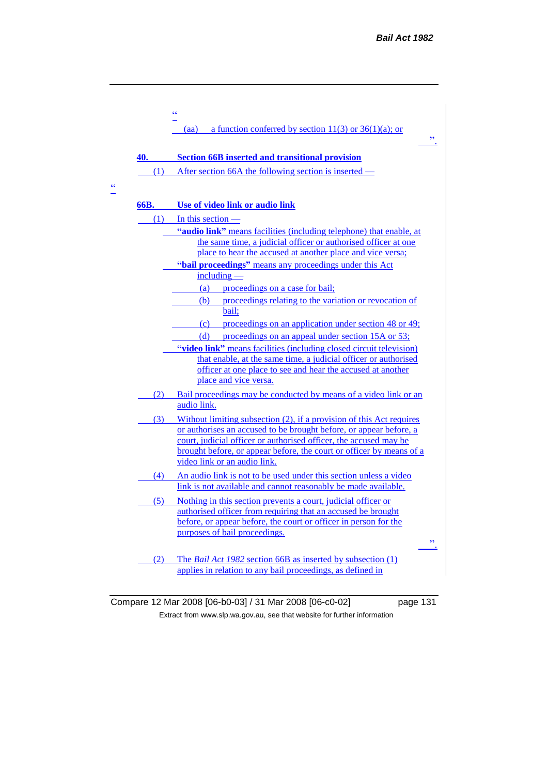|      | $\epsilon$                                                                                                                                                                                                                                                                                                              |
|------|-------------------------------------------------------------------------------------------------------------------------------------------------------------------------------------------------------------------------------------------------------------------------------------------------------------------------|
|      | a function conferred by section 11(3) or $36(1)(a)$ ; or<br>(aa)<br>$\overline{\phantom{a}}$                                                                                                                                                                                                                            |
| 40.  | <b>Section 66B inserted and transitional provision</b>                                                                                                                                                                                                                                                                  |
|      | (1) After section 66A the following section is inserted –                                                                                                                                                                                                                                                               |
| 66B. | Use of video link or audio link                                                                                                                                                                                                                                                                                         |
| (1)  | In this section $-$                                                                                                                                                                                                                                                                                                     |
|      | "audio link" means facilities (including telephone) that enable, at<br>the same time, a judicial officer or authorised officer at one<br>place to hear the accused at another place and vice versa;                                                                                                                     |
|      | "bail proceedings" means any proceedings under this Act                                                                                                                                                                                                                                                                 |
|      | $including -$<br>proceedings on a case for bail;<br>(a)                                                                                                                                                                                                                                                                 |
|      | (b) proceedings relating to the variation or revocation of<br>bail;                                                                                                                                                                                                                                                     |
|      | proceedings on an application under section 48 or 49;<br>(c)                                                                                                                                                                                                                                                            |
|      | (d)<br>proceedings on an appeal under section 15A or 53;<br>"video link" means facilities (including closed circuit television)<br>that enable, at the same time, a judicial officer or authorised<br>officer at one place to see and hear the accused at another<br>place and vice versa.                              |
|      | (2) Bail proceedings may be conducted by means of a video link or an<br>audio link.                                                                                                                                                                                                                                     |
| (3)  | Without limiting subsection (2), if a provision of this Act requires<br>or authorises an accused to be brought before, or appear before, a<br>court, judicial officer or authorised officer, the accused may be<br>brought before, or appear before, the court or officer by means of a<br>video link or an audio link. |
| (4)  | An audio link is not to be used under this section unless a video<br>link is not available and cannot reasonably be made available.                                                                                                                                                                                     |
| (5)  | Nothing in this section prevents a court, judicial officer or<br>authorised officer from requiring that an accused be brought<br>before, or appear before, the court or officer in person for the<br>purposes of bail proceedings.<br>$\overline{\phantom{a}}$                                                          |
| (2)  | The <i>Bail Act 1982</i> section 66B as inserted by subsection (1)<br>applies in relation to any bail proceedings, as defined in                                                                                                                                                                                        |

 $\frac{cc}{\Box}$ 

Compare 12 Mar 2008 [06-b0-03] / 31 Mar 2008 [06-c0-02] page 131 Extract from www.slp.wa.gov.au, see that website for further information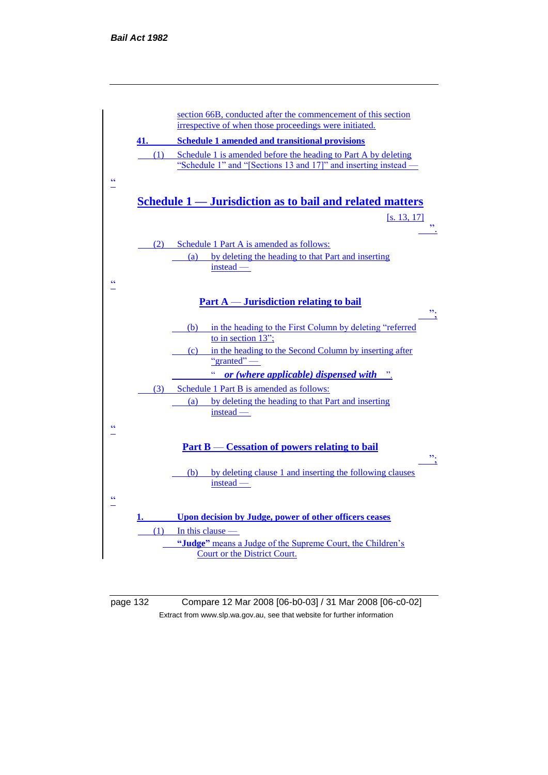

page 132 Compare 12 Mar 2008 [06-b0-03] / 31 Mar 2008 [06-c0-02] Extract from www.slp.wa.gov.au, see that website for further information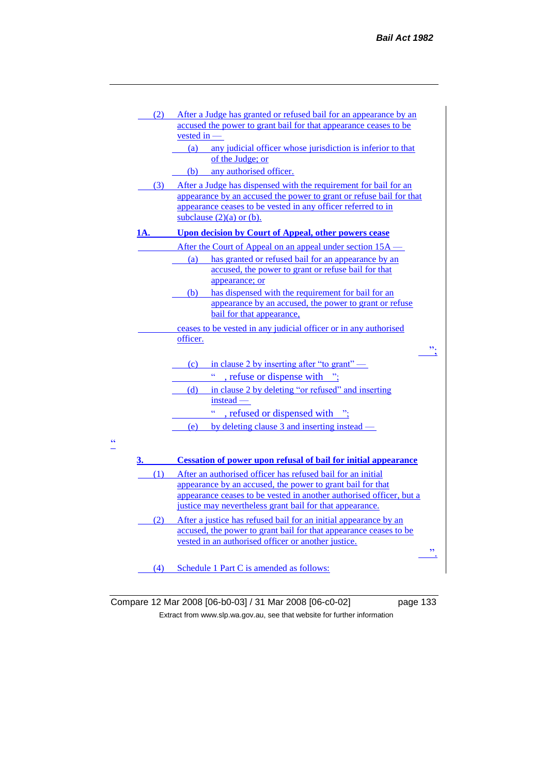| (2) | After a Judge has granted or refused bail for an appearance by an                                                                     |
|-----|---------------------------------------------------------------------------------------------------------------------------------------|
|     | accused the power to grant bail for that appearance ceases to be                                                                      |
|     | vested in -                                                                                                                           |
|     | (a)<br>any judicial officer whose jurisdiction is inferior to that<br>of the Judge; or                                                |
|     | any authorised officer.                                                                                                               |
|     | (b)                                                                                                                                   |
|     | (3) After a Judge has dispensed with the requirement for bail for an                                                                  |
|     | appearance by an accused the power to grant or refuse bail for that<br>appearance ceases to be vested in any officer referred to in   |
|     | subclause $(2)(a)$ or $(b)$ .                                                                                                         |
| 1A. | <b>Upon decision by Court of Appeal, other powers cease</b>                                                                           |
|     |                                                                                                                                       |
|     | After the Court of Appeal on an appeal under section 15A —                                                                            |
|     | has granted or refused bail for an appearance by an<br>(a)<br>accused, the power to grant or refuse bail for that                     |
|     | appearance; or                                                                                                                        |
|     | has dispensed with the requirement for bail for an<br>(b)                                                                             |
|     | appearance by an accused, the power to grant or refuse                                                                                |
|     | bail for that appearance,                                                                                                             |
|     | ceases to be vested in any judicial officer or in any authorised                                                                      |
|     | officer.                                                                                                                              |
|     | ".                                                                                                                                    |
|     | in clause 2 by inserting after "to grant" —<br>(c)                                                                                    |
|     | , refuse or dispense with ";                                                                                                          |
|     | in clause 2 by deleting "or refused" and inserting<br>(d)                                                                             |
|     | instead -                                                                                                                             |
|     | ćć<br>refused or dispensed with ";                                                                                                    |
|     | by deleting clause 3 and inserting instead $-$<br>(e)                                                                                 |
|     |                                                                                                                                       |
|     |                                                                                                                                       |
| 3.  | <b>Cessation of power upon refusal of bail for initial appearance</b>                                                                 |
| (1) | After an authorised officer has refused bail for an initial                                                                           |
|     | appearance by an accused, the power to grant bail for that                                                                            |
|     | appearance ceases to be vested in another authorised officer, but a<br>justice may nevertheless grant bail for that appearance.       |
|     |                                                                                                                                       |
| (2) | After a justice has refused bail for an initial appearance by an<br>accused, the power to grant bail for that appearance ceases to be |
|     | vested in an authorised officer or another justice.                                                                                   |

(4) Schedule 1 Part C is amended as follows:

 $\frac{1}{1}$ 

Compare 12 Mar 2008 [06-b0-03] / 31 Mar 2008 [06-c0-02] page 133 Extract from www.slp.wa.gov.au, see that website for further information

".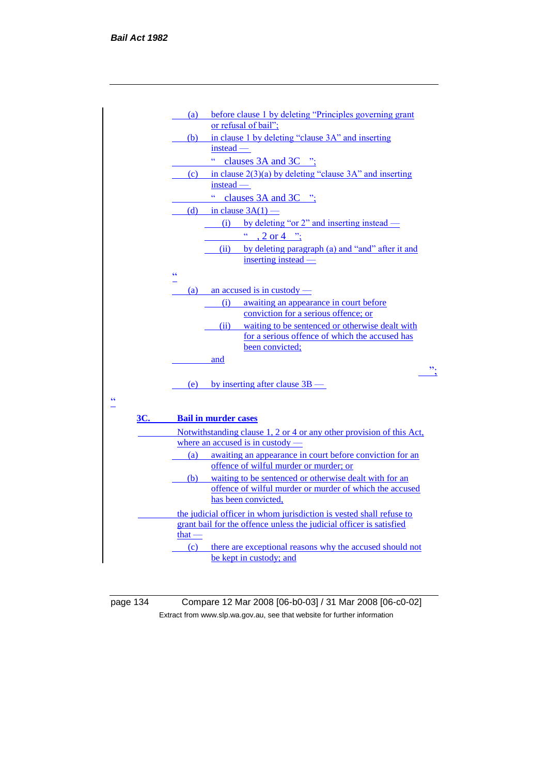

page 134 Compare 12 Mar 2008 [06-b0-03] / 31 Mar 2008 [06-c0-02] Extract from www.slp.wa.gov.au, see that website for further information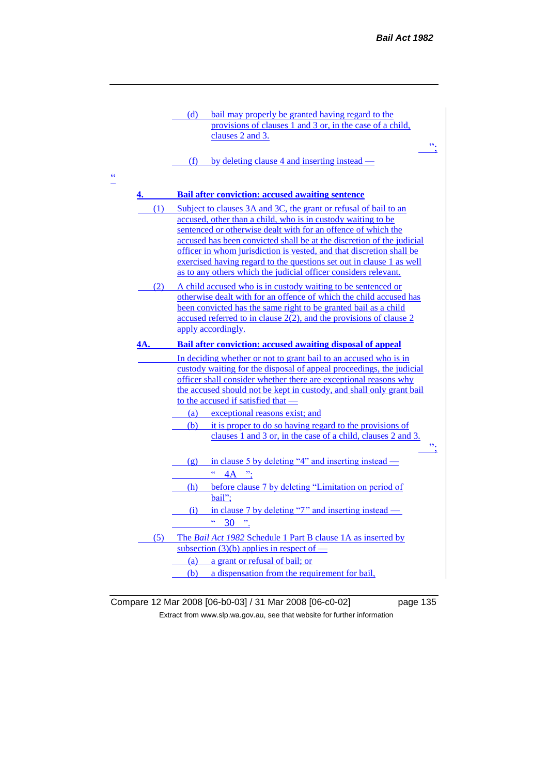

Compare 12 Mar 2008 [06-b0-03] / 31 Mar 2008 [06-c0-02] page 135 Extract from www.slp.wa.gov.au, see that website for further information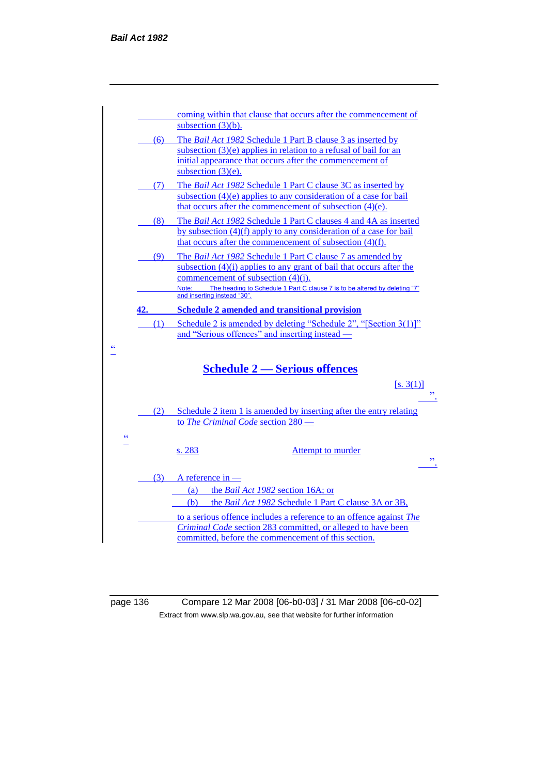

page 136 Compare 12 Mar 2008 [06-b0-03] / 31 Mar 2008 [06-c0-02] Extract from www.slp.wa.gov.au, see that website for further information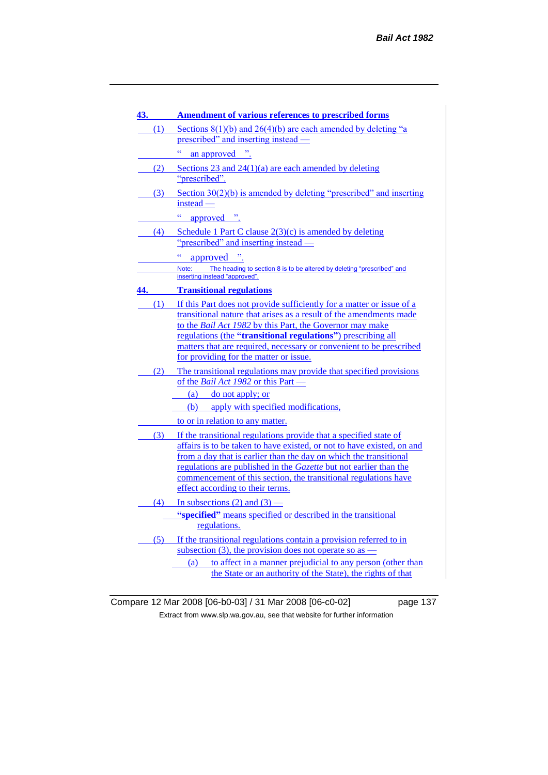| 43. | <b>Amendment of various references to prescribed forms</b>                                                                                                                                                     |
|-----|----------------------------------------------------------------------------------------------------------------------------------------------------------------------------------------------------------------|
| (1) | Sections $8(1)(b)$ and $26(4)(b)$ are each amended by deleting "a                                                                                                                                              |
|     | prescribed" and inserting instead —                                                                                                                                                                            |
|     | an approved ".                                                                                                                                                                                                 |
| (2) | Sections 23 and $24(1)(a)$ are each amended by deleting<br>"prescribed".                                                                                                                                       |
| (3) | Section $30(2)(b)$ is amended by deleting "prescribed" and inserting<br>instead –                                                                                                                              |
|     | $\bar{c}$<br>approved ".                                                                                                                                                                                       |
| (4) | Schedule 1 Part C clause $2(3)(c)$ is amended by deleting                                                                                                                                                      |
|     | "prescribed" and inserting instead —                                                                                                                                                                           |
|     | $\bar{c}$<br>approved ".                                                                                                                                                                                       |
|     | The heading to section 8 is to be altered by deleting "prescribed" and<br>Note:                                                                                                                                |
|     | inserting instead "approved".                                                                                                                                                                                  |
| 44. | <b>Transitional regulations</b>                                                                                                                                                                                |
| (1) | If this Part does not provide sufficiently for a matter or issue of a<br>transitional nature that arises as a result of the amendments made<br>to the <i>Bail Act 1982</i> by this Part, the Governor may make |
|     | regulations (the "transitional regulations") prescribing all<br>matters that are required, necessary or convenient to be prescribed<br>for providing for the matter or issue.                                  |
| (2) | The transitional regulations may provide that specified provisions<br>of the Bail Act 1982 or this Part -                                                                                                      |
|     | (a) do not apply; or                                                                                                                                                                                           |
|     | (b) apply with specified modifications,                                                                                                                                                                        |
|     | to or in relation to any matter.                                                                                                                                                                               |
| (3) | If the transitional regulations provide that a specified state of                                                                                                                                              |
|     | affairs is to be taken to have existed, or not to have existed, on and                                                                                                                                         |
|     | from a day that is earlier than the day on which the transitional<br>regulations are published in the Gazette but not earlier than the                                                                         |
|     | commencement of this section, the transitional regulations have                                                                                                                                                |
|     | effect according to their terms.                                                                                                                                                                               |
|     | (4) In subsections (2) and (3) —                                                                                                                                                                               |
|     | "specified" means specified or described in the transitional<br>regulations.                                                                                                                                   |
| (5) | If the transitional regulations contain a provision referred to in                                                                                                                                             |
|     | subsection (3), the provision does not operate so as $-$                                                                                                                                                       |
|     | to affect in a manner prejudicial to any person (other than<br>(a)                                                                                                                                             |
|     | the State or an authority of the State), the rights of that                                                                                                                                                    |

Compare 12 Mar 2008 [06-b0-03] / 31 Mar 2008 [06-c0-02] page 137 Extract from www.slp.wa.gov.au, see that website for further information